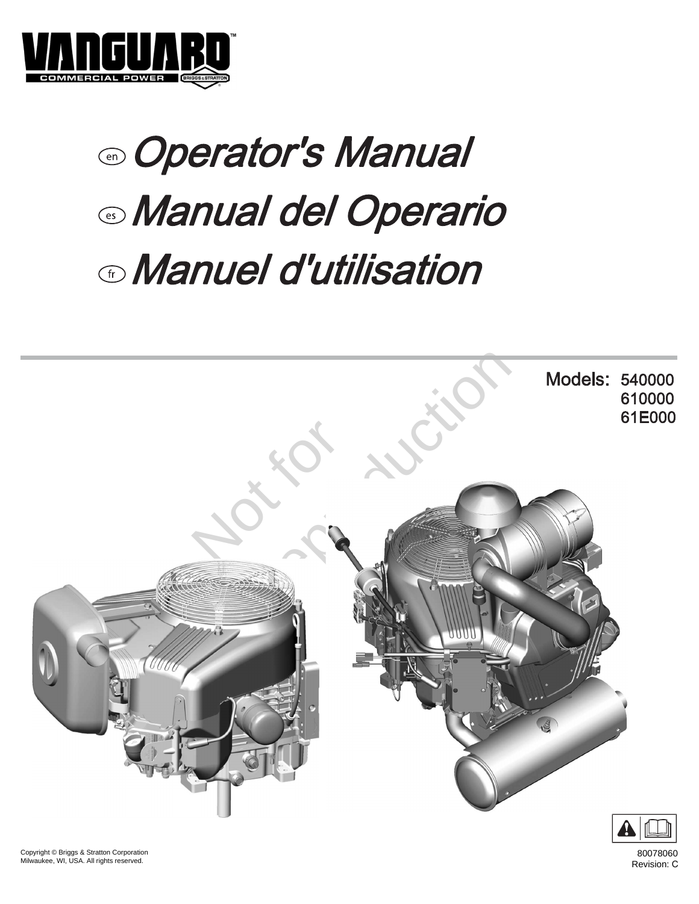

# **<sup>◎</sup> Operator's Manual** *Manual del Operario* **© Manuel d'utilisation**





Copyright © Briggs & Stratton Corporation Milwaukee, WI, USA. All rights reserved.

80078060 Revision: C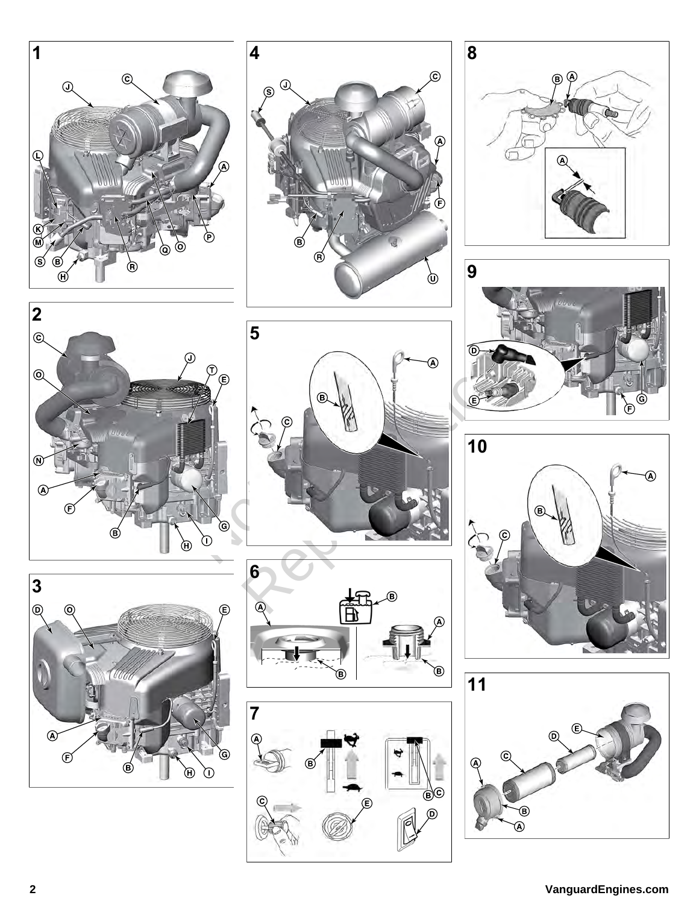



















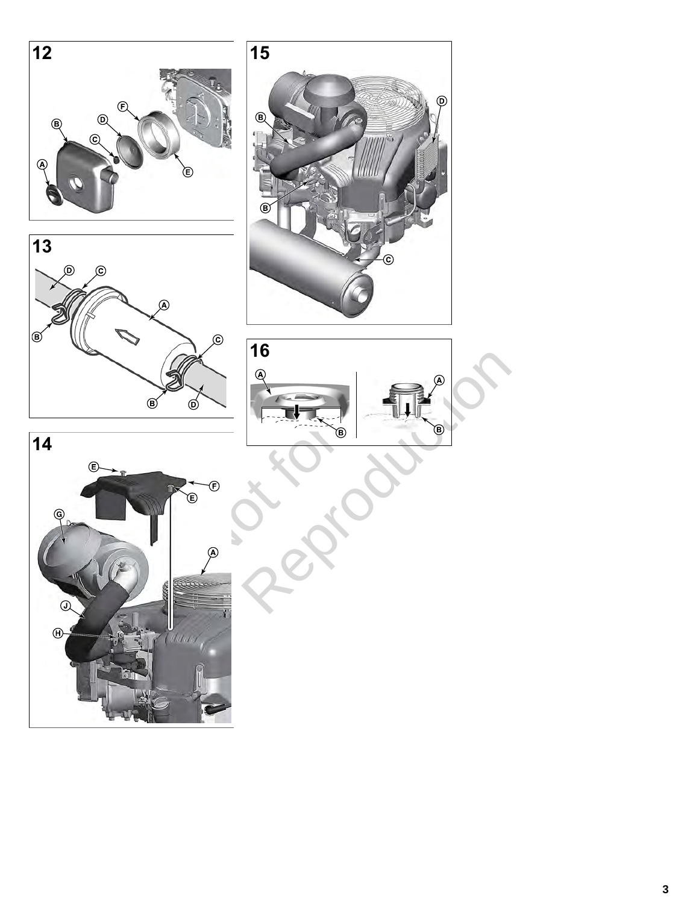





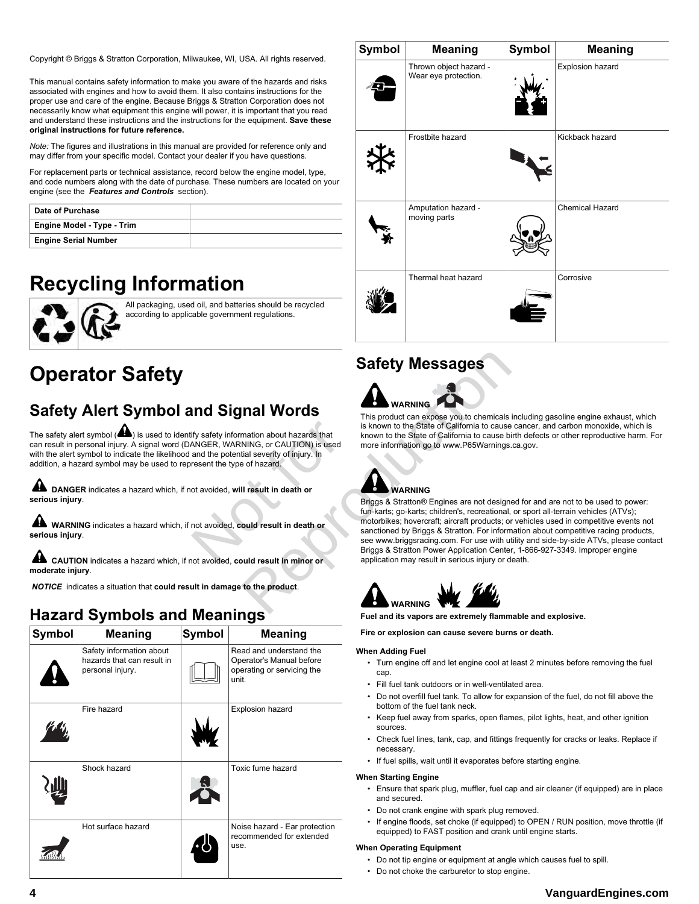Copyright © Briggs & Stratton Corporation, Milwaukee, WI, USA. All rights reserved.

This manual contains safety information to make you aware of the hazards and risks associated with engines and how to avoid them. It also contains instructions for the proper use and care of the engine. Because Briggs & Stratton Corporation does not necessarily know what equipment this engine will power, it is important that you read and understand these instructions and the instructions for the equipment. **Save these original instructions for future reference.**

*Note:* The figures and illustrations in this manual are provided for reference only and may differ from your specific model. Contact your dealer if you have questions.

For replacement parts or technical assistance, record below the engine model, type, and code numbers along with the date of purchase. These numbers are located on your engine (see the *Features and Controls* section).

| Date of Purchase            |  |
|-----------------------------|--|
| Engine Model - Type - Trim  |  |
| <b>Engine Serial Number</b> |  |

# **Recycling Information**



All packaging, used oil, and batteries should be recycled according to applicable government regulations.

# **Operator Safety**

# **Safety Alert Symbol and Signal Words**

itify safety information about hazards that<br>ANGER, WARNING, or CAUTION) is used<br>and the potential severity of injury. In<br>resent the type of hazard.<br>tot avoided, will result in death or<br>not avoided, could result in death or The safety alert symbol  $($ **A**) is used to identify safety information about hazards that can result in personal injury. A signal word (DANGER, WARNING, or CAUTION) is used with the alert symbol to indicate the likelihood and the potential severity of injury. In addition, a hazard symbol may be used to represent the type of hazard.

 **DANGER** indicates a hazard which, if not avoided, **will result in death or serious injury**.

 **WARNING** indicates a hazard which, if not avoided, **could result in death or serious injury**.

 **CAUTION** indicates a hazard which, if not avoided, **could result in minor or moderate injury**.

*NOTICE* indicates a situation that **could result in damage to the product**.

# **Hazard Symbols and Meanings**

| Symbol | <b>Meaning</b>                                                             | Symbol | <b>Meaning</b>                                                                             |
|--------|----------------------------------------------------------------------------|--------|--------------------------------------------------------------------------------------------|
|        | Safety information about<br>hazards that can result in<br>personal injury. |        | Read and understand the<br>Operator's Manual before<br>operating or servicing the<br>unit. |
|        | Fire hazard                                                                |        | <b>Explosion hazard</b>                                                                    |
|        | Shock hazard                                                               |        | Toxic fume hazard                                                                          |
|        | Hot surface hazard                                                         |        | Noise hazard - Ear protection<br>recommended for extended<br>use.                          |

| Symbol | <b>Meaning</b>                                 | <b>Symbol</b> | <b>Meaning</b>         |
|--------|------------------------------------------------|---------------|------------------------|
|        | Thrown object hazard -<br>Wear eye protection. |               | Explosion hazard       |
|        | Frostbite hazard                               |               | Kickback hazard        |
|        | Amputation hazard -<br>moving parts            |               | <b>Chemical Hazard</b> |
|        | Thermal heat hazard                            |               | Corrosive              |

# **Safety Messages**



This product can expose you to chemicals including gasoline engine exhaust, which is known to the State of California to cause cancer, and carbon monoxide, which is known to the State of California to cause birth defects or other reproductive harm. For more information go to www.P65Warnings.ca.gov.



Safety Messages<br>
Markins product can expose you to chemicals<br>
mation about hazards that<br>
INNING, or CAUTION) is used<br>
is known to the State of California to cause bi<br>
move information go to www.P65Warnings.<br>
tial severity Briggs & Stratton® Engines are not designed for and are not to be used to power: fun-karts; go-karts; children's, recreational, or sport all-terrain vehicles (ATVs); motorbikes; hovercraft; aircraft products; or vehicles used in competitive events not sanctioned by Briggs & Stratton. For information about competitive racing products, see www.briggsracing.com. For use with utility and side-by-side ATVs, please contact Briggs & Stratton Power Application Center, 1-866-927-3349. Improper engine application may result in serious injury or death.



**Fuel and its vapors are extremely flammable and explosive.**

**Fire or explosion can cause severe burns or death.**

### **When Adding Fuel**

- Turn engine off and let engine cool at least 2 minutes before removing the fuel cap.
- Fill fuel tank outdoors or in well-ventilated area.
- Do not overfill fuel tank. To allow for expansion of the fuel, do not fill above the bottom of the fuel tank neck.
- Keep fuel away from sparks, open flames, pilot lights, heat, and other ignition sources.
- Check fuel lines, tank, cap, and fittings frequently for cracks or leaks. Replace if necessary.
- If fuel spills, wait until it evaporates before starting engine.

### **When Starting Engine**

- Ensure that spark plug, muffler, fuel cap and air cleaner (if equipped) are in place and secured.
- Do not crank engine with spark plug removed.
- If engine floods, set choke (if equipped) to OPEN / RUN position, move throttle (if equipped) to FAST position and crank until engine starts.

### **When Operating Equipment**

- Do not tip engine or equipment at angle which causes fuel to spill.
- Do not choke the carburetor to stop engine.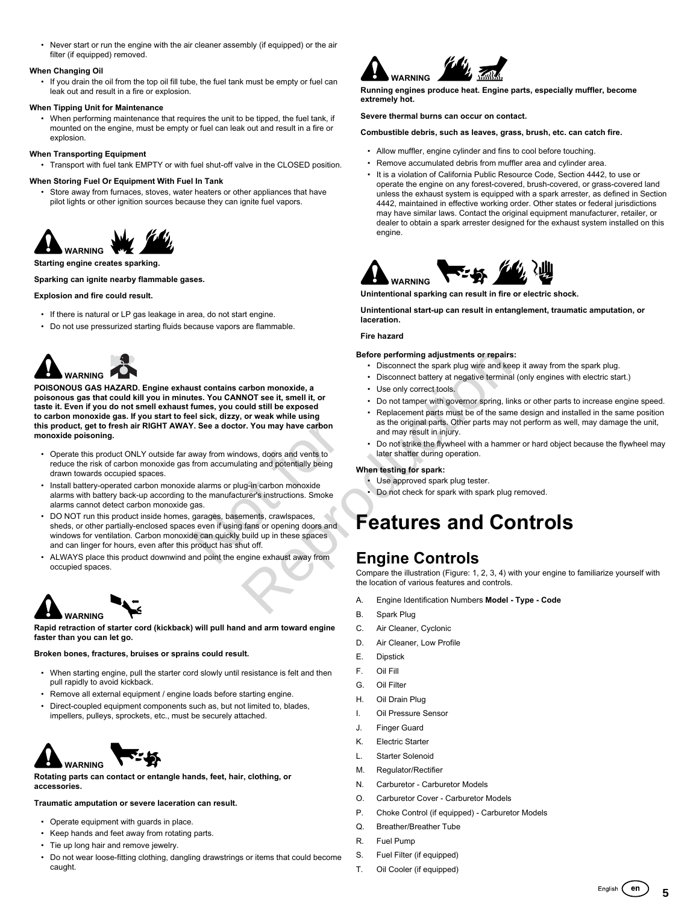• Never start or run the engine with the air cleaner assembly (if equipped) or the air filter (if equipped) removed.

### **When Changing Oil**

• If you drain the oil from the top oil fill tube, the fuel tank must be empty or fuel can leak out and result in a fire or explosion.

### **When Tipping Unit for Maintenance**

• When performing maintenance that requires the unit to be tipped, the fuel tank, if mounted on the engine, must be empty or fuel can leak out and result in a fire or explosion.

### **When Transporting Equipment**

• Transport with fuel tank EMPTY or with fuel shut-off valve in the CLOSED position.

### **When Storing Fuel Or Equipment With Fuel In Tank**

Store away from furnaces, stoves, water heaters or other appliances that have pilot lights or other ignition sources because they can ignite fuel vapors.



### **Starting engine creates sparking.**

**Sparking can ignite nearby flammable gases.**

### **Explosion and fire could result.**

- If there is natural or LP gas leakage in area, do not start engine.
- Do not use pressurized starting fluids because vapors are flammable.



Before performing adjustments or repairs<br>
• Disconnect the spark plug wire and ke<br>
• Disconnect battery at regains<br>
• Use only correct tools<br>
on the exposed tender with governor spring, lin<br>
or weak while using<br>
or. You ma **POISONOUS GAS HAZARD. Engine exhaust contains carbon monoxide, a poisonous gas that could kill you in minutes. You CANNOT see it, smell it, or taste it. Even if you do not smell exhaust fumes, you could still be exposed to carbon monoxide gas. If you start to feel sick, dizzy, or weak while using this product, get to fresh air RIGHT AWAY. See a doctor. You may have carbon monoxide poisoning.**

- Operate this product ONLY outside far away from windows, doors and vents to reduce the risk of carbon monoxide gas from accumulating and potentially being drawn towards occupied spaces.
- Install battery-operated carbon monoxide alarms or plug-in carbon monoxide alarms with battery back-up according to the manufacturer's instructions. Smoke alarms cannot detect carbon monoxide gas.
- Y. See a doctor. You may have carbon<br>away from windows, doors and vents to<br>from accumulating and potentially being<br>le alarms or plug-in carbon monoxide<br>o the manufacturer's instructions. Smoke<br>gas.<br>garages, basements, craw • DO NOT run this product inside homes, garages, basements, crawlspaces, sheds, or other partially-enclosed spaces even if using fans or opening doors and windows for ventilation. Carbon monoxide can quickly build up in these spaces and can linger for hours, even after this product has shut off.
- ALWAYS place this product downwind and point the engine exhaust away from occupied spaces.

# **WARNING**

**Rapid retraction of starter cord (kickback) will pull hand and arm toward engine faster than you can let go.**

### **Broken bones, fractures, bruises or sprains could result.**

- When starting engine, pull the starter cord slowly until resistance is felt and then pull rapidly to avoid kickback.
- Remove all external equipment / engine loads before starting engine.
- Direct-coupled equipment components such as, but not limited to, blades, impellers, pulleys, sprockets, etc., must be securely attached.



**Rotating parts can contact or entangle hands, feet, hair, clothing, or accessories.**

**Traumatic amputation or severe laceration can result.**

- Operate equipment with guards in place.
- Keep hands and feet away from rotating parts.
- Tie up long hair and remove jewelry.
- Do not wear loose-fitting clothing, dangling drawstrings or items that could become caught.



**Running engines produce heat. Engine parts, especially muffler, become extremely hot.**

**Severe thermal burns can occur on contact.**

**Combustible debris, such as leaves, grass, brush, etc. can catch fire.**

- Allow muffler, engine cylinder and fins to cool before touching.
- Remove accumulated debris from muffler area and cylinder area.
- It is a violation of California Public Resource Code, Section 4442, to use or operate the engine on any forest-covered, brush-covered, or grass-covered land unless the exhaust system is equipped with a spark arrester, as defined in Section 4442, maintained in effective working order. Other states or federal jurisdictions may have similar laws. Contact the original equipment manufacturer, retailer, or dealer to obtain a spark arrester designed for the exhaust system installed on this engine.



**Unintentional sparking can result in fire or electric shock.**

**Unintentional start-up can result in entanglement, traumatic amputation, or laceration.**

#### **Fire hazard**

### **Before performing adjustments or repairs:**

- Disconnect the spark plug wire and keep it away from the spark plug.
- Disconnect battery at negative terminal (only engines with electric start.)
- Use only correct tools.
- Do not tamper with governor spring, links or other parts to increase engine speed.
- Replacement parts must be of the same design and installed in the same position as the original parts. Other parts may not perform as well, may damage the unit, and may result in injury.
- Do not strike the flywheel with a hammer or hard object because the flywheel may later shatter during operation.

### **When testing for spark:**

- Use approved spark plug tester.
- Do not check for spark with spark plug removed.

# **Features and Controls**

### **Engine Controls**

Compare the illustration (Figure: 1, 2, 3, 4) with your engine to familiarize yourself with the location of various features and controls.

- A. Engine Identification Numbers **Model Type Code**
- B. Spark Plug
- C. Air Cleaner, Cyclonic
- D. Air Cleaner, Low Profile
- E. Dipstick
- F. Oil Fill
- G. Oil Filter
- H. Oil Drain Plug
- I. Oil Pressure Sensor
- J. Finger Guard
- K. Electric Starter
- L. Starter Solenoid
- M. Regulator/Rectifier
- N. Carburetor Carburetor Models
- O. Carburetor Cover Carburetor Models
- P. Choke Control (if equipped) Carburetor Models
- Q. Breather/Breather Tube
- R. Fuel Pump
- S. Fuel Filter (if equipped)
- T. Oil Cooler (if equipped)

**5**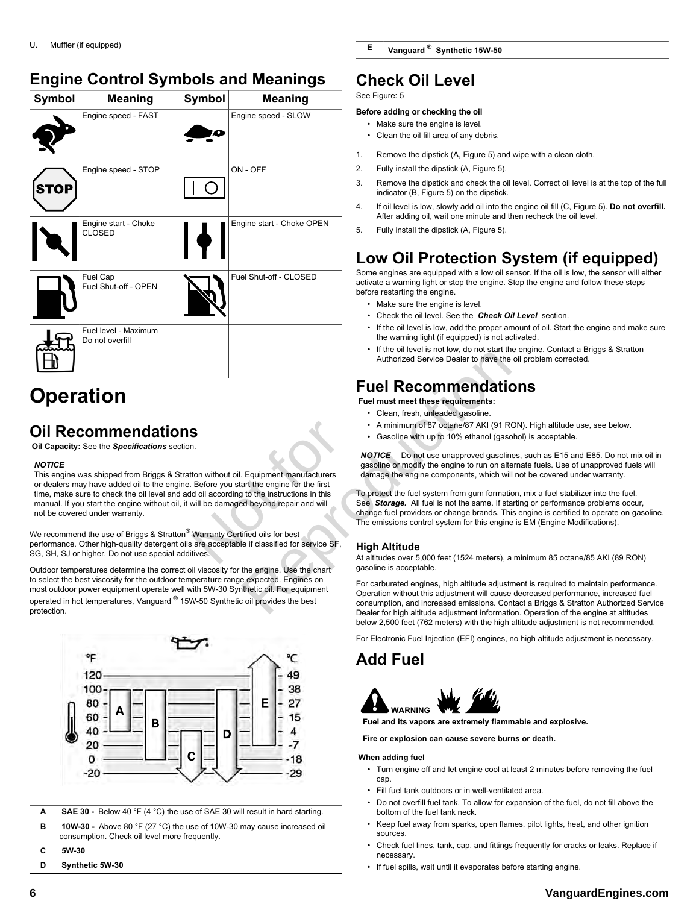# **Engine Control Symbols and Meanings**

| <b>Symbol</b> | <b>Meaning</b>                          | <b>Symbol</b> | <b>Meaning</b>            |
|---------------|-----------------------------------------|---------------|---------------------------|
|               | Engine speed - FAST                     |               | Engine speed - SLOW       |
| <b>STOP</b>   | Engine speed - STOP                     |               | ON - OFF                  |
|               | Engine start - Choke<br><b>CLOSED</b>   |               | Engine start - Choke OPEN |
|               | Fuel Cap<br>Fuel Shut-off - OPEN        |               | Fuel Shut-off - CLOSED    |
|               | Fuel level - Maximum<br>Do not overfill |               |                           |

# **Operation**

# **Oil Recommendations**

**Oil Capacity:** See the *Specifications* section.

### *NOTICE*

**S**<br>
In.<br>
tton without oil. Equipment manufacturers<br>
Before you start the engine for the first<br>
dd oil according to the instructions in this<br>
will be damaged beyond repair and will<br>
Warranty Certified oils for best<br>
are ac This engine was shipped from Briggs & Stratton without oil. Equipment manufacturers or dealers may have added oil to the engine. Before you start the engine for the first time, make sure to check the oil level and add oil according to the instructions in this manual. If you start the engine without oil, it will be damaged beyond repair and will not be covered under warranty.

We recommend the use of Briggs & Stratton® Warranty Certified oils for best performance. Other high-quality detergent oils are acceptable if classified for service SF, SG, SH, SJ or higher. Do not use special additives.

Outdoor temperatures determine the correct oil viscosity for the engine. Use the chart to select the best viscosity for the outdoor temperature range expected. Engines on most outdoor power equipment operate well with 5W-30 Synthetic oil. For equipment operated in hot temperatures, Vanguard ® 15W-50 Synthetic oil provides the best protection.



| А | SAE 30 - Below 40 °F (4 °C) the use of SAE 30 will result in hard starting.                                             |
|---|-------------------------------------------------------------------------------------------------------------------------|
| в | 10W-30 - Above 80 °F (27 °C) the use of 10W-30 may cause increased oil<br>consumption. Check oil level more frequently. |
|   | 5W-30                                                                                                                   |
| D | Synthetic 5W-30                                                                                                         |

**E Vanguard ® Synthetic 15W-50**

# **Check Oil Level**

### See Figure: 5

**Before adding or checking the oil**

- Make sure the engine is level.
- Clean the oil fill area of any debris.
- 1. Remove the dipstick (A, Figure 5) and wipe with a clean cloth.
- 2. Fully install the dipstick (A, Figure 5).
- 3. Remove the dipstick and check the oil level. Correct oil level is at the top of the full indicator (B. Figure 5) on the dipstick.
- 4. If oil level is low, slowly add oil into the engine oil fill (C, Figure 5). **Do not overfill.** After adding oil, wait one minute and then recheck the oil level.
- 5. Fully install the dipstick (A, Figure 5).

# **Low Oil Protection System (if equipped)**

Some engines are equipped with a low oil sensor. If the oil is low, the sensor will either activate a warning light or stop the engine. Stop the engine and follow these steps before restarting the engine.

- Make sure the engine is level.
- Check the oil level. See the *Check Oil Level* section.
- If the oil level is low, add the proper amount of oil. Start the engine and make sure the warning light (if equipped) is not activated.
- If the oil level is not low, do not start the engine. Contact a Briggs & Stratton Authorized Service Dealer to have the oil problem corrected.

# **Fuel Recommendations**

**Fuel must meet these requirements:**

- Clean, fresh, unleaded gasoline.
- A minimum of 87 octane/87 AKI (91 RON). High altitude use, see below.
- Gasoline with up to 10% ethanol (gasohol) is acceptable.

*NOTICE* Do not use unapproved gasolines, such as E15 and E85. Do not mix oil in gasoline or modify the engine to run on alternate fuels. Use of unapproved fuels will damage the engine components, which will not be covered under warranty.

The office of the set of the set of the set of the set of the set of the set of the set of the set of the set of the set of the set of the set of the set of the set of the set of the set of the set of the set of the set of To protect the fuel system from gum formation, mix a fuel stabilizer into the fuel. See *Storage.* All fuel is not the same. If starting or performance problems occur, change fuel providers or change brands. This engine is certified to operate on gasoline. The emissions control system for this engine is EM (Engine Modifications).

### **High Altitude**

At altitudes over 5,000 feet (1524 meters), a minimum 85 octane/85 AKI (89 RON) gasoline is acceptable.

For carbureted engines, high altitude adjustment is required to maintain performance. Operation without this adjustment will cause decreased performance, increased fuel consumption, and increased emissions. Contact a Briggs & Stratton Authorized Service Dealer for high altitude adjustment information. Operation of the engine at altitudes below 2,500 feet (762 meters) with the high altitude adjustment is not recommended.

For Electronic Fuel Injection (EFI) engines, no high altitude adjustment is necessary.

**Add Fuel**



**Fuel and its vapors are extremely flammable and explosive.**

**Fire or explosion can cause severe burns or death.**

### **When adding fuel**

- Turn engine off and let engine cool at least 2 minutes before removing the fuel cap.
- Fill fuel tank outdoors or in well-ventilated area.
- Do not overfill fuel tank. To allow for expansion of the fuel, do not fill above the bottom of the fuel tank neck.
- Keep fuel away from sparks, open flames, pilot lights, heat, and other ignition sources.
- Check fuel lines, tank, cap, and fittings frequently for cracks or leaks. Replace if necessary.
- If fuel spills, wait until it evaporates before starting engine.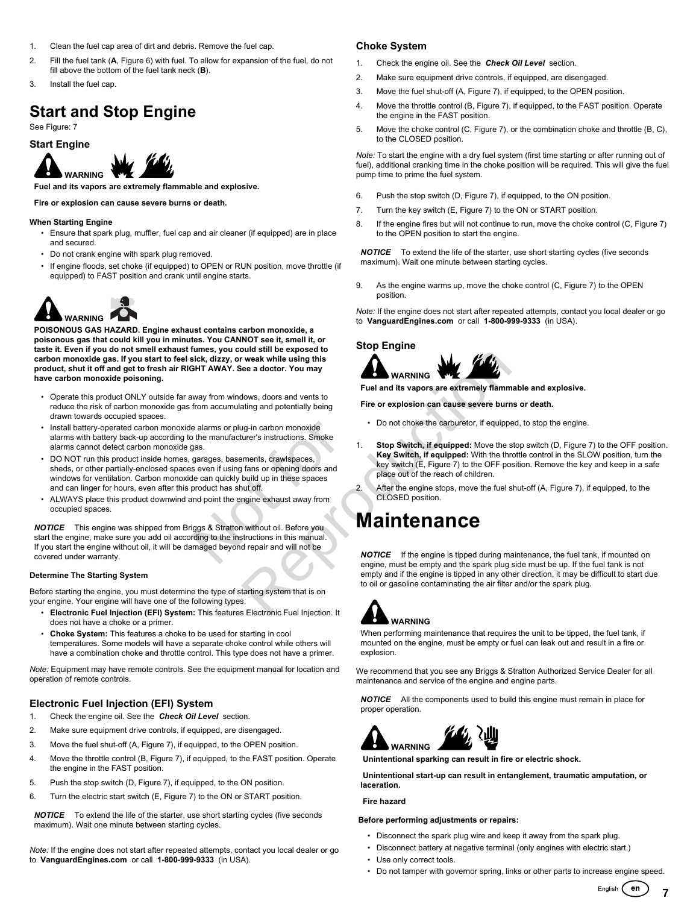- 1. Clean the fuel cap area of dirt and debris. Remove the fuel cap.
- 2. Fill the fuel tank (**A**, Figure 6) with fuel. To allow for expansion of the fuel, do not fill above the bottom of the fuel tank neck (**B**).
- 3. Install the fuel cap.

# **Start and Stop Engine**

See Figure: 7



**Fuel and its vapors are extremely flammable and explosive.**

**Fire or explosion can cause severe burns or death.**

### **When Starting Engine**

- Ensure that spark plug, muffler, fuel cap and air cleaner (if equipped) are in place and secured.
- Do not crank engine with spark plug removed.
- If engine floods, set choke (if equipped) to OPEN or RUN position, move throttle (if equipped) to FAST position and crank until engine starts.



**POISONOUS GAS HAZARD. Engine exhaust contains carbon monoxide, a poisonous gas that could kill you in minutes. You CANNOT see it, smell it, or taste it. Even if you do not smell exhaust fumes, you could still be exposed to carbon monoxide gas. If you start to feel sick, dizzy, or weak while using this product, shut it off and get to fresh air RIGHT AWAY. See a doctor. You may have carbon monoxide poisoning.**

- Operate this product ONLY outside far away from windows, doors and vents to reduce the risk of carbon monoxide gas from accumulating and potentially being drawn towards occupied spaces.
- Install battery-operated carbon monoxide alarms or plug-in carbon monoxide alarms with battery back-up according to the manufacturer's instructions. Smoke alarms cannot detect carbon monoxide gas.
- DO NOT run this product inside homes, garages, basements, crawlspaces, sheds, or other partially-enclosed spaces even if using fans or opening doors and windows for ventilation. Carbon monoxide can quickly build up in these spaces and can linger for hours, even after this product has shut off.
- ALWAYS place this product downwind and point the engine exhaust away from occupied spaces.

le alarms or plug-in carbon monoxide<br>o the manufacturer's instructions. Smoke<br>gas.<br>garages, basements, crawlspaces,<br>se even if using fans or opening doors and<br>de can quickly build up in these spaces<br>product has shut off.<br>a *NOTICE* This engine was shipped from Briggs & Stratton without oil. Before you start the engine, make sure you add oil according to the instructions in this manual. If you start the engine without oil, it will be damaged beyond repair and will not be covered under warranty.

### **Determine The Starting System**

Before starting the engine, you must determine the type of starting system that is on your engine. Your engine will have one of the following types.

- **Electronic Fuel Injection (EFI) System:** This features Electronic Fuel Injection. It does not have a choke or a primer.
- **Choke System:** This features a choke to be used for starting in cool temperatures. Some models will have a separate choke control while others will have a combination choke and throttle control. This type does not have a primer.

*Note:* Equipment may have remote controls. See the equipment manual for location and operation of remote controls.

### **Electronic Fuel Injection (EFI) System**

- 1. Check the engine oil. See the *Check Oil Level* section.
- 2. Make sure equipment drive controls, if equipped, are disengaged.
- 3. Move the fuel shut-off (A, Figure 7), if equipped, to the OPEN position.
- 4. Move the throttle control (B, Figure 7), if equipped, to the FAST position. Operate the engine in the FAST position.
- 5. Push the stop switch (D, Figure 7), if equipped, to the ON position.
- 6. Turn the electric start switch (E, Figure 7) to the ON or START position.

*NOTICE* To extend the life of the starter, use short starting cycles (five seconds maximum). Wait one minute between starting cycles.

*Note:* If the engine does not start after repeated attempts, contact you local dealer or go to **VanguardEngines.com** or call **1-800-999-9333** (in USA).

### **Choke System**

- 1. Check the engine oil. See the *Check Oil Level* section.
- 2. Make sure equipment drive controls, if equipped, are disengaged.
- 3. Move the fuel shut-off (A, Figure 7), if equipped, to the OPEN position.
- 4. Move the throttle control (B, Figure 7), if equipped, to the FAST position. Operate the engine in the FAST position.
- 5. Move the choke control (C, Figure 7), or the combination choke and throttle (B, C), to the CLOSED position.

*Note:* To start the engine with a dry fuel system (first time starting or after running out of fuel), additional cranking time in the choke position will be required. This will give the fuel pump time to prime the fuel system.

- 6. Push the stop switch (D, Figure 7), if equipped, to the ON position.
- 7. Turn the key switch (E, Figure 7) to the ON or START position.
- 8. If the engine fires but will not continue to run, move the choke control (C, Figure 7) to the OPEN position to start the engine.

*NOTICE* To extend the life of the starter, use short starting cycles (five seconds maximum). Wait one minute between starting cycles.

9. As the engine warms up, move the choke control (C, Figure 7) to the OPEN position.

*Note:* If the engine does not start after repeated attempts, contact you local dealer or go to **VanguardEngines.com** or call **1-800-999-9333** (in USA).

### **Stop Engine**



**Fuel and its vapors are extremely flammable and explosive.**

**Fire or explosion can cause severe burns or death.**

- Do not choke the carburetor, if equipped, to stop the engine.
- Solution in the explosion of the engine is the engine of the same of the same of the same of the same of the same of the same of the same of the same of the same of the same of the same of the same of the same of the same **Stop Switch, if equipped:** Move the stop switch (D, Figure 7) to the OFF position. **Key Switch, if equipped:** With the throttle control in the SLOW position, turn the key switch (E, Figure 7) to the OFF position. Remove the key and keep in a safe place out of the reach of children.
	- After the engine stops, move the fuel shut-off (A, Figure 7), if equipped, to the CLOSED position.

# **Maintenance**

*NOTICE* If the engine is tipped during maintenance, the fuel tank, if mounted on engine, must be empty and the spark plug side must be up. If the fuel tank is not empty and if the engine is tipped in any other direction, it may be difficult to start due to oil or gasoline contaminating the air filter and/or the spark plug.



When performing maintenance that requires the unit to be tipped, the fuel tank, if mounted on the engine, must be empty or fuel can leak out and result in a fire or explosion.

We recommend that you see any Briggs & Stratton Authorized Service Dealer for all maintenance and service of the engine and engine parts.

*NOTICE* All the components used to build this engine must remain in place for proper operation.



**Unintentional sparking can result in fire or electric shock.**

**Unintentional start-up can result in entanglement, traumatic amputation, or laceration.**

**Fire hazard**

### **Before performing adjustments or repairs:**

- Disconnect the spark plug wire and keep it away from the spark plug.
- Disconnect battery at negative terminal (only engines with electric start.)
- Use only correct tools.
- Do not tamper with governor spring, links or other parts to increase engine speed.

English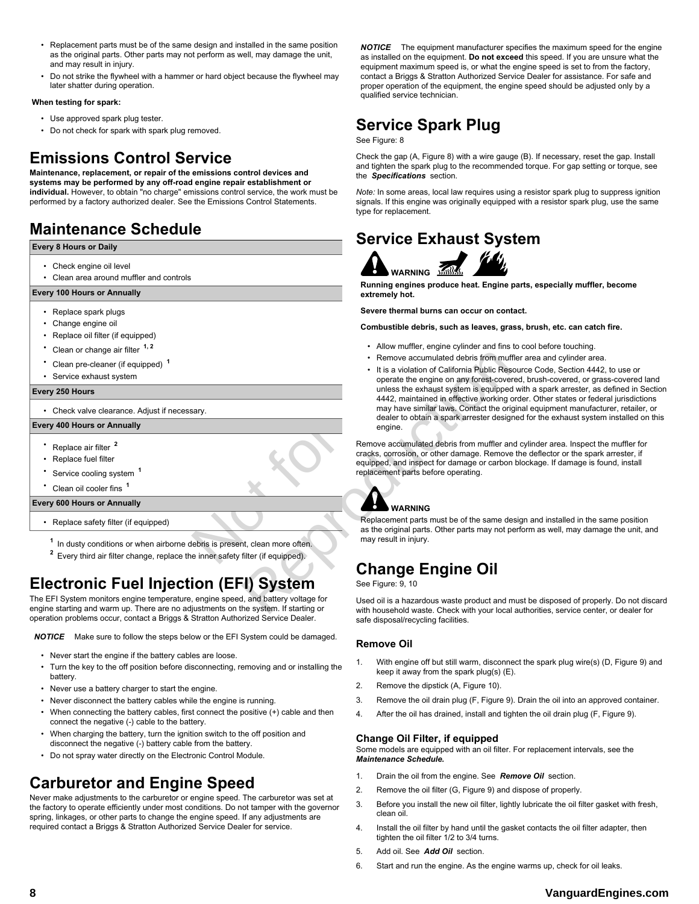- Replacement parts must be of the same design and installed in the same position as the original parts. Other parts may not perform as well, may damage the unit, and may result in injury.
- Do not strike the flywheel with a hammer or hard object because the flywheel may later shatter during operation.

### **When testing for spark:**

- Use approved spark plug tester.
- Do not check for spark with spark plug removed.

# **Emissions Control Service**

**Maintenance, replacement, or repair of the emissions control devices and systems may be performed by any off-road engine repair establishment or individual.** However, to obtain "no charge" emissions control service, the work must be performed by a factory authorized dealer. See the Emissions Control Statements.

# **Maintenance Schedule**

### **Every 8 Hours or Daily**

- Check engine oil level
- Clean area around muffler and controls

### **Every 100 Hours or Annually**

- Replace spark plugs
- Change engine oil
- Replace oil filter (if equipped)
- Clean or change air filter **1, 2**
- Clean pre-cleaner (if equipped) **<sup>1</sup>**

### • Service exhaust system

### **Every 250 Hours**

• Check valve clearance. Adjust if necessary.

### **Every 400 Hours or Annually**

- Replace air filter **<sup>2</sup>**
- Replace fuel filter
- Service cooling system **<sup>1</sup>**
- Clean oil cooler fins **<sup>1</sup>**

### **Every 600 Hours or Annually**

- Replace safety filter (if equipped)
- Nebris is present, clean more often.<br>Nebris is present, clean more often.<br>Ne inner safety filter (if equipped). **1** In dusty conditions or when airborne debris is present, clean more often.
- **2** Every third air filter change, replace the inner safety filter (if equipped).

# **Electronic Fuel Injection (EFI) System**

The EFI System monitors engine temperature, engine speed, and battery voltage for engine starting and warm up. There are no adjustments on the system. If starting or operation problems occur, contact a Briggs & Stratton Authorized Service Dealer.

*NOTICE* Make sure to follow the steps below or the EFI System could be damaged.

- Never start the engine if the battery cables are loose.
- Turn the key to the off position before disconnecting, removing and or installing the battery.
- Never use a battery charger to start the engine.
- Never disconnect the battery cables while the engine is running.
- When connecting the battery cables, first connect the positive (+) cable and then connect the negative (-) cable to the battery.
- When charging the battery, turn the ignition switch to the off position and disconnect the negative (-) battery cable from the battery.
- Do not spray water directly on the Electronic Control Module.

# **Carburetor and Engine Speed**

Never make adjustments to the carburetor or engine speed. The carburetor was set at the factory to operate efficiently under most conditions. Do not tamper with the governor spring, linkages, or other parts to change the engine speed. If any adjustments are required contact a Briggs & Stratton Authorized Service Dealer for service.

*NOTICE* The equipment manufacturer specifies the maximum speed for the engine as installed on the equipment. **Do not exceed** this speed. If you are unsure what the equipment maximum speed is, or what the engine speed is set to from the factory, contact a Briggs & Stratton Authorized Service Dealer for assistance. For safe and proper operation of the equipment, the engine speed should be adjusted only by a qualified service technician.

# **Service Spark Plug**

### See Figure: 8

Check the gap (A, Figure 8) with a wire gauge (B). If necessary, reset the gap. Install and tighten the spark plug to the recommended torque. For gap setting or torque, see the *Specifications* section.

*Note:* In some areas, local law requires using a resistor spark plug to suppress ignition signals. If this engine was originally equipped with a resistor spark plug, use the same type for replacement.

# **Service Exhaust System**



**Running engines produce heat. Engine parts, especially muffler, become extremely hot.**

**Severe thermal burns can occur on contact.**

**Combustible debris, such as leaves, grass, brush, etc. can catch fire.**

- Allow muffler, engine cylinder and fins to cool before touching.
- Remove accumulated debris from muffler area and cylinder area.
- Framove accumulated debris from muffere and the engine on any forest coverage the engine and spark are set over the engine.<br>
The scheen of California Public Reservative working the engine and the engine.<br>
The space of the • It is a violation of California Public Resource Code, Section 4442, to use or operate the engine on any forest-covered, brush-covered, or grass-covered land unless the exhaust system is equipped with a spark arrester, as defined in Section 4442, maintained in effective working order. Other states or federal jurisdictions may have similar laws. Contact the original equipment manufacturer, retailer, or dealer to obtain a spark arrester designed for the exhaust system installed on this engine.

Remove accumulated debris from muffler and cylinder area. Inspect the muffler for cracks, corrosion, or other damage. Remove the deflector or the spark arrester, if equipped, and inspect for damage or carbon blockage. If damage is found, install replacement parts before operating.



Replacement parts must be of the same design and installed in the same position as the original parts. Other parts may not perform as well, may damage the unit, and may result in injury.

# **Change Engine Oil**

### See Figure: 9, 10

Used oil is a hazardous waste product and must be disposed of properly. Do not discard with household waste. Check with your local authorities, service center, or dealer for safe disposal/recycling facilities.

### **Remove Oil**

- 1. With engine off but still warm, disconnect the spark plug wire(s) (D, Figure 9) and keep it away from the spark plug(s) (E).
- 2. Remove the dipstick (A, Figure 10).
- 3. Remove the oil drain plug (F, Figure 9). Drain the oil into an approved container.
- 4. After the oil has drained, install and tighten the oil drain plug (F, Figure 9).

### **Change Oil Filter, if equipped**

Some models are equipped with an oil filter. For replacement intervals, see the *Maintenance Schedule.*

- 1. Drain the oil from the engine. See *Remove Oil* section.
- 2. Remove the oil filter (G, Figure 9) and dispose of properly.
- 3. Before you install the new oil filter, lightly lubricate the oil filter gasket with fresh, clean oil.
- 4. Install the oil filter by hand until the gasket contacts the oil filter adapter, then tighten the oil filter 1/2 to 3/4 turns.
- 5. Add oil. See *Add Oil* section.
- 6. Start and run the engine. As the engine warms up, check for oil leaks.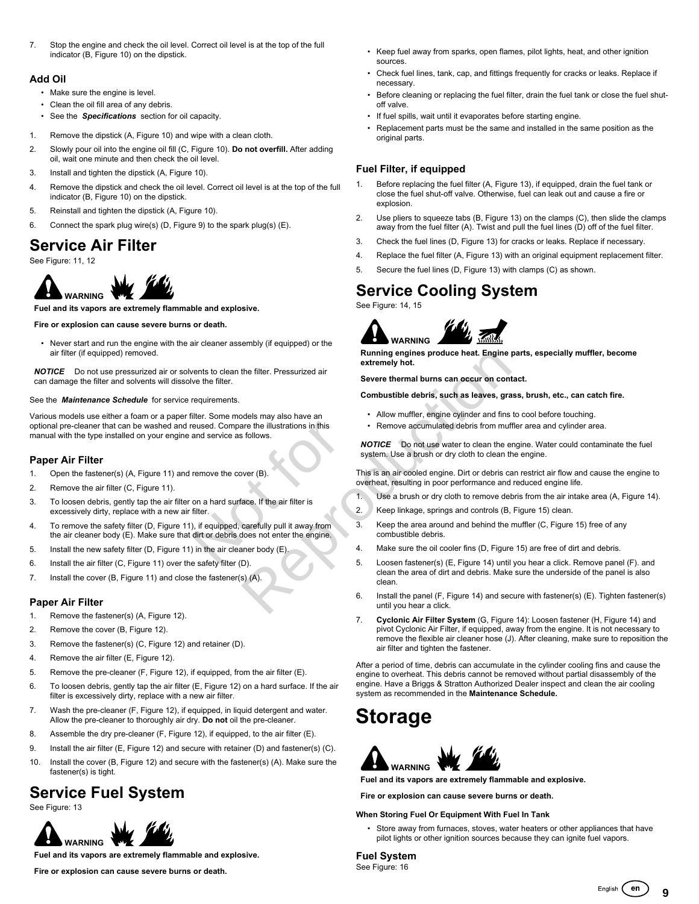7. Stop the engine and check the oil level. Correct oil level is at the top of the full indicator (B, Figure 10) on the dipstick.

### **Add Oil**

- Make sure the engine is level.
- Clean the oil fill area of any debris.
- See the *Specifications* section for oil capacity.
- 1. Remove the dipstick (A, Figure 10) and wipe with a clean cloth.
- 2. Slowly pour oil into the engine oil fill (C, Figure 10). **Do not overfill.** After adding oil, wait one minute and then check the oil level.
- 3. Install and tighten the dipstick (A, Figure 10).
- 4. Remove the dipstick and check the oil level. Correct oil level is at the top of the full indicator (B. Figure 10) on the dipstick.
- 5. Reinstall and tighten the dipstick (A, Figure 10).
- 6. Connect the spark plug wire(s) (D, Figure 9) to the spark plug(s) (E).

### **Service Air Filter**

See Figure: 11, 12



**Fuel and its vapors are extremely flammable and explosive.**

**Fire or explosion can cause severe burns or death.**

• Never start and run the engine with the air cleaner assembly (if equipped) or the air filter (if equipped) removed.

*NOTICE* Do not use pressurized air or solvents to clean the filter. Pressurized air can damage the filter and solvents will dissolve the filter.

### See the *Maintenance Schedule* for service requirements.

Various models use either a foam or a paper filter. Some models may also have an optional pre-cleaner that can be washed and reused. Compare the illustrations in this manual with the type installed on your engine and service as follows.

### **Paper Air Filter**

- 1. Open the fastener(s) (A, Figure 11) and remove the cover (B).
- 2. Remove the air filter (C, Figure 11).
- 3. To loosen debris, gently tap the air filter on a hard surface. If the air filter is excessively dirty, replace with a new air filter.
- reused. Compare the illustrations in this<br>and service as follows.<br>remove the cover (B).<br>on a hard surface. If the air filter is<br>filter.<br>), if equipped, carefully pull it away from<br>dirt or debris does not enter the engine<br>) 4. To remove the safety filter (D, Figure 11), if equipped, carefully pull it away from the air cleaner body (E). Make sure that dirt or debris does not enter the engine.
- 5. Install the new safety filter (D, Figure 11) in the air cleaner body (E).
- 6. Install the air filter (C, Figure 11) over the safety filter (D).
- 7. Install the cover (B, Figure 11) and close the fastener(s) (A).

### **Paper Air Filter**

- 1. Remove the fastener(s) (A, Figure 12).
- 2. Remove the cover (B, Figure 12).
- 3. Remove the fastener(s) (C, Figure 12) and retainer (D).
- 4. Remove the air filter (E, Figure 12).
- 5. Remove the pre-cleaner (F, Figure 12), if equipped, from the air filter (E).
- 6. To loosen debris, gently tap the air filter (E, Figure 12) on a hard surface. If the air filter is excessively dirty, replace with a new air filter.
- 7. Wash the pre-cleaner (F, Figure 12), if equipped, in liquid detergent and water. Allow the pre-cleaner to thoroughly air dry. **Do not** oil the pre-cleaner.
- 8. Assemble the dry pre-cleaner (F, Figure 12), if equipped, to the air filter (E).
- 9. Install the air filter (E, Figure 12) and secure with retainer (D) and fastener(s) (C).
- 10. Install the cover (B, Figure 12) and secure with the fastener(s) (A). Make sure the fastener(s) is tight.

### **Service Fuel System**

See Figure: 13



**Fuel and its vapors are extremely flammable and explosive.**

**Fire or explosion can cause severe burns or death.**

- Keep fuel away from sparks, open flames, pilot lights, heat, and other ignition sources.
- Check fuel lines, tank, cap, and fittings frequently for cracks or leaks. Replace if necessary.
- Before cleaning or replacing the fuel filter, drain the fuel tank or close the fuel shutoff valve.
- If fuel spills, wait until it evaporates before starting engine.
- Replacement parts must be the same and installed in the same position as the original parts.

### **Fuel Filter, if equipped**

- 1. Before replacing the fuel filter (A, Figure 13), if equipped, drain the fuel tank or close the fuel shut-off valve. Otherwise, fuel can leak out and cause a fire or explosion.
- 2. Use pliers to squeeze tabs (B, Figure 13) on the clamps (C), then slide the clamps away from the fuel filter (A). Twist and pull the fuel lines (D) off of the fuel filter.
- 3. Check the fuel lines (D, Figure 13) for cracks or leaks. Replace if necessary.
- 4. Replace the fuel filter (A, Figure 13) with an original equipment replacement filter.
- 5. Secure the fuel lines (D, Figure 13) with clamps (C) as shown.

# **Service Cooling System**

See Figure: 14, 15



**Running engines produce heat. Engine parts, especially muffler, become extremely hot.**

**Severe thermal burns can occur on contact.**

**Combustible debris, such as leaves, grass, brush, etc., can catch fire.**

- Allow muffler, engine cylinder and fins to cool before touching.
- Remove accumulated debris from muffler area and cylinder area.

*NOTICE* Do not use water to clean the engine. Water could contaminate the fuel system. Use a brush or dry cloth to clean the engine.

This is an air cooled engine. Dirt or debris can restrict air flow and cause the engine to overheat, resulting in poor performance and reduced engine life.

- 1. Use a brush or dry cloth to remove debris from the air intake area (A, Figure 14).
- 2. Keep linkage, springs and controls (B, Figure 15) clean.
- 3. Keep the area around and behind the muffler (C, Figure 15) free of any combustible debris.
- 4. Make sure the oil cooler fins (D, Figure 15) are free of dirt and debris.
- **EXECTED SERVENT SERVE AND SERVE AND SERVE AND SERVE AND SERVE AND SERVE AND SERVE AND SERVE AND SERVE AND SERVED AND SERVED AND SERVED AND SERVED AND SERVED AND SERVED AND SERVED AND SERVED AND SERVED AND SERVED AND SERVE** 5. Loosen fastener(s) (E, Figure 14) until you hear a click. Remove panel (F). and clean the area of dirt and debris. Make sure the underside of the panel is also clean.
	- 6. Install the panel (F, Figure 14) and secure with fastener(s) (E). Tighten fastener(s) until you hear a click.
	- 7. **Cyclonic Air Filter System** (G, Figure 14): Loosen fastener (H, Figure 14) and pivot Cyclonic Air Filter, if equipped, away from the engine. It is not necessary to remove the flexible air cleaner hose (J). After cleaning, make sure to reposition the air filter and tighten the fastener.

After a period of time, debris can accumulate in the cylinder cooling fins and cause the engine to overheat. This debris cannot be removed without partial disassembly of the engine. Have a Briggs & Stratton Authorized Dealer inspect and clean the air cooling system as recommended in the **Maintenance Schedule.**

# **Storage**



**Fuel and its vapors are extremely flammable and explosive.**

**Fire or explosion can cause severe burns or death.**

### **When Storing Fuel Or Equipment With Fuel In Tank**

• Store away from furnaces, stoves, water heaters or other appliances that have pilot lights or other ignition sources because they can ignite fuel vapors.

### **Fuel System**

See Figure: 16

**9**

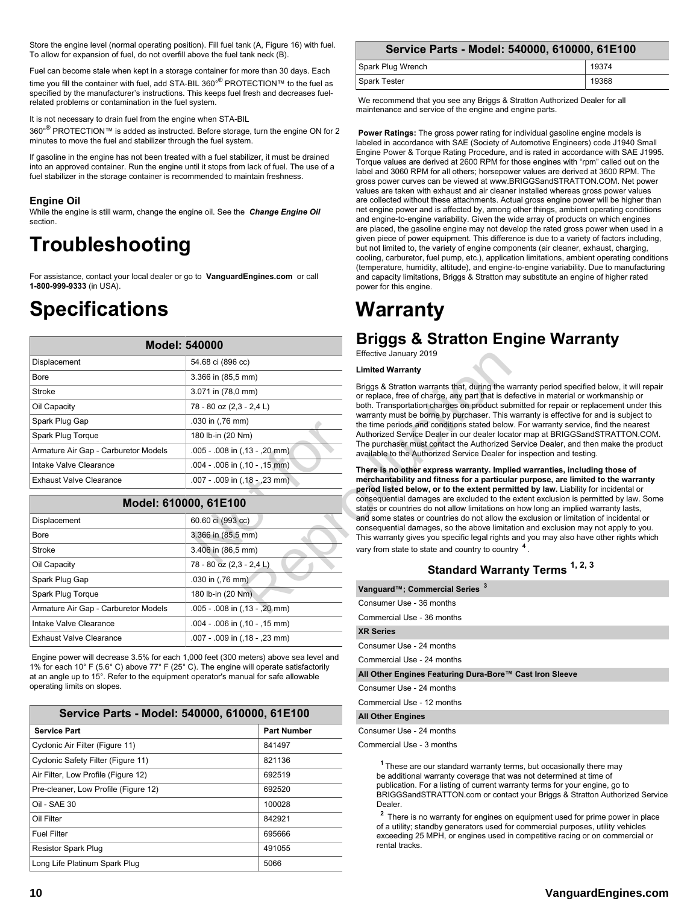Store the engine level (normal operating position). Fill fuel tank (A, Figure 16) with fuel. To allow for expansion of fuel, do not overfill above the fuel tank neck (B).

Fuel can become stale when kept in a storage container for more than 30 days. Each time you fill the container with fuel, add STA-BIL 360°<sup>®</sup> PROTECTION™ to the fuel as specified by the manufacturer's instructions. This keeps fuel fresh and decreases fuelrelated problems or contamination in the fuel system.

It is not necessary to drain fuel from the engine when STA-BIL

360<sup>°®</sup> PROTECTION™ is added as instructed. Before storage, turn the engine ON for 2 minutes to move the fuel and stabilizer through the fuel system.

If gasoline in the engine has not been treated with a fuel stabilizer, it must be drained into an approved container. Run the engine until it stops from lack of fuel. The use of a fuel stabilizer in the storage container is recommended to maintain freshness.

### **Engine Oil**

While the engine is still warm, change the engine oil. See the *Change Engine Oil* section.

# **Troubleshooting**

For assistance, contact your local dealer or go to **VanguardEngines.com** or call **1-800-999-9333** (in USA).

# **Specifications**

|                                      | <b>Model: 540000</b>              | Briggs & Stratton En<br>Effective January 2019                                                                                             |
|--------------------------------------|-----------------------------------|--------------------------------------------------------------------------------------------------------------------------------------------|
| Displacement                         | 54.68 ci (896 cc)                 |                                                                                                                                            |
| Bore                                 | 3.366 in (85,5 mm)                | <b>Limited Warranty</b>                                                                                                                    |
| <b>Stroke</b>                        | 3.071 in (78,0 mm)                | Briggs & Stratton warrants that, during the w<br>or replace, free of charge, any part that is de                                           |
| Oil Capacity                         | 78 - 80 oz (2,3 - 2,4 L)          | both. Transportation charges on product sub                                                                                                |
| Spark Plug Gap                       | .030 in (,76 mm)                  | warranty must be borne by purchaser. This y<br>the time periods and conditions stated below                                                |
| Spark Plug Torque                    | 180 lb-in (20 Nm)                 | Authorized Service Dealer in our dealer loca                                                                                               |
| Armature Air Gap - Carburetor Models | (20 mm). - 008 in (,13 - ,20 mm). | The purchaser must contact the Authorized !<br>available to the Authorized Service Dealer fo                                               |
| Intake Valve Clearance               | .004 - .006 in (,10 - ,15 mm)     | There is no other express warranty. Impli                                                                                                  |
| <b>Exhaust Valve Clearance</b>       | .007 - .009 in (,18 - ,23 mm).    | merchantability and fitness for a particula                                                                                                |
|                                      | Model: 610000, 61E100             | period listed below, or to the extent perm<br>consequential damages are excluded to the<br>states or countries do not allow limitations or |
| Displacement                         | 60.60 ci (993 cc)                 | and some states or countries do not allow th<br>consequential damages, so the above limitar                                                |
| Bore                                 | 3.366 in (85,5 mm)                | This warranty gives you specific legal rights                                                                                              |
| Stroke                               | 3.406 in (86,5 mm)                | vary from state to state and country to count                                                                                              |
| Oil Capacity                         | 78 - 80 oz (2,3 - 2,4 L)          | <b>Standard Warra</b>                                                                                                                      |
| Spark Plug Gap                       | .030 in (,76 mm)                  |                                                                                                                                            |
| Spark Plug Torque                    | 180 lb-in (20 Nm)                 | Vanguard <sup>™</sup> ; Commercial Series <sup>3</sup>                                                                                     |
| Armature Air Gap - Carburetor Models | .005 - .008 in (,13 - ,20 mm)     | Consumer Use - 36 months                                                                                                                   |

| <b>MOUSE OIVUUU, OILIUU</b>          |                               |  |
|--------------------------------------|-------------------------------|--|
| Displacement                         | 60.60 ci (993 cc)             |  |
| Bore                                 | 3.366 in (85,5 mm)            |  |
| Stroke                               | 3.406 in (86,5 mm)            |  |
| Oil Capacity                         | 78 - 80 oz (2,3 - 2,4 L)      |  |
| Spark Plug Gap                       | .030 in (,76 mm)              |  |
| Spark Plug Torque                    | 180 lb-in (20 Nm)             |  |
| Armature Air Gap - Carburetor Models | .005 - .008 in (,13 - ,20 mm) |  |
| Intake Valve Clearance               | .004 - .006 in (.10 - .15 mm) |  |
| <b>Exhaust Valve Clearance</b>       | .007 - .009 in (,18 - ,23 mm) |  |

 Engine power will decrease 3.5% for each 1,000 feet (300 meters) above sea level and 1% for each 10° F (5.6° C) above 77° F (25° C). The engine will operate satisfactorily at an angle up to 15°. Refer to the equipment operator's manual for safe allowable operating limits on slopes.

| Service Parts - Model: 540000, 610000, 61E100 |                    |  |
|-----------------------------------------------|--------------------|--|
| <b>Service Part</b>                           | <b>Part Number</b> |  |
| Cyclonic Air Filter (Figure 11)               | 841497             |  |
| Cyclonic Safety Filter (Figure 11)            | 821136             |  |
| Air Filter, Low Profile (Figure 12)           | 692519             |  |
| Pre-cleaner, Low Profile (Figure 12)          | 692520             |  |
| Oil - SAE 30                                  | 100028             |  |
| Oil Filter                                    | 842921             |  |
| <b>Fuel Filter</b>                            | 695666             |  |
| <b>Resistor Spark Plug</b>                    | 491055             |  |
| Long Life Platinum Spark Plug                 | 5066               |  |

### **Service Parts - Model: 540000, 610000, 61E100**

| Spark Plug Wrench | 19374 |
|-------------------|-------|
| Spark Tester      | 19368 |

 We recommend that you see any Briggs & Stratton Authorized Dealer for all maintenance and service of the engine and engine parts.

**Power Ratings:** The gross power rating for individual gasoline engine models is labeled in accordance with SAE (Society of Automotive Engineers) code J1940 Small Engine Power & Torque Rating Procedure, and is rated in accordance with SAE J1995. Torque values are derived at 2600 RPM for those engines with "rpm" called out on the label and 3060 RPM for all others; horsepower values are derived at 3600 RPM. The gross power curves can be viewed at www.BRIGGSandSTRATTON.COM. Net power values are taken with exhaust and air cleaner installed whereas gross power values are collected without these attachments. Actual gross engine power will be higher than net engine power and is affected by, among other things, ambient operating conditions and engine-to-engine variability. Given the wide array of products on which engines are placed, the gasoline engine may not develop the rated gross power when used in a given piece of power equipment. This difference is due to a variety of factors including, but not limited to, the variety of engine components (air cleaner, exhaust, charging, cooling, carburetor, fuel pump, etc.), application limitations, ambient operating conditions (temperature, humidity, altitude), and engine-to-engine variability. Due to manufacturing and capacity limitations, Briggs & Stratton may substitute an engine of higher rated power for this engine.

# **Warranty**

# **Briggs & Stratton Engine Warranty**

Briggs & Stratton warrants that, during the warranty period specified below, it will repair or replace, free of charge, any part that is defective in material or workmanship or both. Transportation charges on product submitted for repair or replacement under this warranty must be borne by purchaser. This warranty is effective for and is subject to the time periods and conditions stated below. For warranty service, find the nearest Authorized Service Dealer in our dealer locator map at BRIGGSandSTRATTON.COM. The purchaser must contact the Authorized Service Dealer, and then make the product available to the Authorized Service Dealer for inspection and testing.

**There is no other express warranty. Implied warranties, including those of merchantability and fitness for a particular purpose, are limited to the warranty period listed below, or to the extent permitted by law.** Liability for incidental or consequential damages are excluded to the extent exclusion is permitted by law. Some states or countries do not allow limitations on how long an implied warranty lasts, and some states or countries do not allow the exclusion or limitation of incidental or consequential damages, so the above limitation and exclusion may not apply to you. This warranty gives you specific legal rights and you may also have other rights which vary from state to state and country to country **<sup>4</sup>** .

| <b>Standard Warranty Terms</b> 1, 2, 3 |  |
|----------------------------------------|--|
|----------------------------------------|--|

| Vanquard <sup>™</sup> ; Commercial Series <sup>3</sup>                        |
|-------------------------------------------------------------------------------|
| Consumer Use - 36 months                                                      |
| Commercial Use - 36 months                                                    |
| <b>XR Series</b>                                                              |
| Consumer Use - 24 months                                                      |
| Commercial Use - 24 months                                                    |
| All Other Engines Featuring Dura-Bore™ Cast Iron Sleeve                       |
| Consumer Use - 24 months                                                      |
| Commercial Use - 12 months                                                    |
| <b>All Other Engines</b>                                                      |
| Consumer Use - 24 months                                                      |
| Commercial Use - 3 months                                                     |
| <sup>1</sup> These are our standard warranty terms but occasionally there may |

These are our standard warranty terms, but occasionally there may be additional warranty coverage that was not determined at time of publication. For a listing of current warranty terms for your engine, go to BRIGGSandSTRATTON.com or contact your Briggs & Stratton Authorized Service Dealer.

**2** There is no warranty for engines on equipment used for prime power in place of a utility; standby generators used for commercial purposes, utility vehicles exceeding 25 MPH, or engines used in competitive racing or on commercial or rental tracks.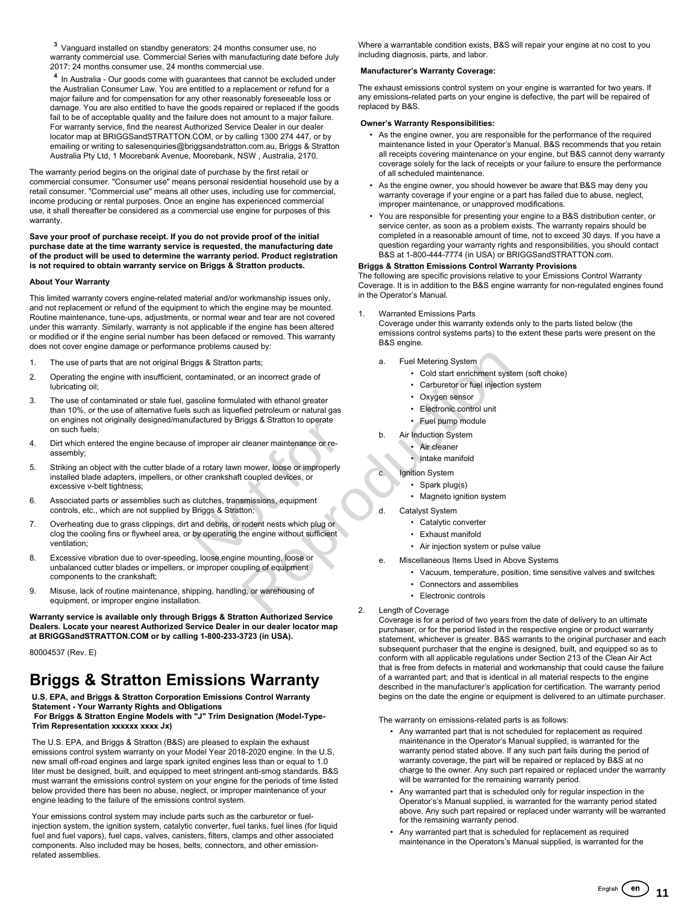**3** Vanguard installed on standby generators: 24 months consumer use, no warranty commercial use. Commercial Series with manufacturing date before July 2017: 24 months consumer use, 24 months commercial use.

**4** In Australia - Our goods come with guarantees that cannot be excluded under the Australian Consumer Law. You are entitled to a replacement or refund for a major failure and for compensation for any other reasonably foreseeable loss or damage. You are also entitled to have the goods repaired or replaced if the goods fail to be of acceptable quality and the failure does not amount to a major failure. For warranty service, find the nearest Authorized Service Dealer in our dealer locator map at BRIGGSandSTRATTON.COM, or by calling 1300 274 447, or by emailing or writing to salesenquiries@briggsandstratton.com.au, Briggs & Stratton Australia Pty Ltd, 1 Moorebank Avenue, Moorebank, NSW , Australia, 2170.

The warranty period begins on the original date of purchase by the first retail or commercial consumer. "Consumer use" means personal residential household use by a retail consumer. "Commercial use" means all other uses, including use for commercial, income producing or rental purposes. Once an engine has experienced commercial use, it shall thereafter be considered as a commercial use engine for purposes of this warranty.

**Save your proof of purchase receipt. If you do not provide proof of the initial purchase date at the time warranty service is requested, the manufacturing date of the product will be used to determine the warranty period. Product registration is not required to obtain warranty service on Briggs & Stratton products.**

### **About Your Warranty**

This limited warranty covers engine-related material and/or workmanship issues only, and not replacement or refund of the equipment to which the engine may be mounted. Routine maintenance, tune-ups, adjustments, or normal wear and tear are not covered under this warranty. Similarly, warranty is not applicable if the engine has been altered or modified or if the engine serial number has been defaced or removed. This warranty does not cover engine damage or performance problems caused by:

- 1. The use of parts that are not original Briggs & Stratton parts;
- 2. Operating the engine with insufficient, contaminated, or an incorrect grade of lubricating oil;
- a. Fuel Metering System<br>
a. Fuel Metering System<br>
a. Fuel Metering System<br>
a. Cold start enrichment syst<br>
ated with ethanol greater<br>
fied petroleum or natural gas<br>
cleaner maintenance or re-<br>
b. Air cleaner System<br>
cleaner 3. The use of contaminated or stale fuel, gasoline formulated with ethanol greater than 10%, or the use of alternative fuels such as liquefied petroleum or natural gas on engines not originally designed/manufactured by Briggs & Stratton to operate on such fuels;
- 4. Dirt which entered the engine because of improper air cleaner maintenance or reassembly;
- mactured by Briggs & Stration to operate<br>of improper air cleaner maintenance or re-<br>fa rotary lawn mower, loose or improperly<br>ther crankshaft coupled devices, or<br>clutches, transmissions, equipment<br>Briggs & Stratton;<br>and de 5. Striking an object with the cutter blade of a rotary lawn mower, loose or improperly installed blade adapters, impellers, or other crankshaft coupled devices, or excessive v-belt tightness;
- 6. Associated parts or assemblies such as clutches, transmissions, equipment controls, etc., which are not supplied by Briggs & Stratton;
- 7. Overheating due to grass clippings, dirt and debris, or rodent nests which plug or clog the cooling fins or flywheel area, or by operating the engine without sufficient ventilation;
- 8. Excessive vibration due to over-speeding, loose engine mounting, loose or unbalanced cutter blades or impellers, or improper coupling of equipment components to the crankshaft;
- 9. Misuse, lack of routine maintenance, shipping, handling, or warehousing of equipment, or improper engine installation.

**Warranty service is available only through Briggs & Stratton Authorized Service Dealers. Locate your nearest Authorized Service Dealer in our dealer locator map at BRIGGSandSTRATTON.COM or by calling 1-800-233-3723 (in USA).**

80004537 (Rev. E)

# **Briggs & Stratton Emissions Warranty**

**U.S. EPA, and Briggs & Stratton Corporation Emissions Control Warranty Statement - Your Warranty Rights and Obligations For Briggs & Stratton Engine Models with "J" Trim Designation (Model-Type-Trim Representation xxxxxx xxxx Jx)**

The U.S. EPA, and Briggs & Stratton (B&S) are pleased to explain the exhaust emissions control system warranty on your Model Year 2018-2020 engine. In the U.S, new small off-road engines and large spark ignited engines less than or equal to 1.0 liter must be designed, built, and equipped to meet stringent anti-smog standards. B&S must warrant the emissions control system on your engine for the periods of time listed below provided there has been no abuse, neglect, or improper maintenance of your engine leading to the failure of the emissions control system.

Your emissions control system may include parts such as the carburetor or fuelinjection system, the ignition system, catalytic converter, fuel tanks, fuel lines (for liquid fuel and fuel vapors), fuel caps, valves, canisters, filters, clamps and other associated components. Also included may be hoses, belts, connectors, and other emissionrelated assemblies.

Where a warrantable condition exists, B&S will repair your engine at no cost to you including diagnosis, parts, and labor.

### **Manufacturer's Warranty Coverage:**

The exhaust emissions control system on your engine is warranted for two years. If any emissions-related parts on your engine is defective, the part will be repaired of replaced by B&S.

### **Owner's Warranty Responsibilities:**

- As the engine owner, you are responsible for the performance of the required maintenance listed in your Operator's Manual. B&S recommends that you retain all receipts covering maintenance on your engine, but B&S cannot deny warranty coverage solely for the lack of receipts or your failure to ensure the performance of all scheduled maintenance.
- As the engine owner, you should however be aware that B&S may deny you warranty coverage if your engine or a part has failed due to abuse, neglect, improper maintenance, or unapproved modifications.
- You are responsible for presenting your engine to a B&S distribution center, or service center, as soon as a problem exists. The warranty repairs should be completed in a reasonable amount of time, not to exceed 30 days. If you have a question regarding your warranty rights and responsibilities, you should contact B&S at 1-800-444-7774 (in USA) or BRIGGSandSTRATTON.com.

### **Briggs & Stratton Emissions Control Warranty Provisions**

The following are specific provisions relative to your Emissions Control Warranty Coverage. It is in addition to the B&S engine warranty for non-regulated engines found in the Operator's Manual.

1. Warranted Emissions Parts

Coverage under this warranty extends only to the parts listed below (the emissions control systems parts) to the extent these parts were present on the B&S engine.

- a. Fuel Metering System
	- Cold start enrichment system (soft choke)
	- Carburetor or fuel injection system
	- Oxygen sensor
	- Electronic control unit
	- Fuel pump module
- b. Air Induction System
- Air cleaner
	- Intake manifold
- c. Ignition System
	- Spark plug(s)
		- Magneto ignition system
- d. Catalyst System
	- Catalytic converter
	- Exhaust manifold
	- Air injection system or pulse value
- e. Miscellaneous Items Used in Above Systems
	- Vacuum, temperature, position, time sensitive valves and switches
	- Connectors and assemblies
	- Electronic controls
- 2. Length of Coverage

Coverage is for a period of two years from the date of delivery to an ultimate purchaser, or for the period listed in the respective engine or product warranty statement, whichever is greater. B&S warrants to the original purchaser and each subsequent purchaser that the engine is designed, built, and equipped so as to conform with all applicable regulations under Section 213 of the Clean Air Act that is free from defects in material and workmanship that could cause the failure of a warranted part; and that is identical in all material respects to the engine described in the manufacturer's application for certification. The warranty period begins on the date the engine or equipment is delivered to an ultimate purchaser.

The warranty on emissions-related parts is as follows:

- Any warranted part that is not scheduled for replacement as required maintenance in the Operator's Manual supplied, is warranted for the warranty period stated above. If any such part fails during the period of warranty coverage, the part will be repaired or replaced by B&S at no charge to the owner. Any such part repaired or replaced under the warranty will be warranted for the remaining warranty period.
- Any warranted part that is scheduled only for regular inspection in the Operator's's Manual supplied, is warranted for the warranty period stated above. Any such part repaired or replaced under warranty will be warranted for the remaining warranty period.
- Any warranted part that is scheduled for replacement as required maintenance in the Operators's Manual supplied, is warranted for the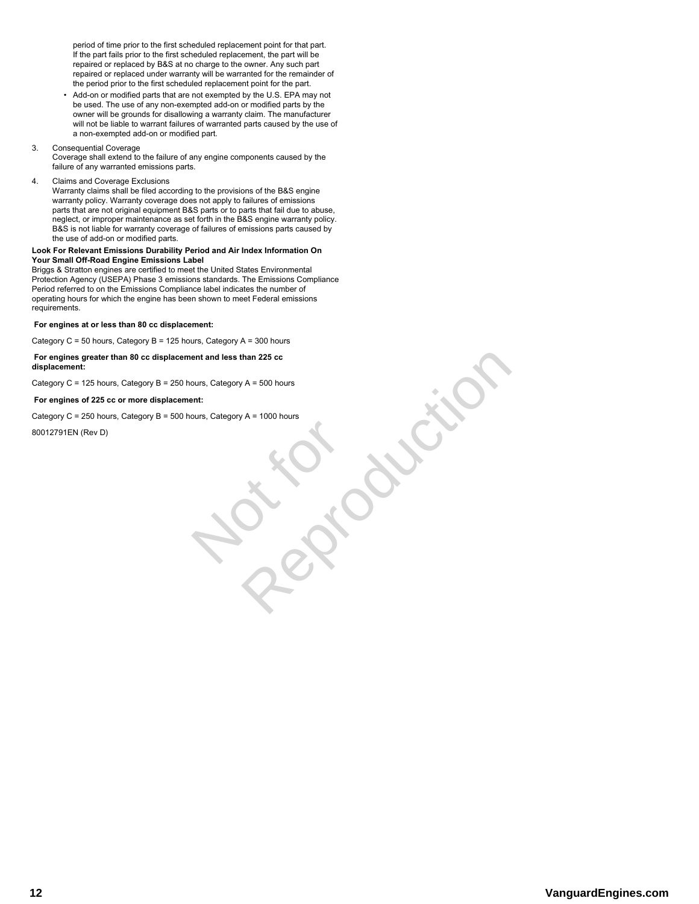period of time prior to the first scheduled replacement point for that part. If the part fails prior to the first scheduled replacement, the part will be repaired or replaced by B&S at no charge to the owner. Any such part repaired or replaced under warranty will be warranted for the remainder of the period prior to the first scheduled replacement point for the part.

- Add-on or modified parts that are not exempted by the U.S. EPA may not be used. The use of any non-exempted add-on or modified parts by the owner will be grounds for disallowing a warranty claim. The manufacturer will not be liable to warrant failures of warranted parts caused by the use of a non-exempted add-on or modified part.
- 3. Consequential Coverage

Coverage shall extend to the failure of any engine components caused by the failure of any warranted emissions parts.

4. Claims and Coverage Exclusions

Warranty claims shall be filed according to the provisions of the B&S engine warranty policy. Warranty coverage does not apply to failures of emissions parts that are not original equipment B&S parts or to parts that fail due to abuse, neglect, or improper maintenance as set forth in the B&S engine warranty policy. B&S is not liable for warranty coverage of failures of emissions parts caused by the use of add-on or modified parts.

### **Look For Relevant Emissions Durability Period and Air Index Information On Your Small Off-Road Engine Emissions Label**

Briggs & Stratton engines are certified to meet the United States Environmental Protection Agency (USEPA) Phase 3 emissions standards. The Emissions Compliance Period referred to on the Emissions Compliance label indicates the number of operating hours for which the engine has been shown to meet Federal emissions requirements.

**For engines at or less than 80 cc displacement:**

Category C = 50 hours, Category B = 125 hours, Category A = 300 hours

# Man 225 cc Reproduction **For engines greater than 80 cc displacement and less than 225 cc displacement:**

Category C = 125 hours, Category B = 250 hours, Category A = 500 hours

**For engines of 225 cc or more displacement:**

Not is Category C = 250 hours, Category B = 500 hours, Category A = 1000 hours

80012791EN (Rev D)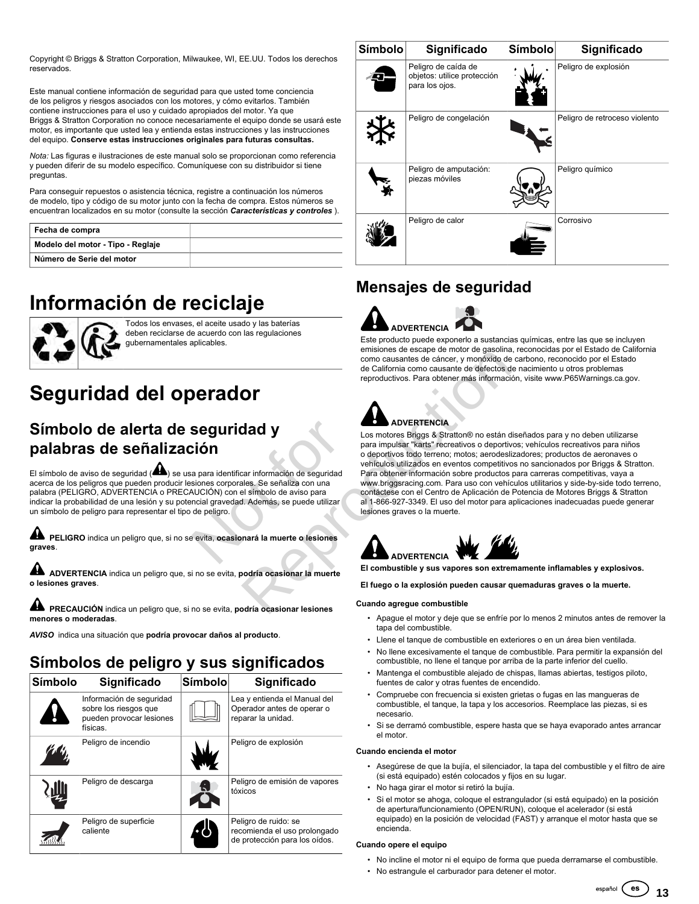Copyright © Briggs & Stratton Corporation, Milwaukee, WI, EE.UU. Todos los derechos reservados.

Este manual contiene información de seguridad para que usted tome conciencia de los peligros y riesgos asociados con los motores, y cómo evitarlos. También contiene instrucciones para el uso y cuidado apropiados del motor. Ya que Briggs & Stratton Corporation no conoce necesariamente el equipo donde se usará este motor, es importante que usted lea y entienda estas instrucciones y las instrucciones del equipo. **Conserve estas instrucciones originales para futuras consultas.**

*Nota:* Las figuras e ilustraciones de este manual solo se proporcionan como referencia y pueden diferir de su modelo específico. Comuníquese con su distribuidor si tiene preguntas.

Para conseguir repuestos o asistencia técnica, registre a continuación los números de modelo, tipo y código de su motor junto con la fecha de compra. Estos números se encuentran localizados en su motor (consulte la sección *Características y controles* ).

| Fecha de compra                   |  |
|-----------------------------------|--|
| Modelo del motor - Tipo - Reglaje |  |
| Número de Serie del motor         |  |

# **Información de reciclaje**



Todos los envases, el aceite usado y las baterías deben reciclarse de acuerdo con las regulaciones gubernamentales aplicables.

# **Seguridad del operador**

# **Símbolo de alerta de seguridad y palabras de señalización**

**Seguridad y<br>
Sión**<br>
Sa para identificar información de seguridad<br>
siones corporales. Se señaliza con una<br>
AUCIÓN) con el símbolo de aviso para<br>
note peligro.<br>
de peligro.<br>
e evita, **ocasionará la muerte o lesiones** El símbolo de aviso de seguridad  $($ <sup>4</sup> $)$  se usa para identificar información de seguridad acerca de los peligros que pueden producir lesiones corporales. Se señaliza con una palabra (PELIGRO, ADVERTENCIA o PRECAUCIÓN) con el símbolo de aviso para indicar la probabilidad de una lesión y su potencial gravedad. Además, se puede utilizar un símbolo de peligro para representar el tipo de peligro.

 **PELIGRO** indica un peligro que, si no se evita, **ocasionará la muerte o lesiones graves**.

 **ADVERTENCIA** indica un peligro que, si no se evita, **podría ocasionar la muerte o lesiones graves**.

 **PRECAUCIÓN** indica un peligro que, si no se evita, **podría ocasionar lesiones menores o moderadas**.

*AVISO* indica una situación que **podría provocar daños al producto**.

# **Símbolos de peligro y sus significados**

| <b>Símbolo</b> | Significado                                                                               | Símbolo | Significado                                                                           |
|----------------|-------------------------------------------------------------------------------------------|---------|---------------------------------------------------------------------------------------|
|                | Información de seguridad<br>sobre los riesgos que<br>pueden provocar lesiones<br>físicas. |         | Lea y entienda el Manual del<br>Operador antes de operar o<br>reparar la unidad.      |
|                | Peligro de incendio                                                                       |         | Peligro de explosión                                                                  |
|                | Peligro de descarga                                                                       |         | Peligro de emisión de vapores<br>tóxicos                                              |
|                | Peligro de superficie<br>caliente                                                         |         | Peligro de ruido: se<br>recomienda el uso prolongado<br>de protección para los oídos. |

| Símbolo | Significado                                                          | Símbolo | Significado                   |
|---------|----------------------------------------------------------------------|---------|-------------------------------|
|         | Peligro de caída de<br>objetos: utilice protección<br>para los ojos. |         | Peligro de explosión          |
|         | Peligro de congelación                                               |         | Peligro de retroceso violento |
|         | Peligro de amputación:<br>piezas móviles                             |         | Peligro químico               |
|         | Peligro de calor                                                     |         | Corrosivo                     |

# **Mensajes de seguridad**



Este producto puede exponerlo a sustancias químicas, entre las que se incluyen emisiones de escape de motor de gasolina, reconocidas por el Estado de California como causantes de cáncer, y monóxido de carbono, reconocido por el Estado de California como causante de defectos de nacimiento u otros problemas reproductivos. Para obtener más información, visite www.P65Warnings.ca.gov.

# **ADVERTENCIA**

COLORED ANDENTENCIA<br>
COLORED ANDENTERCIA<br>
COLORED ANDENTERCIA<br>
COLORED ANDENTERCIA<br>
COLORED ANDENTERCIA<br>
COLORED ANDENTERCIA<br>
Los motores Briggs & Stratton® no estánd<br>
para impulsar "karts" recreativos o deportivo<br>
o depor Los motores Briggs & Stratton® no están diseñados para y no deben utilizarse para impulsar "karts" recreativos o deportivos; vehículos recreativos para niños o deportivos todo terreno; motos; aerodeslizadores; productos de aeronaves o vehículos utilizados en eventos competitivos no sancionados por Briggs & Stratton. Para obtener información sobre productos para carreras competitivas, vaya a www.briggsracing.com. Para uso con vehículos utilitarios y side-by-side todo terreno, contáctese con el Centro de Aplicación de Potencia de Motores Briggs & Stratton al 1-866-927-3349. El uso del motor para aplicaciones inadecuadas puede generar lesiones graves o la muerte.

# **ADVERTENCIA**

**El combustible y sus vapores son extremamente inflamables y explosivos.**

**El fuego o la explosión pueden causar quemaduras graves o la muerte.**

### **Cuando agregue combustible**

- Apague el motor y deje que se enfríe por lo menos 2 minutos antes de remover la tapa del combustible.
- Llene el tanque de combustible en exteriores o en un área bien ventilada.
- No llene excesivamente el tanque de combustible. Para permitir la expansión del combustible, no llene el tanque por arriba de la parte inferior del cuello.
- Mantenga el combustible alejado de chispas, llamas abiertas, testigos piloto, fuentes de calor y otras fuentes de encendido.
- Compruebe con frecuencia si existen grietas o fugas en las mangueras de combustible, el tanque, la tapa y los accesorios. Reemplace las piezas, si es necesario.
- Si se derramó combustible, espere hasta que se haya evaporado antes arrancar el motor.

### **Cuando encienda el motor**

- Asegúrese de que la bujía, el silenciador, la tapa del combustible y el filtro de aire (si está equipado) estén colocados y fijos en su lugar.
- No haga girar el motor si retiró la bujía.
- Si el motor se ahoga, coloque el estrangulador (si está equipado) en la posición de apertura/funcionamiento (OPEN/RUN), coloque el acelerador (si está equipado) en la posición de velocidad (FAST) y arranque el motor hasta que se encienda.

### **Cuando opere el equipo**

- No incline el motor ni el equipo de forma que pueda derramarse el combustible.
- No estrangule el carburador para detener el motor.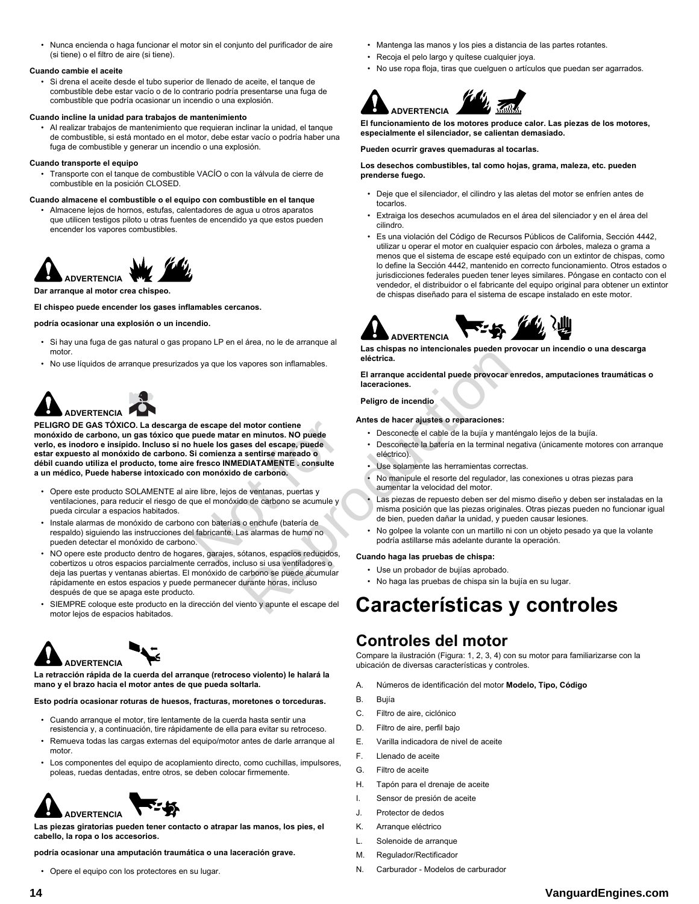• Nunca encienda o haga funcionar el motor sin el conjunto del purificador de aire (si tiene) o el filtro de aire (si tiene).

### **Cuando cambie el aceite**

• Si drena el aceite desde el tubo superior de llenado de aceite, el tanque de combustible debe estar vacío o de lo contrario podría presentarse una fuga de combustible que podría ocasionar un incendio o una explosión.

### **Cuando incline la unidad para trabajos de mantenimiento**

• Al realizar trabajos de mantenimiento que requieran inclinar la unidad, el tanque de combustible, si está montado en el motor, debe estar vacío o podría haber una fuga de combustible y generar un incendio o una explosión.

### **Cuando transporte el equipo**

• Transporte con el tanque de combustible VACÍO o con la válvula de cierre de combustible en la posición CLOSED.

### **Cuando almacene el combustible o el equipo con combustible en el tanque**

• Almacene lejos de hornos, estufas, calentadores de agua u otros aparatos que utilicen testigos piloto u otras fuentes de encendido ya que estos pueden encender los vapores combustibles.



### **Dar arranque al motor crea chispeo.**

**El chispeo puede encender los gases inflamables cercanos.**

### **podría ocasionar una explosión o un incendio.**

- Si hay una fuga de gas natural o gas propano LP en el área, no le de arranque al motor.
- No use líquidos de arranque presurizados ya que los vapores son inflamables.

# **ADVERTENCIA**

de escape del motor contiene<br>
puede matar en minutos. NO puede<br>
Si comienza a sentirse mareado o<br>
Si comienza a sentirse mareado o<br>
e fresco INMEDIATAMENTE . consulte<br>
con monóxido de carbono.<br>
ire libre, lejos de ventanas vapores son inflamables.<br>
El arranque accidental puede provocar descricions.<br>
El arranque accidental puede provocar de<br>
en minutos. NO puede<br>
ses del escape, puede<br>
sentirse mareado o<br>
DIATAMENTE , consulte<br>
de carbono.<br>
<br> **PELIGRO DE GAS TÓXICO. La descarga de escape del motor contiene monóxido de carbono, un gas tóxico que puede matar en minutos. NO puede verlo, es inodoro e insípido. Incluso si no huele los gases del escape, puede estar expuesto al monóxido de carbono. Si comienza a sentirse mareado o débil cuando utiliza el producto, tome aire fresco INMEDIATAMENTE . consulte a un médico, Puede haberse intoxicado con monóxido de carbono.**

- Opere este producto SOLAMENTE al aire libre, lejos de ventanas, puertas y ventilaciones, para reducir el riesgo de que el monóxido de carbono se acumule y pueda circular a espacios habitados.
- Instale alarmas de monóxido de carbono con baterías o enchufe (batería de respaldo) siguiendo las instrucciones del fabricante. Las alarmas de humo no pueden detectar el monóxido de carbono.
- NO opere este producto dentro de hogares, garajes, sótanos, espacios reducidos, cobertizos u otros espacios parcialmente cerrados, incluso si usa ventiladores o deja las puertas y ventanas abiertas. El monóxido de carbono se puede acumular rápidamente en estos espacios y puede permanecer durante horas, incluso después de que se apaga este producto.
- SIEMPRE coloque este producto en la dirección del viento y apunte el escape del motor lejos de espacios habitados.



**La retracción rápida de la cuerda del arranque (retroceso violento) le halará la mano y el brazo hacia el motor antes de que pueda soltarla.**

### **Esto podría ocasionar roturas de huesos, fracturas, moretones o torceduras.**

- Cuando arranque el motor, tire lentamente de la cuerda hasta sentir una resistencia y, a continuación, tire rápidamente de ella para evitar su retroceso.
- Remueva todas las cargas externas del equipo/motor antes de darle arranque al motor.
- Los componentes del equipo de acoplamiento directo, como cuchillas, impulsores, poleas, ruedas dentadas, entre otros, se deben colocar firmemente.



**Las piezas giratorias pueden tener contacto o atrapar las manos, los pies, el cabello, la ropa o los accesorios.**

**podría ocasionar una amputación traumática o una laceración grave.**

- Mantenga las manos y los pies a distancia de las partes rotantes.
- Recoja el pelo largo y quítese cualquier joya.
- No use ropa floja, tiras que cuelguen o artículos que puedan ser agarrados.



**El funcionamiento de los motores produce calor. Las piezas de los motores, especialmente el silenciador, se calientan demasiado.**

**Pueden ocurrir graves quemaduras al tocarlas.**

**Los desechos combustibles, tal como hojas, grama, maleza, etc. pueden prenderse fuego.**

- Deje que el silenciador, el cilindro y las aletas del motor se enfríen antes de tocarlos.
- Extraiga los desechos acumulados en el área del silenciador y en el área del cilindro.
- Es una violación del Código de Recursos Públicos de California, Sección 4442, utilizar u operar el motor en cualquier espacio con árboles, maleza o grama a menos que el sistema de escape esté equipado con un extintor de chispas, como lo define la Sección 4442, mantenido en correcto funcionamiento. Otros estados o jurisdicciones federales pueden tener leyes similares. Póngase en contacto con el vendedor, el distribuidor o el fabricante del equipo original para obtener un extintor de chispas diseñado para el sistema de escape instalado en este motor.



**Las chispas no intencionales pueden provocar un incendio o una descarga eléctrica.**

**El arranque accidental puede provocar enredos, amputaciones traumáticas o laceraciones.**

**Peligro de incendio**

### **Antes de hacer ajustes o reparaciones:**

- Desconecte el cable de la bujía y manténgalo lejos de la bujía.
- Desconecte la batería en la terminal negativa (únicamente motores con arranque eléctrico).
- Use solamente las herramientas correctas.
- No manipule el resorte del regulador, las conexiones u otras piezas para aumentar la velocidad del motor.
- Las piezas de repuesto deben ser del mismo diseño y deben ser instaladas en la misma posición que las piezas originales. Otras piezas pueden no funcionar igual de bien, pueden dañar la unidad, y pueden causar lesiones.
- No golpee la volante con un martillo ni con un objeto pesado ya que la volante podría astillarse más adelante durante la operación.

### **Cuando haga las pruebas de chispa:**

- Use un probador de bujías aprobado.
- No haga las pruebas de chispa sin la bujía en su lugar.

# **Características y controles**

### **Controles del motor**

Compare la ilustración (Figura: 1, 2, 3, 4) con su motor para familiarizarse con la ubicación de diversas características y controles.

- A. Números de identificación del motor **Modelo, Tipo, Código**
- B. Bujía
- C. Filtro de aire, ciclónico
- D. Filtro de aire, perfil bajo
- E. Varilla indicadora de nivel de aceite
- F. Llenado de aceite
- G. Filtro de aceite
- H. Tapón para el drenaje de aceite
- I. Sensor de presión de aceite
- J. Protector de dedos
	- K. Arranque eléctrico
	- L. Solenoide de arranque
	- M. Regulador/Rectificador
	- N. Carburador Modelos de carburador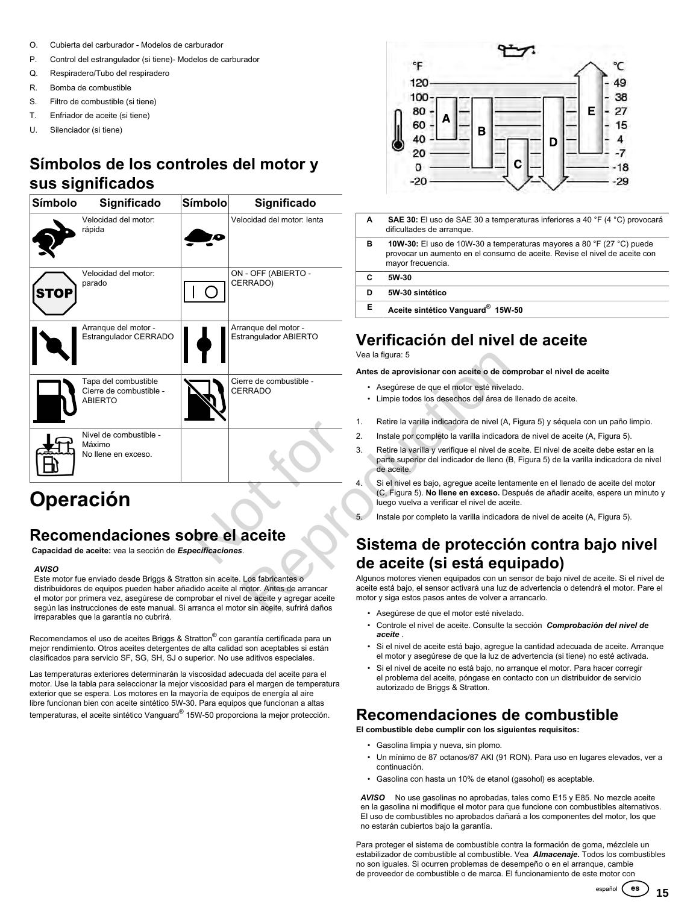- O. Cubierta del carburador Modelos de carburador
- P. Control del estrangulador (si tiene)- Modelos de carburador
- Q. Respiradero/Tubo del respiradero
- R. Bomba de combustible
- S. Filtro de combustible (si tiene)
- T. Enfriador de aceite (si tiene)
- U. Silenciador (si tiene)

# **Símbolos de los controles del motor y sus significados**

| <b>Símbolo</b> | Significado                                                                  | <b>Símbolo</b> | Significado                                                                                                                                                                                                                                                        |          |                                                                                                                                             |
|----------------|------------------------------------------------------------------------------|----------------|--------------------------------------------------------------------------------------------------------------------------------------------------------------------------------------------------------------------------------------------------------------------|----------|---------------------------------------------------------------------------------------------------------------------------------------------|
|                | Velocidad del motor:<br>rápida                                               |                | Velocidad del motor: lenta                                                                                                                                                                                                                                         | A        | SAE 30: El uso de SAE 30 a tempe<br>dificultades de arranque.                                                                               |
|                |                                                                              |                |                                                                                                                                                                                                                                                                    | в        | 10W-30: El uso de 10W-30 a temp<br>provocar un aumento en el consum<br>mayor frecuencia.                                                    |
|                | Velocidad del motor:<br>parado                                               |                | ON - OFF (ABIERTO -<br>CERRADO)                                                                                                                                                                                                                                    | C        | 5W-30                                                                                                                                       |
|                |                                                                              |                |                                                                                                                                                                                                                                                                    | D        | 5W-30 sintético                                                                                                                             |
|                |                                                                              |                |                                                                                                                                                                                                                                                                    | Е        | Aceite sintético Vanguard <sup>®</sup> 15W                                                                                                  |
|                | Arranque del motor -<br>Estrangulador CERRADO                                |                | Arranque del motor -<br>Estrangulador ABIERTO                                                                                                                                                                                                                      |          | Verificación del nivel<br>Vea la figura: 5<br>Antes de aprovisionar con aceite o de co                                                      |
|                | Tapa del combustible<br>Cierre de combustible -<br><b>ABIERTO</b>            |                | Cierre de combustible -<br><b>CERRADO</b>                                                                                                                                                                                                                          |          | · Asegúrese de que el motor esté nivela<br>· Limpie todos los desechos del área de<br>Retire la varilla indicadora de nivel (A,             |
|                | Nivel de combustible -                                                       |                |                                                                                                                                                                                                                                                                    | 1.<br>2. | Instale por completo la varilla indicado                                                                                                    |
|                | Máximo<br>No llene en exceso.                                                |                |                                                                                                                                                                                                                                                                    | 3.       | Retire la varilla y verifique el nivel de a<br>parte superior del indicador de lleno (E<br>de aceite.                                       |
|                | <b>Operación</b>                                                             |                |                                                                                                                                                                                                                                                                    | 4.       | Si el nivel es bajo, agregue aceite lenta<br>(C, Figura 5). No llene en exceso. De<br>luego vuelva a verificar el nivel de ace              |
|                |                                                                              |                |                                                                                                                                                                                                                                                                    |          | Instale por completo la varilla indicado                                                                                                    |
|                | Recomendaciones sobre el aceite                                              |                |                                                                                                                                                                                                                                                                    |          | Sistema de protecció                                                                                                                        |
|                | Capacidad de aceite: vea la sección de Especificaciones.                     |                |                                                                                                                                                                                                                                                                    |          | de aceite (si está equ                                                                                                                      |
| <b>AVISO</b>   | Este motor fue enviado desde Briggs & Stratton sin aceite. Los fabricantes o |                | distribuidores de equipos pueden haber añadido aceite al motor. Antes de arrancar<br>el motor por primera vez, asegúrese de comprobar el nivel de aceite y agregar aceite<br>según las instrucciones de este manual. Si arranca el motor sin aceite, sufrirá daños |          | Algunos motores vienen equipados con un s<br>aceite está bajo, el sensor activará una luz c<br>motor y siga estos pasos antes de volver a a |
|                |                                                                              |                | . Acogúroso do que ol motor ostó nivola                                                                                                                                                                                                                            |          |                                                                                                                                             |

# **Operación**

# **Recomendaciones sobre el aceite**

### *AVISO*

Este motor fue enviado desde Briggs & Stratton sin aceite. Los fabricantes o distribuidores de equipos pueden haber añadido aceite al motor. Antes de arrancar el motor por primera vez, asegúrese de comprobar el nivel de aceite y agregar aceite según las instrucciones de este manual. Si arranca el motor sin aceite, sufrirá daños irreparables que la garantía no cubrirá.

Recomendamos el uso de aceites Briggs & Stratton $^\circ$  con garantía certificada para un mejor rendimiento. Otros aceites detergentes de alta calidad son aceptables si están clasificados para servicio SF, SG, SH, SJ o superior. No use aditivos especiales.

Las temperaturas exteriores determinarán la viscosidad adecuada del aceite para el motor. Use la tabla para seleccionar la mejor viscosidad para el margen de temperatura exterior que se espera. Los motores en la mayoría de equipos de energía al aire libre funcionan bien con aceite sintético 5W-30. Para equipos que funcionan a altas temperaturas, el aceite sintético Vanguard<sup>®</sup> 15W-50 proporciona la mejor protección.



| A | <b>SAE 30:</b> El uso de SAE 30 a temperaturas inferiores a 40 °F (4 °C) provocará<br>dificultades de arranque.                                                                 |
|---|---------------------------------------------------------------------------------------------------------------------------------------------------------------------------------|
| в | <b>10W-30:</b> El uso de 10W-30 a temperaturas mayores a 80 °F (27 °C) puede<br>provocar un aumento en el consumo de aceite. Revise el nivel de aceite con<br>mayor frecuencia. |
| C | 5W-30                                                                                                                                                                           |
| D | 5W-30 sintético                                                                                                                                                                 |
| Е | Aceite sintético Vanguard <sup>®</sup> 15W-50                                                                                                                                   |

# **Verificación del nivel de aceite**

**Antes de aprovisionar con aceite o de comprobar el nivel de aceite**

- Asegúrese de que el motor esté nivelado.
- Limpie todos los desechos del área de llenado de aceite.
- 1. Retire la varilla indicadora de nivel (A, Figura 5) y séquela con un paño limpio.
- 2. Instale por completo la varilla indicadora de nivel de aceite (A, Figura 5).
- 3. Retire la varilla y verifique el nivel de aceite. El nivel de aceite debe estar en la parte superior del indicador de lleno (B, Figura 5) de la varilla indicadora de nivel de aceite.
- 4. Si el nivel es bajo, agregue aceite lentamente en el llenado de aceite del motor (C, Figura 5). **No llene en exceso.** Después de añadir aceite, espere un minuto y luego vuelva a verificar el nivel de aceite.

5. Instale por completo la varilla indicadora de nivel de aceite (A, Figura 5).

# **Sistema de protección contra bajo nivel de aceite (si está equipado)**

Algunos motores vienen equipados con un sensor de bajo nivel de aceite. Si el nivel de aceite está bajo, el sensor activará una luz de advertencia o detendrá el motor. Pare el motor y siga estos pasos antes de volver a arrancarlo.

- Asegúrese de que el motor esté nivelado.
- Controle el nivel de aceite. Consulte la sección *Comprobación del nivel de aceite* .
- Si el nivel de aceite está bajo, agregue la cantidad adecuada de aceite. Arranque el motor y asegúrese de que la luz de advertencia (si tiene) no esté activada.
- Si el nivel de aceite no está bajo, no arranque el motor. Para hacer corregir el problema del aceite, póngase en contacto con un distribuidor de servicio autorizado de Briggs & Stratton.

# **Recomendaciones de combustible**

**El combustible debe cumplir con los siguientes requisitos:**

- Gasolina limpia y nueva, sin plomo.
- Un mínimo de 87 octanos/87 AKI (91 RON). Para uso en lugares elevados, ver a continuación.
- Gasolina con hasta un 10% de etanol (gasohol) es aceptable.

*AVISO* No use gasolinas no aprobadas, tales como E15 y E85. No mezcle aceite en la gasolina ni modifique el motor para que funcione con combustibles alternativos. El uso de combustibles no aprobados dañará a los componentes del motor, los que no estarán cubiertos bajo la garantía.

Para proteger el sistema de combustible contra la formación de goma, mézclele un estabilizador de combustible al combustible. Vea *Almacenaje.* Todos los combustibles no son iguales. Si ocurren problemas de desempeño o en el arranque, cambie de proveedor de combustible o de marca. El funcionamiento de este motor con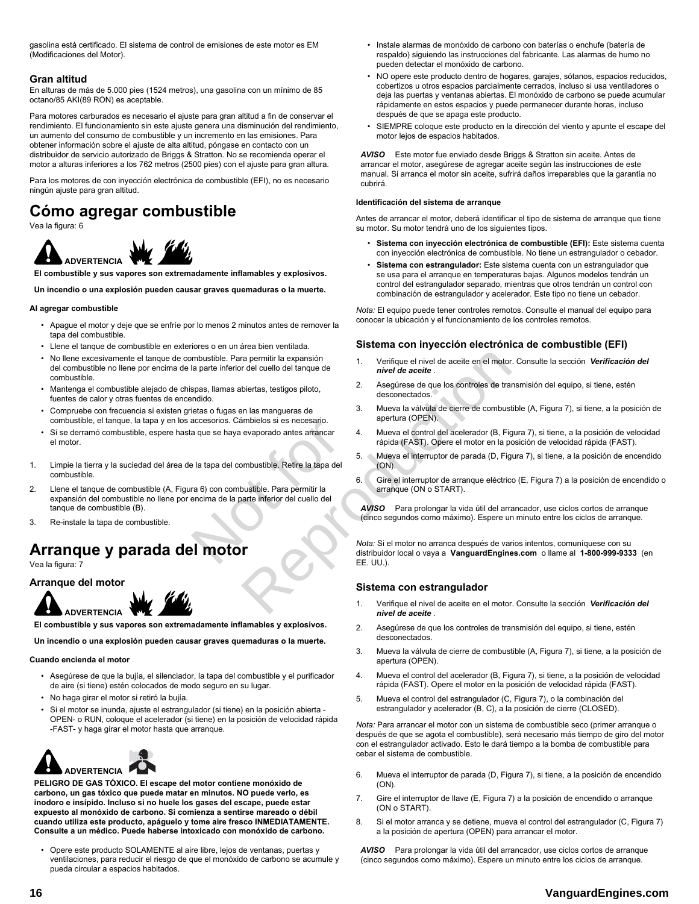gasolina está certificado. El sistema de control de emisiones de este motor es EM (Modificaciones del Motor).

### **Gran altitud**

En alturas de más de 5.000 pies (1524 metros), una gasolina con un mínimo de 85 octano/85 AKI(89 RON) es aceptable.

Para motores carburados es necesario el ajuste para gran altitud a fin de conservar el rendimiento. El funcionamiento sin este ajuste genera una disminución del rendimiento, un aumento del consumo de combustible y un incremento en las emisiones. Para obtener información sobre el ajuste de alta altitud, póngase en contacto con un distribuidor de servicio autorizado de Briggs & Stratton. No se recomienda operar el motor a alturas inferiores a los 762 metros (2500 pies) con el ajuste para gran altura.

Para los motores de con inyección electrónica de combustible (EFI), no es necesario ningún ajuste para gran altitud.

### **Cómo agregar combustible**

Vea la figura: 6



**El combustible y sus vapores son extremadamente inflamables y explosivos.**

**Un incendio o una explosión pueden causar graves quemaduras o la muerte.**

### **Al agregar combustible**

- Apague el motor y deje que se enfríe por lo menos 2 minutos antes de remover la tapa del combustible.
- Llene el tanque de combustible en exteriores o en un área bien ventilada.
- No llene excesivamente el tanque de combustible. Para permitir la expansión del combustible no llene por encima de la parte inferior del cuello del tanque de combustible.
- Mantenga el combustible alejado de chispas, llamas abiertas, testigos piloto, fuentes de calor y otras fuentes de encendido.
- Compruebe con frecuencia si existen grietas o fugas en las mangueras de combustible, el tanque, la tapa y en los accesorios. Cámbielos si es necesario.
- Si se derramó combustible, espere hasta que se haya evaporado antes arrancar el motor.
- 1. Limpie la tierra y la suciedad del área de la tapa del combustible. Retire la tapa del combustible.
- accessorios. Cambienos si es necesario.<br>
la que se haya evaporado antes arrancar<br>
e la tapa del combustible. Retire la tapa del<br>
ra 6) con combustible. Para permitir la<br>
encima de la parte inferior del cuello del<br> **NOTOT** 2. Llene el tanque de combustible (A, Figura 6) con combustible. Para permitir la expansión del combustible no llene por encima de la parte inferior del cuello del tanque de combustible (B).
- 3. Re-instale la tapa de combustible.

# **Arranque y parada del motor**

Vea la figura: 7

### **Arranque del motor**



**El combustible y sus vapores son extremadamente inflamables y explosivos.**

**Un incendio o una explosión pueden causar graves quemaduras o la muerte.**

### **Cuando encienda el motor**

- Asegúrese de que la bujía, el silenciador, la tapa del combustible y el purificador de aire (si tiene) estén colocados de modo seguro en su lugar.
- No haga girar el motor si retiró la bujía.
- Si el motor se inunda, ajuste el estrangulador (si tiene) en la posición abierta OPEN- o RUN, coloque el acelerador (si tiene) en la posición de velocidad rápida -FAST- y haga girar el motor hasta que arranque.



**PELIGRO DE GAS TÓXICO. El escape del motor contiene monóxido de carbono, un gas tóxico que puede matar en minutos. NO puede verlo, es inodoro e insípido. Incluso si no huele los gases del escape, puede estar expuesto al monóxido de carbono. Si comienza a sentirse mareado o débil cuando utiliza este producto, apáguelo y tome aire fresco INMEDIATAMENTE. Consulte a un médico. Puede haberse intoxicado con monóxido de carbono.**

• Opere este producto SOLAMENTE al aire libre, lejos de ventanas, puertas y ventilaciones, para reducir el riesgo de que el monóxido de carbono se acumule y pueda circular a espacios habitados.

- Instale alarmas de monóxido de carbono con baterías o enchufe (batería de respaldo) siguiendo las instrucciones del fabricante. Las alarmas de humo no pueden detectar el monóxido de carbono.
- NO opere este producto dentro de hogares, garajes, sótanos, espacios reducidos, cobertizos u otros espacios parcialmente cerrados, incluso si usa ventiladores o deja las puertas y ventanas abiertas. El monóxido de carbono se puede acumular rápidamente en estos espacios y puede permanecer durante horas, incluso después de que se apaga este producto.
- SIEMPRE coloque este producto en la dirección del viento y apunte el escape del motor lejos de espacios habitados.

*AVISO* Este motor fue enviado desde Briggs & Stratton sin aceite. Antes de arrancar el motor, asegúrese de agregar aceite según las instrucciones de este manual. Si arranca el motor sin aceite, sufrirá daños irreparables que la garantía no cubrirá.

#### **Identificación del sistema de arranque**

Antes de arrancar el motor, deberá identificar el tipo de sistema de arranque que tiene su motor. Su motor tendrá uno de los siguientes tipos.

- **Sistema con inyección electrónica de combustible (EFI):** Este sistema cuenta con inyección electrónica de combustible. No tiene un estrangulador o cebador.
- **Sistema con estrangulador:** Este sistema cuenta con un estrangulador que se usa para el arranque en temperaturas bajas. Algunos modelos tendrán un control del estrangulador separado, mientras que otros tendrán un control con combinación de estrangulador y acelerador. Este tipo no tiene un cebador.

*Nota:* El equipo puede tener controles remotos. Consulte el manual del equipo para conocer la ubicación y el funcionamiento de los controles remotos.

### **Sistema con inyección electrónica de combustible (EFI)**

- 1. Verifique el nivel de aceite en el motor. Consulte la sección *Verificación del nivel de aceite* .
- 2. Asegúrese de que los controles de transmisión del equipo, si tiene, estén desconectados.
- 3. Mueva la válvula de cierre de combustible (A, Figura 7), si tiene, a la posición de apertura (OPEN).
- 4. Mueva el control del acelerador (B, Figura 7), si tiene, a la posición de velocidad rápida (FAST). Opere el motor en la posición de velocidad rápida (FAST).
- 5. Mueva el interruptor de parada (D, Figura 7), si tiene, a la posición de encendido (ON).
- 6. Gire el interruptor de arranque eléctrico (E, Figura 7) a la posición de encendido o arranque (ON o START).

*AVISO* Para prolongar la vida útil del arrancador, use ciclos cortos de arranque (cinco segundos como máximo). Espere un minuto entre los ciclos de arranque.

ra permitir la expansion<br>
interdiction de la cerite en el motor<br>
interdiction de la cerite en el motor<br>
interdiction de la cerite de controles de tra<br>
desconectados.<br>
2. Asegúrese de que los controles de tra<br>
desconectados *Nota:* Si el motor no arranca después de varios intentos, comuníquese con su distribuidor local o vaya a **VanguardEngines.com** o llame al **1-800-999-9333** (en EE. UU.).

### **Sistema con estrangulador**

- 1. Verifique el nivel de aceite en el motor. Consulte la sección *Verificación del nivel de aceite* .
- 2. Asegúrese de que los controles de transmisión del equipo, si tiene, estén desconectados.
- 3. Mueva la válvula de cierre de combustible (A, Figura 7), si tiene, a la posición de apertura (OPEN).
- 4. Mueva el control del acelerador (B, Figura 7), si tiene, a la posición de velocidad rápida (FAST). Opere el motor en la posición de velocidad rápida (FAST).
- 5. Mueva el control del estrangulador (C, Figura 7), o la combinación del estrangulador y acelerador (B, C), a la posición de cierre (CLOSED).

*Nota:* Para arrancar el motor con un sistema de combustible seco (primer arranque o después de que se agota el combustible), será necesario más tiempo de giro del motor con el estrangulador activado. Esto le dará tiempo a la bomba de combustible para cebar el sistema de combustible.

- 6. Mueva el interruptor de parada (D, Figura 7), si tiene, a la posición de encendido (ON).
- 7. Gire el interruptor de llave (E, Figura 7) a la posición de encendido o arranque (ON o START).
- 8. Si el motor arranca y se detiene, mueva el control del estrangulador (C, Figura 7) a la posición de apertura (OPEN) para arrancar el motor.

*AVISO* Para prolongar la vida útil del arrancador, use ciclos cortos de arranque (cinco segundos como máximo). Espere un minuto entre los ciclos de arranque.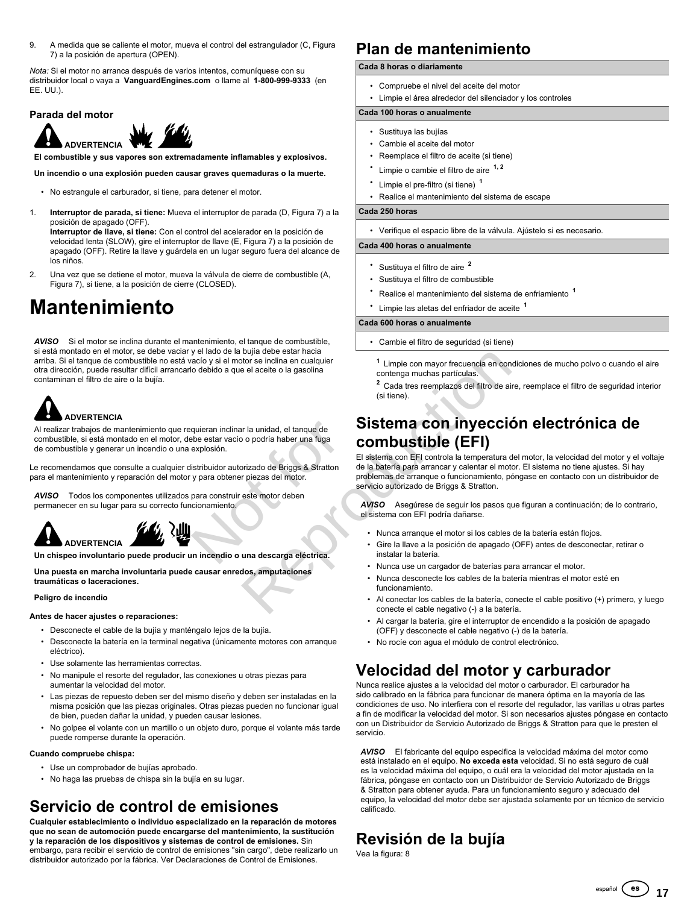9. A medida que se caliente el motor, mueva el control del estrangulador (C, Figura 7) a la posición de apertura (OPEN).

*Nota:* Si el motor no arranca después de varios intentos, comuníquese con su distribuidor local o vaya a **VanguardEngines.com** o llame al **1-800-999-9333** (en EE. UU.).

### **Parada del motor**



**El combustible y sus vapores son extremadamente inflamables y explosivos.**

**Un incendio o una explosión pueden causar graves quemaduras o la muerte.**

- No estrangule el carburador, si tiene, para detener el motor.
- 1. **Interruptor de parada, si tiene:** Mueva el interruptor de parada (D, Figura 7) a la posición de apagado (OFF). **Interruptor de llave, si tiene:** Con el control del acelerador en la posición de velocidad lenta (SLOW), gire el interruptor de llave (E, Figura 7) a la posición de
- apagado (OFF). Retire la llave y guárdela en un lugar seguro fuera del alcance de los niños.
- 2. Una vez que se detiene el motor, mueva la válvula de cierre de combustible (A, Figura 7), si tiene, a la posición de cierre (CLOSED).

# **Mantenimiento**

*AVISO* Si el motor se inclina durante el mantenimiento, el tanque de combustible, si está montado en el motor, se debe vaciar y el lado de la bujía debe estar hacia arriba. Si el tanque de combustible no está vacío y si el motor se inclina en cualquier otra dirección, puede resultar difícil arrancarlo debido a que el aceite o la gasolina contaminan el filtro de aire o la bujía.

# **ADVERTENCIA**

requieran inclinar la unidad, el tanque de<br>be estar vacío o podría haber una fuga<br>explosión.<br>listribuidor autorizado de Briggs & Stratton<br>y para obtener piezas del motor.<br>para construir este motor deben<br>ocionamiento.<br>antio Al realizar trabajos de mantenimiento que requieran inclinar la unidad, el tanque de combustible, si está montado en el motor, debe estar vacío o podría haber una fuga de combustible y generar un incendio o una explosión.

Le recomendamos que consulte a cualquier distribuidor autorizado de Briggs & Stratton para el mantenimiento y reparación del motor y para obtener piezas del motor.

*AVISO* Todos los componentes utilizados para construir este motor deben permanecer en su lugar para su correcto funcionamiento.



**Un chispeo involuntario puede producir un incendio o una descarga eléctrica.**

**Una puesta en marcha involuntaria puede causar enredos, amputaciones traumáticas o laceraciones.**

#### **Peligro de incendio**

#### **Antes de hacer ajustes o reparaciones:**

- Desconecte el cable de la bujía y manténgalo lejos de la bujía.
- Desconecte la batería en la terminal negativa (únicamente motores con arranque eléctrico).
- Use solamente las herramientas correctas.
- No manipule el resorte del regulador, las conexiones u otras piezas para aumentar la velocidad del motor.
- Las piezas de repuesto deben ser del mismo diseño y deben ser instaladas en la misma posición que las piezas originales. Otras piezas pueden no funcionar igual de bien, pueden dañar la unidad, y pueden causar lesiones.
- No golpee el volante con un martillo o un objeto duro, porque el volante más tarde puede romperse durante la operación.

### **Cuando compruebe chispa:**

- Use un comprobador de bujías aprobado.
- No haga las pruebas de chispa sin la bujía en su lugar.

# **Servicio de control de emisiones**

**Cualquier establecimiento o individuo especializado en la reparación de motores que no sean de automoción puede encargarse del mantenimiento, la sustitución y la reparación de los dispositivos y sistemas de control de emisiones.** Sin embargo, para recibir el servicio de control de emisiones "sin cargo", debe realizarlo un distribuidor autorizado por la fábrica. Ver Declaraciones de Control de Emisiones.

### **Plan de mantenimiento**

### **Cada 8 horas o diariamente**

- Compruebe el nivel del aceite del motor
- Limpie el área alrededor del silenciador y los controles

### **Cada 100 horas o anualmente**

- Sustituya las bujías
- Cambie el aceite del motor
- Reemplace el filtro de aceite (si tiene)
- Limpie o cambie el filtro de aire **1, 2**
- Limpie el pre-filtro (si tiene) **<sup>1</sup>**
- Realice el mantenimiento del sistema de escape

### **Cada 250 horas**

• Verifique el espacio libre de la válvula. Ajústelo si es necesario.

### **Cada 400 horas o anualmente**

- Sustituya el filtro de aire **<sup>2</sup>**
- Sustituya el filtro de combustible
- Realice el mantenimiento del sistema de enfriamiento **<sup>1</sup>**
- Limpie las aletas del enfriador de aceite **<sup>1</sup>**

### **Cada 600 horas o anualmente**

• Cambie el filtro de seguridad (si tiene)

**1** Limpie con mayor frecuencia en condiciones de mucho polvo o cuando el aire contenga muchas partículas.

**2** Cada tres reemplazos del filtro de aire, reemplace el filtro de seguridad interior (si tiene).

# **Sistema con inyección electrónica de combustible (EFI)**

buya den estar nacial de al bateria de al bateria de la bateria de la bateria de la bateria de la bateria de la bateria de la bateria de la bateria de la bateria de la bateria de la bateria de la bateria para armora e la c El sistema con EFI controla la temperatura del motor, la velocidad del motor y el voltaje de la batería para arrancar y calentar el motor. El sistema no tiene ajustes. Si hay problemas de arranque o funcionamiento, póngase en contacto con un distribuidor de servicio autorizado de Briggs & Stratton.

*AVISO* Asegúrese de seguir los pasos que figuran a continuación; de lo contrario, el sistema con EFI podría dañarse.

- Nunca arranque el motor si los cables de la batería están flojos.
- Gire la llave a la posición de apagado (OFF) antes de desconectar, retirar o instalar la batería.
- Nunca use un cargador de baterías para arrancar el motor.
- Nunca desconecte los cables de la batería mientras el motor esté en funcionamiento.
- Al conectar los cables de la batería, conecte el cable positivo (+) primero, y luego conecte el cable negativo (-) a la batería.
- Al cargar la batería, gire el interruptor de encendido a la posición de apagado (OFF) y desconecte el cable negativo (-) de la batería.
- No rocíe con agua el módulo de control electrónico.

# **Velocidad del motor y carburador**

Nunca realice ajustes a la velocidad del motor o carburador. El carburador ha sido calibrado en la fábrica para funcionar de manera óptima en la mayoría de las condiciones de uso. No interfiera con el resorte del regulador, las varillas u otras partes a fin de modificar la velocidad del motor. Si son necesarios ajustes póngase en contacto con un Distribuidor de Servicio Autorizado de Briggs & Stratton para que le presten el servicio.

*AVISO* El fabricante del equipo especifica la velocidad máxima del motor como está instalado en el equipo. **No exceda esta** velocidad. Si no está seguro de cuál es la velocidad máxima del equipo, o cuál era la velocidad del motor ajustada en la fábrica, póngase en contacto con un Distribuidor de Servicio Autorizado de Briggs & Stratton para obtener ayuda. Para un funcionamiento seguro y adecuado del equipo, la velocidad del motor debe ser ajustada solamente por un técnico de servicio calificado.

# **Revisión de la bujía**

Vea la figura: 8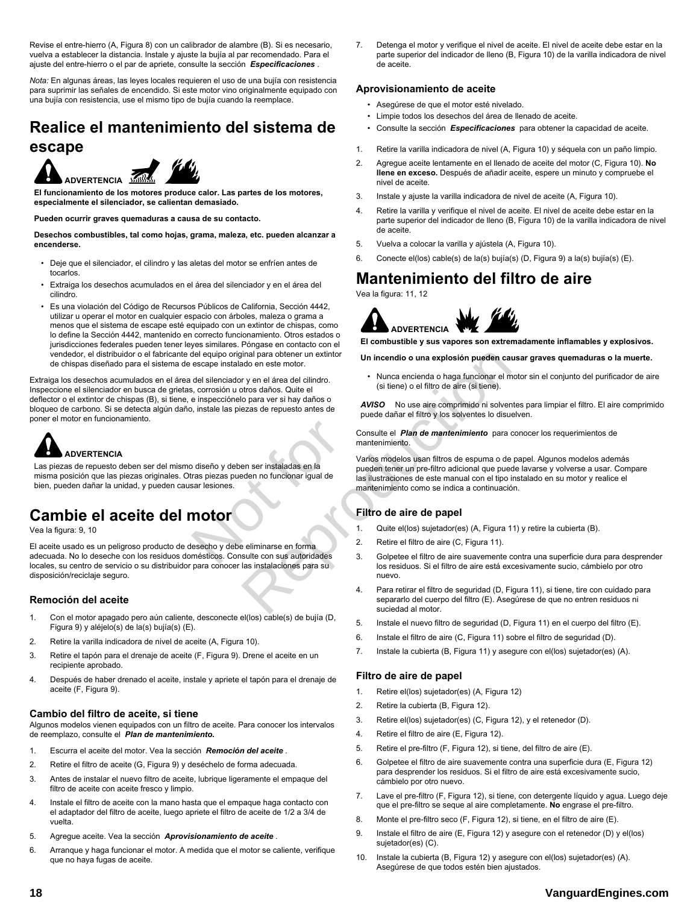Revise el entre-hierro (A, Figura 8) con un calibrador de alambre (B). Si es necesario, vuelva a establecer la distancia. Instale y ajuste la bujía al par recomendado. Para el ajuste del entre-hierro o el par de apriete, consulte la sección *Especificaciones* .

*Nota:* En algunas áreas, las leyes locales requieren el uso de una bujía con resistencia para suprimir las señales de encendido. Si este motor vino originalmente equipado con una bujía con resistencia, use el mismo tipo de bujía cuando la reemplace.

# **Realice el mantenimiento del sistema de escape**





**El funcionamiento de los motores produce calor. Las partes de los motores, especialmente el silenciador, se calientan demasiado.**

**Pueden ocurrir graves quemaduras a causa de su contacto.**

**Desechos combustibles, tal como hojas, grama, maleza, etc. pueden alcanzar a encenderse.**

- Deje que el silenciador, el cilindro y las aletas del motor se enfríen antes de tocarlos.
- Extraiga los desechos acumulados en el área del silenciador y en el área del cilindro.
- Es una violación del Código de Recursos Públicos de California, Sección 4442, utilizar u operar el motor en cualquier espacio con árboles, maleza o grama a menos que el sistema de escape esté equipado con un extintor de chispas, como lo define la Sección 4442, mantenido en correcto funcionamiento. Otros estados o jurisdicciones federales pueden tener leyes similares. Póngase en contacto con el vendedor, el distribuidor o el fabricante del equipo original para obtener un extintor de chispas diseñado para el sistema de escape instalado en este motor.

Extraiga los desechos acumulados en el área del silenciador y en el área del cilindro. Inspeccione el silenciador en busca de grietas, corrosión u otros daños. Quite el deflector o el extintor de chispas (B), si tiene, e inspecciónelo para ver si hay daños o bloqueo de carbono. Si se detecta algún daño, instale las piezas de repuesto antes de poner el motor en funcionamiento.

# **ADVERTENCIA**

o diseño y deben ser instaladas en la<br>tras piezas pueden no funcionar igual de<br>sar lesiones.<br>**MOLOI**<br>desecho y debe eliminarse en forma<br>mésticos. Consulte con sus autoridades Las piezas de repuesto deben ser del mismo diseño y deben ser instaladas en la misma posición que las piezas originales. Otras piezas pueden no funcionar igual de bien, pueden dañar la unidad, y pueden causar lesiones.

# **Cambie el aceite del motor**

Vea la figura: 9, 10

El aceite usado es un peligroso producto de desecho y debe eliminarse en forma adecuada. No lo deseche con los residuos domésticos. Consulte con sus autoridades locales, su centro de servicio o su distribuidor para conocer las instalaciones para su disposición/reciclaje seguro.

### **Remoción del aceite**

- 1. Con el motor apagado pero aún caliente, desconecte el(los) cable(s) de bujía (D, Figura 9) y aléjelo(s) de la(s) bujía(s) (E).
- 2. Retire la varilla indicadora de nivel de aceite (A, Figura 10).
- 3. Retire el tapón para el drenaje de aceite (F, Figura 9). Drene el aceite en un recipiente aprobado.
- 4. Después de haber drenado el aceite, instale y apriete el tapón para el drenaje de aceite (F, Figura 9).

### **Cambio del filtro de aceite, si tiene**

Algunos modelos vienen equipados con un filtro de aceite. Para conocer los intervalos de reemplazo, consulte el *Plan de mantenimiento.*

- 1. Escurra el aceite del motor. Vea la sección *Remoción del aceite* .
- 2. Retire el filtro de aceite (G, Figura 9) y deséchelo de forma adecuada.
- 3. Antes de instalar el nuevo filtro de aceite, lubrique ligeramente el empaque del filtro de aceite con aceite fresco y limpio.
- 4. Instale el filtro de aceite con la mano hasta que el empaque haga contacto con el adaptador del filtro de aceite, luego apriete el filtro de aceite de 1/2 a 3/4 de vuelta.
- 5. Agregue aceite. Vea la sección *Aprovisionamiento de aceite* .
- 6. Arranque y haga funcionar el motor. A medida que el motor se caliente, verifique que no haya fugas de aceite.

Detenga el motor y verifique el nivel de aceite. El nivel de aceite debe estar en la parte superior del indicador de lleno (B, Figura 10) de la varilla indicadora de nivel de aceite.

### **Aprovisionamiento de aceite**

- Asegúrese de que el motor esté nivelado.
- Limpie todos los desechos del área de llenado de aceite.
- Consulte la sección *Especificaciones* para obtener la capacidad de aceite.
- 1. Retire la varilla indicadora de nivel (A, Figura 10) y séquela con un paño limpio.
- 2. Agregue aceite lentamente en el llenado de aceite del motor (C, Figura 10). **No llene en exceso.** Después de añadir aceite, espere un minuto y compruebe el nivel de aceite.
- 3. Instale y ajuste la varilla indicadora de nivel de aceite (A, Figura 10).
- 4. Retire la varilla y verifique el nivel de aceite. El nivel de aceite debe estar en la parte superior del indicador de lleno (B, Figura 10) de la varilla indicadora de nivel de aceite.
- 5. Vuelva a colocar la varilla y ajústela (A, Figura 10).
- 6. Conecte el(los) cable(s) de la(s) bujía(s) (D, Figura 9) a la(s) bujía(s) (E).

### **Mantenimiento del filtro de aire**

Vea la figura: 11, 12



**El combustible y sus vapores son extremadamente inflamables y explosivos.**

**Un incendio o una explosión pueden causar graves quemaduras o la muerte.**

• Nunca encienda o haga funcionar el motor sin el conjunto del purificador de aire (si tiene) o el filtro de aire (si tiene).

*AVISO* No use aire comprimido ni solventes para limpiar el filtro. El aire comprimido puede dañar el filtro y los solventes lo disuelven.

Consulte el *Plan de mantenimiento* para conocer los requerimientos de mantenimiento.

ginal para obtener un extintor<br>
10 incendio o una explosión pueden car<br>
do en este motor.<br>
10 incendio o una explosión pueden car<br>
do para ver si hay daños o<br>
lo para ver si hay daños o<br>
exas de repuesto antes de<br>
exas de Varios modelos usan filtros de espuma o de papel. Algunos modelos además pueden tener un pre-filtro adicional que puede lavarse y volverse a usar. Compare las ilustraciones de este manual con el tipo instalado en su motor y realice el mantenimiento como se indica a continuación.

### **Filtro de aire de papel**

- 1. Quite el(los) sujetador(es) (A, Figura 11) y retire la cubierta (B).
- 2. Retire el filtro de aire (C, Figura 11).
- 3. Golpetee el filtro de aire suavemente contra una superficie dura para desprender los residuos. Si el filtro de aire está excesivamente sucio, cámbielo por otro nuevo.
- 4. Para retirar el filtro de seguridad (D, Figura 11), si tiene, tire con cuidado para separarlo del cuerpo del filtro (E). Asegúrese de que no entren residuos ni suciedad al motor.
- 5. Instale el nuevo filtro de seguridad (D, Figura 11) en el cuerpo del filtro (E).
- 6. Instale el filtro de aire (C, Figura 11) sobre el filtro de seguridad (D).
- 7. Instale la cubierta (B, Figura 11) y asegure con el(los) sujetador(es) (A).

### **Filtro de aire de papel**

- 1. Retire el(los) sujetador(es) (A, Figura 12)
- 2. Retire la cubierta (B. Figura 12).
- 3. Retire el(los) sujetador(es) (C, Figura 12), y el retenedor (D).
- 4. Retire el filtro de aire (E, Figura 12).
- 5. Retire el pre-filtro (F, Figura 12), si tiene, del filtro de aire (E).
- 6. Golpetee el filtro de aire suavemente contra una superficie dura (E, Figura 12) para desprender los residuos. Si el filtro de aire está excesivamente sucio, cámbielo por otro nuevo.
- 7. Lave el pre-filtro (F, Figura 12), si tiene, con detergente líquido y agua. Luego deje que el pre-filtro se seque al aire completamente. **No** engrase el pre-filtro.
- 8. Monte el pre-filtro seco (F, Figura 12), si tiene, en el filtro de aire (E).
- 9. Instale el filtro de aire (E, Figura 12) y asegure con el retenedor (D) y el(los) sujetador(es) (C).
- 10. Instale la cubierta (B, Figura 12) y asegure con el(los) sujetador(es) (A). Asegúrese de que todos estén bien ajustados.

### **18 <VanguardEngines.com>**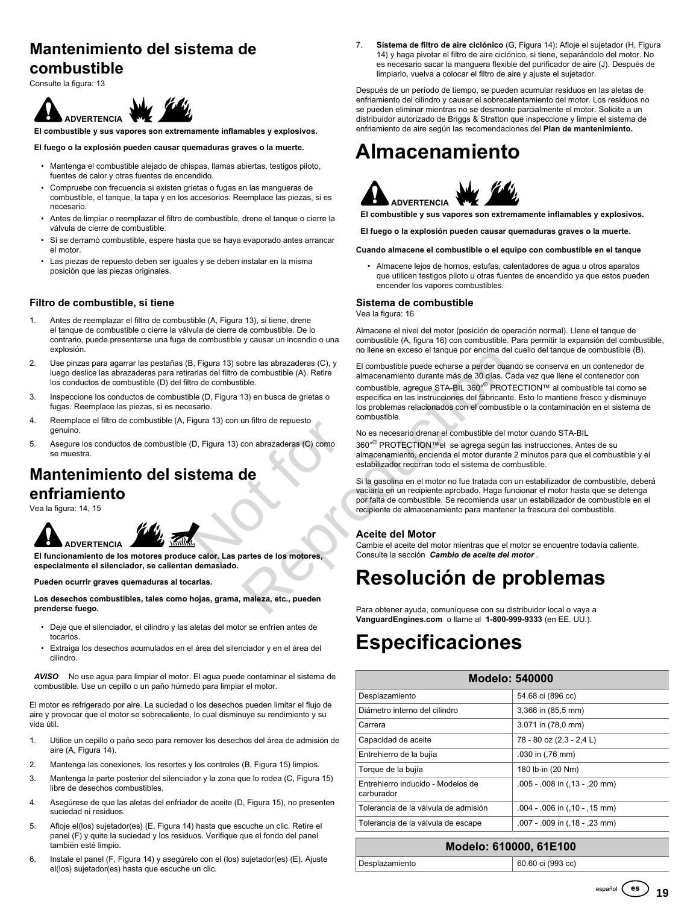### **Mantenimiento del sistema de combustible**

Consulte la figura: 13



**El combustible y sus vapores son extremamente inflamables y explosivos.**

- **El fuego o la explosión pueden causar quemaduras graves o la muerte.**
- Mantenga el combustible alejado de chispas, llamas abiertas, testigos piloto, fuentes de calor y otras fuentes de encendido.
- Compruebe con frecuencia si existen grietas o fugas en las mangueras de combustible, el tanque, la tapa y en los accesorios. Reemplace las piezas, si es necesario.
- Antes de limpiar o reemplazar el filtro de combustible, drene el tanque o cierre la válvula de cierre de combustible.
- Si se derramó combustible, espere hasta que se haya evaporado antes arrancar el motor.
- Las piezas de repuesto deben ser iguales y se deben instalar en la misma posición que las piezas originales.

### **Filtro de combustible, si tiene**

- 1. Antes de reemplazar el filtro de combustible (A, Figura 13), si tiene, drene el tanque de combustible o cierre la válvula de cierre de combustible. De lo contrario, puede presentarse una fuga de combustible y causar un incendio o una explosión.
- 2. Use pinzas para agarrar las pestañas (B, Figura 13) sobre las abrazaderas (C), y luego deslice las abrazaderas para retirarlas del filtro de combustible (A). Retire los conductos de combustible (D) del filtro de combustible.
- 3. Inspeccione los conductos de combustible (D, Figura 13) en busca de grietas o fugas. Reemplace las piezas, si es necesario.
- 4. Reemplace el filtro de combustible (A, Figura 13) con un filtro de repuesto genuino.
- 5. Asegure los conductos de combustible (D, Figura 13) con abrazaderas (C) como se muestra.

# The Figura 13) con abrazaderas (C) como<br>Stema de<br>La ce calor. Las partes de los motores, **Mantenimiento del sistema de enfriamiento**

Vea la figura: 14, 15



**El funcionamiento de los motores produce calor. Las partes de los motores, especialmente el silenciador, se calientan demasiado.**

**Pueden ocurrir graves quemaduras al tocarlas.**

**Los desechos combustibles, tales como hojas, grama, maleza, etc., pueden prenderse fuego.**

- Deje que el silenciador, el cilindro y las aletas del motor se enfríen antes de tocarlos.
- Extraiga los desechos acumulados en el área del silenciador y en el área del cilindro.

*AVISO* No use agua para limpiar el motor. El agua puede contaminar el sistema de combustible. Use un cepillo o un paño húmedo para limpiar el motor.

El motor es refrigerado por aire. La suciedad o los desechos pueden limitar el flujo de aire y provocar que el motor se sobrecaliente, lo cual disminuye su rendimiento y su vida útil.

- 1. Utilice un cepillo o paño seco para remover los desechos del área de admisión de aire (A, Figura 14).
- 2. Mantenga las conexiones, los resortes y los controles (B, Figura 15) limpios.
- 3. Mantenga la parte posterior del silenciador y la zona que lo rodea (C, Figura 15) libre de desechos combustibles.
- 4. Asegúrese de que las aletas del enfriador de aceite (D, Figura 15), no presenten suciedad ni residuos
- 5. Afloje el(los) sujetador(es) (E, Figura 14) hasta que escuche un clic. Retire el panel (F) y quite la suciedad y los residuos. Verifique que el fondo del panel también esté limpio.
- 6. Instale el panel (F, Figura 14) y asegúrelo con el (los) sujetador(es) (E). Ajuste el(los) sujetador(es) hasta que escuche un clic.

7. **Sistema de filtro de aire ciclónico** (G, Figura 14): Afloje el sujetador (H, Figura 14) y haga pivotar el filtro de aire ciclónico, si tiene, separándolo del motor. No es necesario sacar la manguera flexible del purificador de aire (J). Después de limpiarlo, vuelva a colocar el filtro de aire y ajuste el sujetador.

Después de un período de tiempo, se pueden acumular residuos en las aletas de enfriamiento del cilindro y causar el sobrecalentamiento del motor. Los residuos no se pueden eliminar mientras no se desmonte parcialmente el motor. Solicite a un distribuidor autorizado de Briggs & Stratton que inspeccione y limpie el sistema de enfriamiento de aire según las recomendaciones del **Plan de mantenimiento.**

# **Almacenamiento**



**El combustible y sus vapores son extremamente inflamables y explosivos.**

**El fuego o la explosión pueden causar quemaduras graves o la muerte.**

### **Cuando almacene el combustible o el equipo con combustible en el tanque**

• Almacene lejos de hornos, estufas, calentadores de agua u otros aparatos que utilicen testigos piloto u otras fuentes de encendido ya que estos pueden encender los vapores combustibles.

### **Sistema de combustible**

Vea la figura: 16

Almacene el nivel del motor (posición de operación normal). Llene el tanque de combustible (A, figura 16) con combustible. Para permitir la expansión del combustible, no llene en exceso el tanque por encima del cuello del tanque de combustible (B).

El combustible puede echarse a perder cuando se conserva en un contenedor de almacenamiento durante más de 30 días. Cada vez que llene el contenedor con

no interesting be the entreated on the term of the state of the state of the dimension of the sum of the sum of the sum of the sum of the sum of the sum of the sum of the sum of the sum of the specifica en las instruccione combustible, agregue STA-BIL 360°® PROTECTION™ al combustible tal como se especifica en las instrucciones del fabricante. Esto lo mantiene fresco y disminuye los problemas relacionados con el combustible o la contaminación en el sistema de combustible.

No es necesario drenar el combustible del motor cuando STA-BIL

360°® PROTECTION™el se agrega según las instrucciones. Antes de su almacenamiento, encienda el motor durante 2 minutos para que el combustible y el estabilizador recorran todo el sistema de combustible.

Si la gasolina en el motor no fue tratada con un estabilizador de combustible, deberá vaciarla en un recipiente aprobado. Haga funcionar el motor hasta que se detenga por falta de combustible. Se recomienda usar un estabilizador de combustible en el recipiente de almacenamiento para mantener la frescura del combustible.

### **Aceite del Motor**

Cambie el aceite del motor mientras que el motor se encuentre todavía caliente. Consulte la sección *Cambio de aceite del motor* .

# **Resolución de problemas**

Para obtener ayuda, comuníquese con su distribuidor local o vaya a **VanguardEngines.com** o llame al **1-800-999-9333** (en EE. UU.).

# **Especificaciones**

| <b>Modelo: 540000</b>                           |                               |  |  |  |
|-------------------------------------------------|-------------------------------|--|--|--|
| Desplazamiento                                  | 54.68 ci (896 cc)             |  |  |  |
| Diámetro interno del cilindro                   | 3.366 in (85,5 mm)            |  |  |  |
| Carrera                                         | 3.071 in (78,0 mm)            |  |  |  |
| Capacidad de aceite                             | 78 - 80 oz (2,3 - 2,4 L)      |  |  |  |
| Entrehierro de la bujía                         | .030 in (.76 mm)              |  |  |  |
| Torque de la bujía                              | 180 lb-in (20 Nm)             |  |  |  |
| Entrehierro inducido - Modelos de<br>carburador | .005 - .008 in (.13 - .20 mm) |  |  |  |
| Tolerancia de la válvula de admisión            | .004 - .006 in (.10 - .15 mm) |  |  |  |
| Tolerancia de la válvula de escape              | .007 - .009 in (.18 - .23 mm) |  |  |  |

### **Modelo: 610000, 61E100**

Desplazamiento 60.60 ci (993 cc)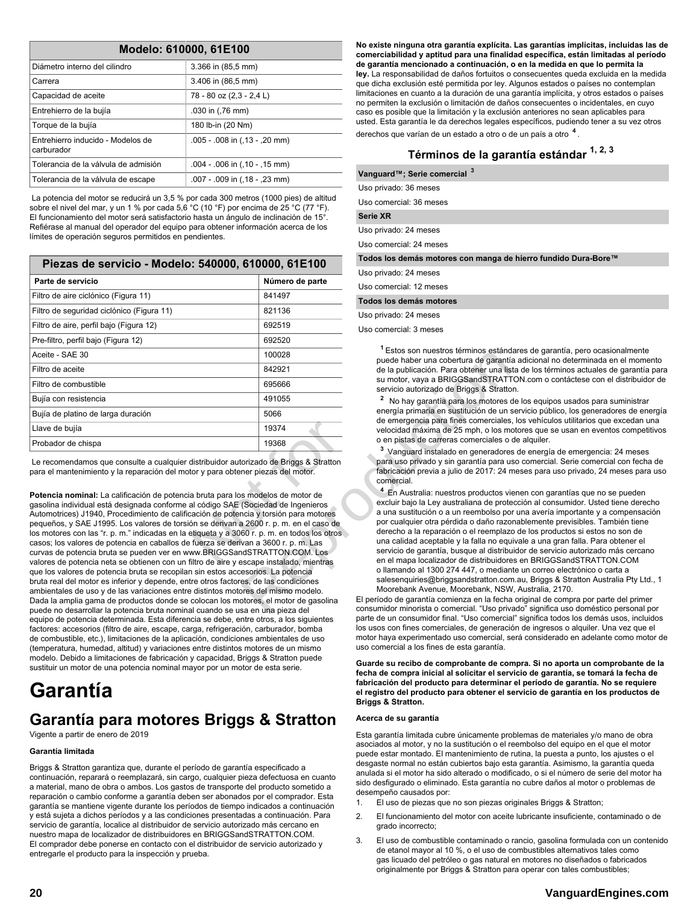### **Modelo: 610000, 61E100**

| Diámetro interno del cilindro                   | 3.366 in (85,5 mm)            |
|-------------------------------------------------|-------------------------------|
| Carrera                                         | 3.406 in (86,5 mm)            |
| Capacidad de aceite                             | 78 - 80 oz (2,3 - 2,4 L)      |
| Entrehierro de la bujía                         | .030 in (,76 mm)              |
| Torque de la bujía                              | 180 lb-in (20 Nm)             |
| Entrehierro inducido - Modelos de<br>carburador | .005 - .008 in (.13 - .20 mm) |
| Tolerancia de la válvula de admisión            | .004 - .006 in (.10 - .15 mm) |
| Tolerancia de la válvula de escape              | .007 - .009 in (.18 - .23 mm) |

 La potencia del motor se reducirá un 3,5 % por cada 300 metros (1000 pies) de altitud sobre el nivel del mar, y un 1 % por cada 5,6 °C (10 °F) por encima de 25 °C (77 °F). El funcionamiento del motor será satisfactorio hasta un ángulo de inclinación de 15°. Refiérase al manual del operador del equipo para obtener información acerca de los límites de operación seguros permitidos en pendientes.

### **Piezas de servicio - Modelo: 540000, 610000, 61E100**

| Parte de servicio                         | Número de parte |
|-------------------------------------------|-----------------|
| Filtro de aire ciclónico (Figura 11)      | 841497          |
| Filtro de seguridad ciclónico (Figura 11) | 821136          |
| Filtro de aire, perfil bajo (Figura 12)   | 692519          |
| Pre-filtro, perfil bajo (Figura 12)       | 692520          |
| Aceite - SAE 30                           | 100028          |
| Filtro de aceite                          | 842921          |
| Filtro de combustible                     | 695666          |
| Bujía con resistencia                     | 491055          |
| Bujía de platino de larga duración        | 5066            |
| Llave de bujía                            | 19374           |
| Probador de chispa                        | 19368           |

 Le recomendamos que consulte a cualquier distribuidor autorizado de Briggs & Stratton para el mantenimiento y la reparación del motor y para obtener piezas del motor.

19374<br>19368<br>19368<br>19368<br>19368<br>19368 Stratton<br>1976 Stratton<br>1976 Stratton<br>1976 Stratton<br>1987 Stratton<br>1987 Stratton<br>1987 Stratton<br>1987 Stratton<br>1988 Stratton<br>1988 Stratton<br>1989 Stratton<br>1989 Stratton<br>1989 Stratton<br>1989 Stra **Potencia nominal:** La calificación de potencia bruta para los modelos de motor de gasolina individual está designada conforme al código SAE (Sociedad de Ingenieros Automotrices) J1940, Procedimiento de calificación de potencia y torsión para motores pequeños, y SAE J1995. Los valores de torsión se derivan a 2600 r. p. m. en el caso de los motores con las "r. p. m." indicadas en la etiqueta y a 3060 r. p. m. en todos los otros casos; los valores de potencia en caballos de fuerza se derivan a 3600 r. p. m. Las curvas de potencia bruta se pueden ver en www.BRIGGSandSTRATTON.COM. Los valores de potencia neta se obtienen con un filtro de aire y escape instalado, mientras que los valores de potencia bruta se recopilan sin estos accesorios. La potencia bruta real del motor es inferior y depende, entre otros factores, de las condiciones ambientales de uso y de las variaciones entre distintos motores del mismo modelo. Dada la amplia gama de productos donde se colocan los motores, el motor de gasolina puede no desarrollar la potencia bruta nominal cuando se usa en una pieza del equipo de potencia determinada. Esta diferencia se debe, entre otros, a los siguientes factores: accesorios (filtro de aire, escape, carga, refrigeración, carburador, bomba de combustible, etc.), limitaciones de la aplicación, condiciones ambientales de uso (temperatura, humedad, altitud) y variaciones entre distintos motores de un mismo modelo. Debido a limitaciones de fabricación y capacidad, Briggs & Stratton puede sustituir un motor de una potencia nominal mayor por un motor de esta serie.

# **Garantía**

# **Garantía para motores Briggs & Stratton**

Vigente a partir de enero de 2019

### **Garantía limitada**

Briggs & Stratton garantiza que, durante el período de garantía especificado a continuación, reparará o reemplazará, sin cargo, cualquier pieza defectuosa en cuanto a material, mano de obra o ambos. Los gastos de transporte del producto sometido a reparación o cambio conforme a garantía deben ser abonados por el comprador. Esta garantía se mantiene vigente durante los períodos de tiempo indicados a continuación y está sujeta a dichos períodos y a las condiciones presentadas a continuación. Para servicio de garantía, localice al distribuidor de servicio autorizado más cercano en nuestro mapa de localizador de distribuidores en BRIGGSandSTRATTON.COM. El comprador debe ponerse en contacto con el distribuidor de servicio autorizado y entregarle el producto para la inspección y prueba.

**No existe ninguna otra garantía explícita. Las garantías implícitas, incluidas las de comerciabilidad y aptitud para una finalidad específica, están limitadas al período de garantía mencionado a continuación, o en la medida en que lo permita la ley.** La responsabilidad de daños fortuitos o consecuentes queda excluida en la medida que dicha exclusión esté permitida por ley. Algunos estados o países no contemplan limitaciones en cuanto a la duración de una garantía implícita, y otros estados o países no permiten la exclusión o limitación de daños consecuentes o incidentales, en cuyo caso es posible que la limitación y la exclusión anteriores no sean aplicables para usted. Esta garantía le da derechos legales específicos, pudiendo tener a su vez otros derechos que varían de un estado a otro o de un país a otro **<sup>4</sup>** .

### **Términos de la garantía estándar 1, 2, 3**

| Vanquard™; Serie comercial $^{\,3}$                            |
|----------------------------------------------------------------|
| Uso privado: 36 meses                                          |
| Uso comercial: 36 meses                                        |
| Serie XR                                                       |
| Uso privado: 24 meses                                          |
| Uso comercial: 24 meses                                        |
| Todos los demás motores con manga de hierro fundido Dura-Bore™ |
| Uso privado: 24 meses                                          |
| Uso comercial: 12 meses                                        |
| Todos los demás motores                                        |
| Uso privado: 24 meses                                          |
| Uso comercial: 3 meses                                         |
|                                                                |

**1** Estos son nuestros términos estándares de garantía, pero ocasionalmente puede haber una cobertura de garantía adicional no determinada en el momento de la publicación. Para obtener una lista de los términos actuales de garantía para su motor, vaya a BRIGGSandSTRATTON.com o contáctese con el distribuidor de servicio autorizado de Briggs & Stratton.

**<sup>2</sup>** No hay garantía para los motores de los equipos usados para suministrar energía primaria en sustitución de un servicio público, los generadores de energía de emergencia para fines comerciales, los vehículos utilitarios que excedan una velocidad máxima de 25 mph, o los motores que se usan en eventos competitivos o en pistas de carreras comerciales o de alquiler.

**3** Vanguard instalado en generadores de energía de emergencia: 24 meses para uso privado y sin garantía para uso comercial. Serie comercial con fecha de fabricación previa a julio de 2017: 24 meses para uso privado, 24 meses para uso comercial.

100028<br>
Existes on intesting and the parametical experiments start<br>
also the and the and the sparametical experimental is<br>
expected above the constrained by a BRIGGS<br>
Soft and the service in the service are the service are **4** En Australia: nuestros productos vienen con garantías que no se pueden excluir bajo la Ley australiana de protección al consumidor. Usted tiene derecho a una sustitución o a un reembolso por una avería importante y a compensación por cualquier otra pérdida o daño razonablemente previsibles. También tiene derecho a la reparación o el reemplazo de los productos si estos no son de una calidad aceptable y la falla no equivale a una gran falla. Para obtener el servicio de garantía, busque al distribuidor de servicio autorizado más cercano en el mapa localizador de distribuidores en BRIGGSandSTRATTON.COM o llamando al 1300 274 447, o mediante un correo electrónico o carta a salesenquiries@briggsandstratton.com.au, Briggs & Stratton Australia Pty Ltd., 1 Moorebank Avenue, Moorebank, NSW, Australia, 2170.

El período de garantía comienza en la fecha original de compra por parte del primer consumidor minorista o comercial. "Uso privado" significa uso doméstico personal por parte de un consumidor final. "Uso comercial" significa todos los demás usos, incluidos los usos con fines comerciales, de generación de ingresos o alquiler. Una vez que el motor haya experimentado uso comercial, será considerado en adelante como motor de uso comercial a los fines de esta garantía.

**Guarde su recibo de comprobante de compra. Si no aporta un comprobante de la fecha de compra inicial al solicitar el servicio de garantía, se tomará la fecha de fabricación del producto para determinar el período de garantía. No se requiere el registro del producto para obtener el servicio de garantía en los productos de Briggs & Stratton.**

#### **Acerca de su garantía**

Esta garantía limitada cubre únicamente problemas de materiales y/o mano de obra asociados al motor, y no la sustitución o el reembolso del equipo en el que el motor puede estar montado. El mantenimiento de rutina, la puesta a punto, los ajustes o el desgaste normal no están cubiertos bajo esta garantía. Asimismo, la garantía queda anulada si el motor ha sido alterado o modificado, o si el número de serie del motor ha sido desfigurado o eliminado. Esta garantía no cubre daños al motor o problemas de desempeño causados por:

- 1. El uso de piezas que no son piezas originales Briggs & Stratton;
- 2. El funcionamiento del motor con aceite lubricante insuficiente, contaminado o de grado incorrecto;
- 3. El uso de combustible contaminado o rancio, gasolina formulada con un contenido de etanol mayor al 10 %, o el uso de combustibles alternativos tales como gas licuado del petróleo o gas natural en motores no diseñados o fabricados originalmente por Briggs & Stratton para operar con tales combustibles;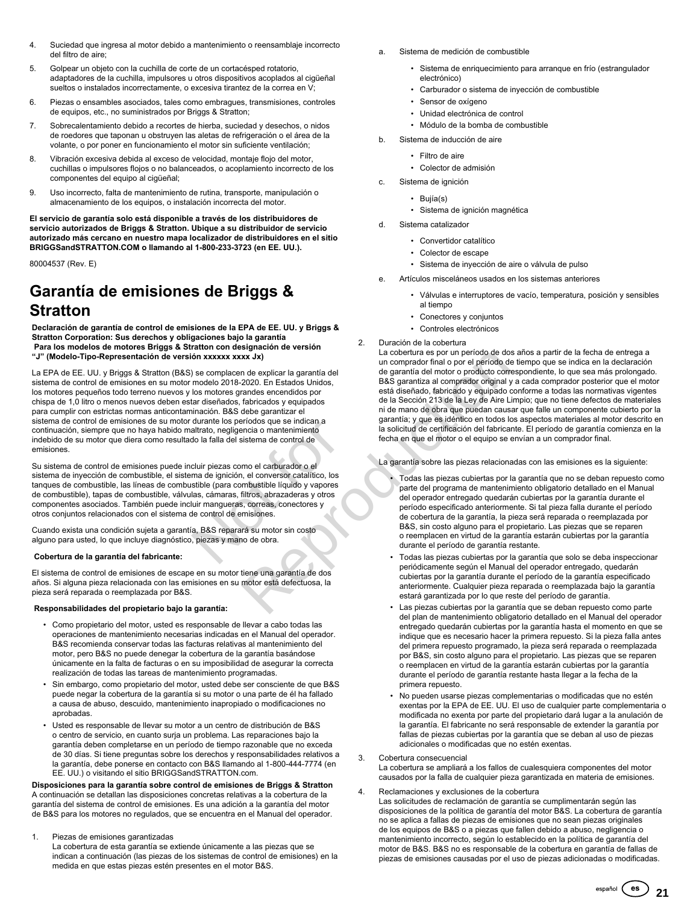- Suciedad que ingresa al motor debido a mantenimiento o reensamblaje incorrecto del filtro de aire;
- 5. Golpear un objeto con la cuchilla de corte de un cortacésped rotatorio, adaptadores de la cuchilla, impulsores u otros dispositivos acoplados al cigüeñal sueltos o instalados incorrectamente, o excesiva tirantez de la correa en V;
- 6. Piezas o ensambles asociados, tales como embragues, transmisiones, controles de equipos, etc., no suministrados por Briggs & Stratton;
- 7. Sobrecalentamiento debido a recortes de hierba, suciedad y desechos, o nidos de roedores que taponan u obstruyen las aletas de refrigeración o el área de la volante, o por poner en funcionamiento el motor sin suficiente ventilación;
- 8. Vibración excesiva debida al exceso de velocidad, montaje flojo del motor, cuchillas o impulsores flojos o no balanceados, o acoplamiento incorrecto de los componentes del equipo al cigüeñal:
- 9. Uso incorrecto, falta de mantenimiento de rutina, transporte, manipulación o almacenamiento de los equipos, o instalación incorrecta del motor.

**El servicio de garantía solo está disponible a través de los distribuidores de servicio autorizados de Briggs & Stratton. Ubique a su distribuidor de servicio autorizado más cercano en nuestro mapa localizador de distribuidores en el sitio BRIGGSandSTRATTON.COM o llamando al 1-800-233-3723 (en EE. UU.).**

80004537 (Rev. E)

# **Garantía de emisiones de Briggs & Stratton**

**Declaración de garantía de control de emisiones de la EPA de EE. UU. y Briggs & Stratton Corporation: Sus derechos y obligaciones bajo la garantía Para los modelos de motores Briggs & Stratton con designación de versión "J" (Modelo-Tipo-Representación de versión xxxxxx xxxx Jx)**

La EPA de EE. UU. y Briggs & Stratton (B&S) se complacen de explicar la garantía del sistema de control de emisiones en su motor modelo 2018-2020. En Estados Unidos, los motores pequeños todo terreno nuevos y los motores grandes encendidos por chispa de 1,0 litro o menos nuevos deben estar diseñados, fabricados y equipados para cumplir con estrictas normas anticontaminación. B&S debe garantizar el sistema de control de emisiones de su motor durante los períodos que se indican a continuación, siempre que no haya habido maltrato, negligencia o mantenimiento indebido de su motor que diera como resultado la falla del sistema de control de emisiones.

diantato, negligencia o mantenimiento<br>altrato, negligencia o mantenimiento<br>do la falla del sistema de control de<br>cluir piezas como el carburador o el<br>cluir piezas como el carburador o el<br>sustible (para combustible líquido Su sistema de control de emisiones puede incluir piezas como el carburador o el sistema de inyección de combustible, el sistema de ignición, el conversor catalítico, los tanques de combustible, las líneas de combustible (para combustible líquido y vapores de combustible), tapas de combustible, válvulas, cámaras, filtros, abrazaderas y otros componentes asociados. También puede incluir mangueras, correas, conectores y otros conjuntos relacionados con el sistema de control de emisiones.

Cuando exista una condición sujeta a garantía, B&S reparará su motor sin costo alguno para usted, lo que incluye diagnóstico, piezas y mano de obra.

### **Cobertura de la garantía del fabricante:**

El sistema de control de emisiones de escape en su motor tiene una garantía de dos años. Si alguna pieza relacionada con las emisiones en su motor está defectuosa, la pieza será reparada o reemplazada por B&S.

### **Responsabilidades del propietario bajo la garantía:**

- Como propietario del motor, usted es responsable de llevar a cabo todas las operaciones de mantenimiento necesarias indicadas en el Manual del operador. B&S recomienda conservar todas las facturas relativas al mantenimiento del motor, pero B&S no puede denegar la cobertura de la garantía basándose únicamente en la falta de facturas o en su imposibilidad de asegurar la correcta realización de todas las tareas de mantenimiento programadas.
- Sin embargo, como propietario del motor, usted debe ser consciente de que B&S puede negar la cobertura de la garantía si su motor o una parte de él ha fallado a causa de abuso, descuido, mantenimiento inapropiado o modificaciones no aprobadas.
- Usted es responsable de llevar su motor a un centro de distribución de B&S o centro de servicio, en cuanto surja un problema. Las reparaciones bajo la garantía deben completarse en un período de tiempo razonable que no exceda de 30 días. Si tiene preguntas sobre los derechos y responsabilidades relativos a la garantía, debe ponerse en contacto con B&S llamando al 1-800-444-7774 (en EE. UU.) o visitando el sitio BRIGGSandSTRATTON.com.

**Disposiciones para la garantía sobre control de emisiones de Briggs & Stratton** A continuación se detallan las disposiciones concretas relativas a la cobertura de la garantía del sistema de control de emisiones. Es una adición a la garantía del motor de B&S para los motores no regulados, que se encuentra en el Manual del operador.

1. Piezas de emisiones garantizadas

La cobertura de esta garantía se extiende únicamente a las piezas que se indican a continuación (las piezas de los sistemas de control de emisiones) en la medida en que estas piezas estén presentes en el motor B&S.

- a. Sistema de medición de combustible
	- Sistema de enriquecimiento para arranque en frío (estrangulador electrónico)
	- Carburador o sistema de inyección de combustible
	- Sensor de oxígeno
	- Unidad electrónica de control
		- Módulo de la bomba de combustible
- b. Sistema de inducción de aire
	- Filtro de aire
	- Colector de admisión
- c. Sistema de ignición
	- Bujía(s)
	- Sistema de ignición magnética
- d. Sistema catalizador
	- Convertidor catalítico
	- Colector de escape
	- Sistema de inyección de aire o válvula de pulso
- e. Artículos misceláneos usados en los sistemas anteriores
	- Válvulas e interruptores de vacío, temperatura, posición y sensibles al tiempo
	- Conectores y conjuntos
	- Controles electrónicos
- 2. Duración de la cobertura

XX Jx)<br>
La cobertura es por un periodo de dos<br>
de garantía del de garantía de los de garantía de los de garantía de los de garantía de los de garantía de los de garantías encelhos por el periodo e peupedado encelhos de la La cobertura es por un período de dos años a partir de la fecha de entrega a un comprador final o por el período de tiempo que se indica en la declaración de garantía del motor o producto correspondiente, lo que sea más prolongado. B&S garantiza al comprador original y a cada comprador posterior que el motor está diseñado, fabricado y equipado conforme a todas las normativas vigentes de la Sección 213 de la Ley de Aire Limpio; que no tiene defectos de materiales ni de mano de obra que puedan causar que falle un componente cubierto por la garantía; y que es idéntico en todos los aspectos materiales al motor descrito en la solicitud de certificación del fabricante. El período de garantía comienza en la fecha en que el motor o el equipo se envían a un comprador final.

La garantía sobre las piezas relacionadas con las emisiones es la siguiente:

- Todas las piezas cubiertas por la garantía que no se deban repuesto como parte del programa de mantenimiento obligatorio detallado en el Manual del operador entregado quedarán cubiertas por la garantía durante el período especificado anteriormente. Si tal pieza falla durante el período de cobertura de la garantía, la pieza será reparada o reemplazada por B&S, sin costo alguno para el propietario. Las piezas que se reparen o reemplacen en virtud de la garantía estarán cubiertas por la garantía durante el período de garantía restante.
- Todas las piezas cubiertas por la garantía que solo se deba inspeccionar periódicamente según el Manual del operador entregado, quedarán cubiertas por la garantía durante el período de la garantía especificado anteriormente. Cualquier pieza reparada o reemplazada bajo la garantía estará garantizada por lo que reste del período de garantía.
- Las piezas cubiertas por la garantía que se deban repuesto como parte del plan de mantenimiento obligatorio detallado en el Manual del operador entregado quedarán cubiertas por la garantía hasta el momento en que se indique que es necesario hacer la primera repuesto. Si la pieza falla antes del primera repuesto programado, la pieza será reparada o reemplazada por B&S, sin costo alguno para el propietario. Las piezas que se reparen o reemplacen en virtud de la garantía estarán cubiertas por la garantía durante el período de garantía restante hasta llegar a la fecha de la primera repuesto.
- No pueden usarse piezas complementarias o modificadas que no estén exentas por la EPA de EE. UU. El uso de cualquier parte complementaria o modificada no exenta por parte del propietario dará lugar a la anulación de la garantía. El fabricante no será responsable de extender la garantía por fallas de piezas cubiertas por la garantía que se deban al uso de piezas adicionales o modificadas que no estén exentas.
- 3. Cobertura consecuencial

La cobertura se ampliará a los fallos de cualesquiera componentes del motor causados por la falla de cualquier pieza garantizada en materia de emisiones.

### 4. Reclamaciones y exclusiones de la cobertura

Las solicitudes de reclamación de garantía se cumplimentarán según las disposiciones de la política de garantía del motor B&S. La cobertura de garantía no se aplica a fallas de piezas de emisiones que no sean piezas originales de los equipos de B&S o a piezas que fallen debido a abuso, negligencia o mantenimiento incorrecto, según lo establecido en la política de garantía del motor de B&S. B&S no es responsable de la cobertura en garantía de fallas de piezas de emisiones causadas por el uso de piezas adicionadas o modificadas.

español **Ces** 21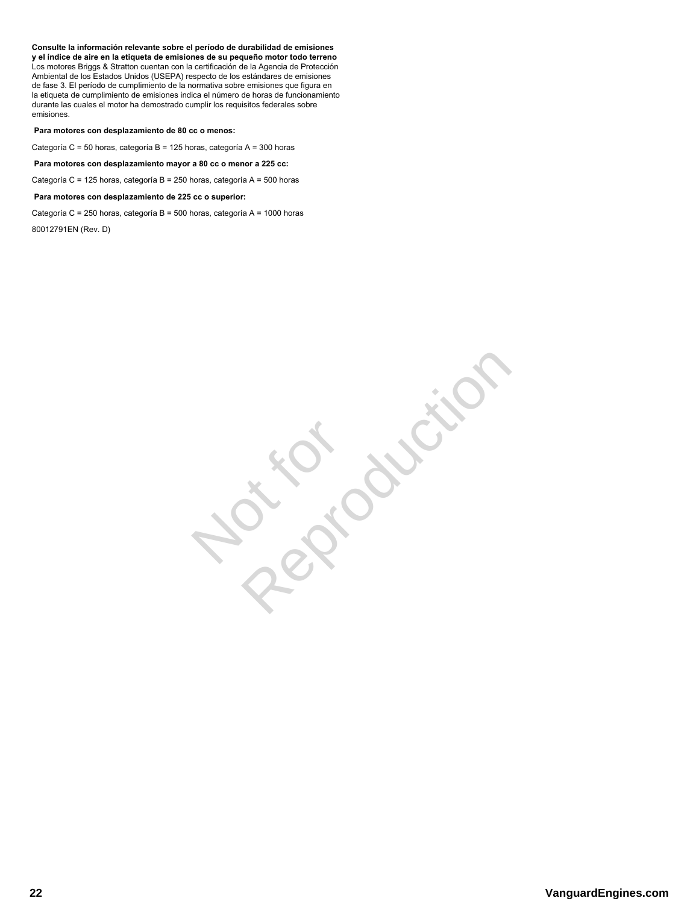**Consulte la información relevante sobre el período de durabilidad de emisiones y el índice de aire en la etiqueta de emisiones de su pequeño motor todo terreno** Los motores Briggs & Stratton cuentan con la certificación de la Agencia de Protección Ambiental de los Estados Unidos (USEPA) respecto de los estándares de emisiones de fase 3. El período de cumplimiento de la normativa sobre emisiones que figura en la etiqueta de cumplimiento de emisiones indica el número de horas de funcionamiento durante las cuales el motor ha demostrado cumplir los requisitos federales sobre emisiones.

### **Para motores con desplazamiento de 80 cc o menos:**

Categoría C = 50 horas, categoría B = 125 horas, categoría A = 300 horas

### **Para motores con desplazamiento mayor a 80 cc o menor a 225 cc:**

Categoría C = 125 horas, categoría B = 250 horas, categoría A = 500 horas

**Para motores con desplazamiento de 225 cc o superior:**

Categoría C = 250 horas, categoría B = 500 horas, categoría A = 1000 horas

80012791EN (Rev. D)

Not is Reproduction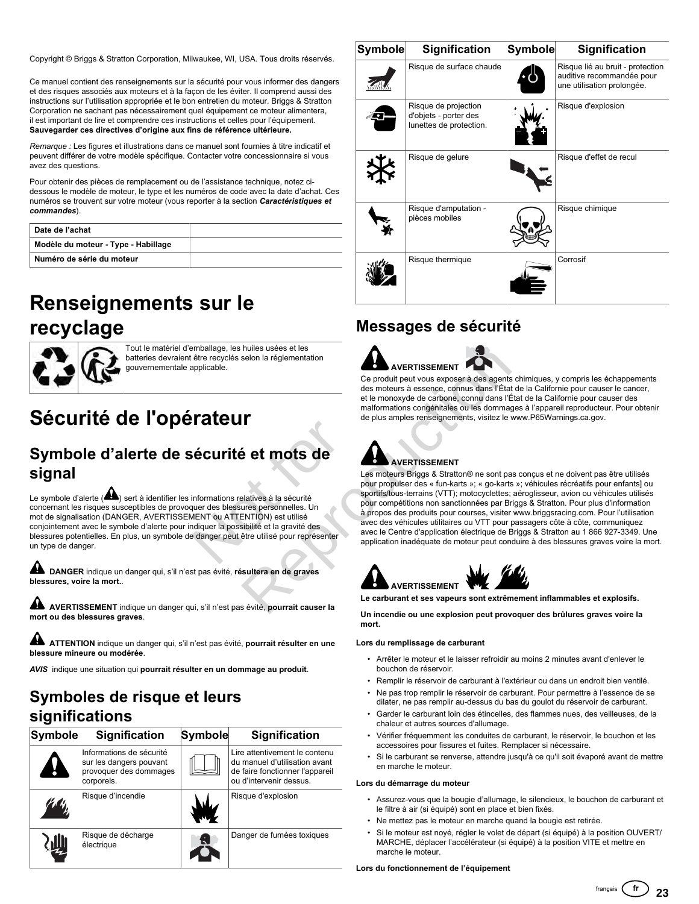Copyright © Briggs & Stratton Corporation, Milwaukee, WI, USA. Tous droits réservés.

Ce manuel contient des renseignements sur la sécurité pour vous informer des dangers et des risques associés aux moteurs et à la façon de les éviter. Il comprend aussi des instructions sur l'utilisation appropriée et le bon entretien du moteur. Briggs & Stratton Corporation ne sachant pas nécessairement quel équipement ce moteur alimentera, il est important de lire et comprendre ces instructions et celles pour l'équipement. **Sauvegarder ces directives d'origine aux fins de référence ultérieure.**

*Remarque :* Les figures et illustrations dans ce manuel sont fournies à titre indicatif et peuvent différer de votre modèle spécifique. Contacter votre concessionnaire si vous avez des questions.

Pour obtenir des pièces de remplacement ou de l'assistance technique, notez cidessous le modèle de moteur, le type et les numéros de code avec la date d'achat. Ces numéros se trouvent sur votre moteur (vous reporter à la section *Caractéristiques et commandes*).

| Date de l'achat                     |  |
|-------------------------------------|--|
| Modèle du moteur - Type - Habillage |  |
| Numéro de série du moteur           |  |

# **Renseignements sur le recyclage**



Tout le matériel d'emballage, les huiles usées et les batteries devraient être recyclés selon la réglementation gouvernementale applicable.

# **Sécurité de l'opérateur**

# **Symbole d'alerte de sécurité et mots de signal**

**SECURITÉ ET MOTS de<br>
SECURITÉ ET MOTS de<br>
informations relatives à la sécurité<br>
quer des blessures personnelles. Un<br>
MENT ou ATTENTION) est utilisé<br>
ndiquer la possibilité et la gravité des<br>
e danger peut être utilisé pou** Le symbole d'alerte  $($   $\blacktriangle)$  sert à identifier les informations relatives à la sécurité concernant les risques susceptibles de provoquer des blessures personnelles. Un mot de signalisation (DANGER, AVERTISSEMENT ou ATTENTION) est utilisé conjointement avec le symbole d'alerte pour indiquer la possibilité et la gravité des blessures potentielles. En plus, un symbole de danger peut être utilisé pour représenter un type de danger.

 **DANGER** indique un danger qui, s'il n'est pas évité, **résultera en de graves blessures, voire la mort.**.

 **AVERTISSEMENT** indique un danger qui, s'il n'est pas évité, **pourrait causer la mort ou des blessures graves**.

 **ATTENTION** indique un danger qui, s'il n'est pas évité, **pourrait résulter en une blessure mineure ou modérée**.

*AVIS* indique une situation qui **pourrait résulter en un dommage au produit**.

# **Symboles de risque et leurs significations**

| <b>Symbole</b> | <b>Signification</b>                                                                        | <b>Symbole</b> | <b>Signification</b>                                                                                                         |
|----------------|---------------------------------------------------------------------------------------------|----------------|------------------------------------------------------------------------------------------------------------------------------|
|                | Informations de sécurité<br>sur les dangers pouvant<br>provoquer des dommages<br>corporels. |                | Lire attentivement le contenu<br>du manuel d'utilisation avant<br>de faire fonctionner l'appareil<br>ou d'intervenir dessus. |
|                | Risque d'incendie                                                                           |                | Risque d'explosion                                                                                                           |
|                | Risque de décharge<br>électrique                                                            |                | Danger de fumées toxiques                                                                                                    |

| <b>Symbole</b> | Signification                                                            | <b>Symbole</b> | <b>Signification</b>                                                                        |
|----------------|--------------------------------------------------------------------------|----------------|---------------------------------------------------------------------------------------------|
|                | Risque de surface chaude                                                 |                | Risque lié au bruit - protection<br>auditive recommandée pour<br>une utilisation prolongée. |
|                | Risque de projection<br>d'objets - porter des<br>lunettes de protection. |                | Risque d'explosion                                                                          |
|                | Risque de gelure                                                         |                | Risque d'effet de recul                                                                     |
|                | Risque d'amputation -<br>pièces mobiles                                  |                | Risque chimique                                                                             |
|                | Risque thermique                                                         |                | Corrosif                                                                                    |

### **Messages de sécurité**



Ce produit peut vous exposer à des agents chimiques, y compris les échappements des moteurs à essence, connus dans l'État de la Californie pour causer le cancer, et le monoxyde de carbone, connu dans l'État de la Californie pour causer des malformations congénitales ou les dommages à l'appareil reproducteur. Pour obtenir de plus amples renseignements, visitez le www.P65Warnings.ca.gov.



MORTISSEMENT<br>
Selon la réglementation<br>
Ce produit peut vous exposer à des agents<br>
des moteurs à essence, connus dans l'État<br>
de plus amples renseignements, visitez le<br>
de plus amples renseignements, visitez le<br>
de plus amp Les moteurs Briggs & Stratton® ne sont pas conçus et ne doivent pas être utilisés pour propulser des « fun-karts »; « go-karts »; véhicules récréatifs pour enfants] ou sportifs/tous-terrains (VTT); motocyclettes; aéroglisseur, avion ou véhicules utilisés pour compétitions non sanctionnées par Briggs & Stratton. Pour plus d'information à propos des produits pour courses, visiter www.briggsracing.com. Pour l'utilisation avec des véhicules utilitaires ou VTT pour passagers côte à côte, communiquez avec le Centre d'application électrique de Briggs & Stratton au 1 866 927-3349. Une application inadéquate de moteur peut conduire à des blessures graves voire la mort.



**Le carburant et ses vapeurs sont extrêmement inflammables et explosifs.**

**Un incendie ou une explosion peut provoquer des brûlures graves voire la mort.**

### **Lors du remplissage de carburant**

- Arrêter le moteur et le laisser refroidir au moins 2 minutes avant d'enlever le bouchon de réservoir.
- Remplir le réservoir de carburant à l'extérieur ou dans un endroit bien ventilé.
- Ne pas trop remplir le réservoir de carburant. Pour permettre à l'essence de se dilater, ne pas remplir au-dessus du bas du goulot du réservoir de carburant.
- Garder le carburant loin des étincelles, des flammes nues, des veilleuses, de la chaleur et autres sources d'allumage.
- Vérifier fréquemment les conduites de carburant, le réservoir, le bouchon et les accessoires pour fissures et fuites. Remplacer si nécessaire.
- Si le carburant se renverse, attendre jusqu'à ce qu'il soit évaporé avant de mettre en marche le moteur.

### **Lors du démarrage du moteur**

- Assurez-vous que la bougie d'allumage, le silencieux, le bouchon de carburant et le filtre à air (si équipé) sont en place et bien fixés.
- Ne mettez pas le moteur en marche quand la bougie est retirée.
- Si le moteur est noyé, régler le volet de départ (si équipé) à la position OUVERT/ MARCHE, déplacer l'accélérateur (si équipé) à la position VITE et mettre en marche le moteur.

### **Lors du fonctionnement de l'équipement**

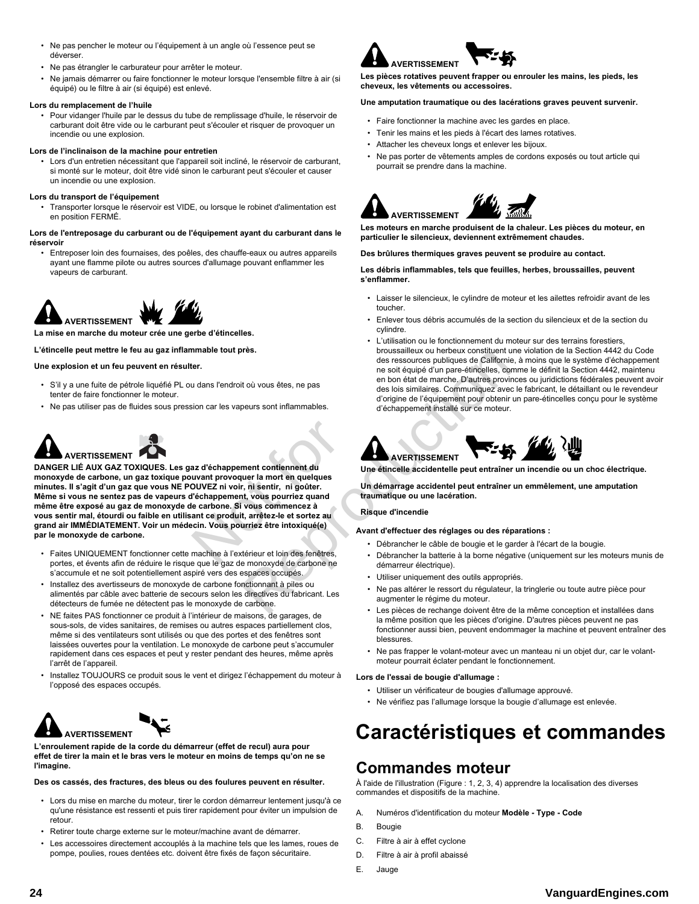- Ne pas pencher le moteur ou l'équipement à un angle où l'essence peut se déverser.
- Ne pas étrangler le carburateur pour arrêter le moteur.
- Ne jamais démarrer ou faire fonctionner le moteur lorsque l'ensemble filtre à air (si équipé) ou le filtre à air (si équipé) est enlevé.

### **Lors du remplacement de l'huile**

• Pour vidanger l'huile par le dessus du tube de remplissage d'huile, le réservoir de carburant doit être vide ou le carburant peut s'écouler et risquer de provoquer un incendie ou une explosion.

#### **Lors de l'inclinaison de la machine pour entretien**

• Lors d'un entretien nécessitant que l'appareil soit incliné, le réservoir de carburant, si monté sur le moteur, doit être vidé sinon le carburant peut s'écouler et causer un incendie ou une explosion.

### **Lors du transport de l'équipement**

• Transporter lorsque le réservoir est VIDE, ou lorsque le robinet d'alimentation est en position FERMÉ.

#### **Lors de l'entreposage du carburant ou de l'équipement ayant du carburant dans le réservoir**

• Entreposer loin des fournaises, des poêles, des chauffe-eaux ou autres appareils ayant une flamme pilote ou autres sources d'allumage pouvant enflammer les vapeurs de carburant.



**La mise en marche du moteur crée une gerbe d'étincelles.**

**L'étincelle peut mettre le feu au gaz inflammable tout près.**

### **Une explosion et un feu peuvent en résulter.**

- S'il y a une fuite de pétrole liquéfié PL ou dans l'endroit où vous êtes, ne pas tenter de faire fonctionner le moteur.
- Ne pas utiliser pas de fluides sous pression car les vapeurs sont inflammables.

# **AVERTISSEMENT**

az d'échappement contiennent du<br>
ouvant provoquer la mort en quelques<br>
OUVEZ ni voir, ni sentir, ni goûter.<br>
d'échappement, vous pourriez quand<br>
le carbone. Si vous commencez à<br>
sant ce produit, arrêtez-le et sortez au<br>
ec **DANGER LIÉ AUX GAZ TOXIQUES. Les gaz d'échappement contiennent du monoxyde de carbone, un gaz toxique pouvant provoquer la mort en quelques minutes. Il s'agit d'un gaz que vous NE POUVEZ ni voir, ni sentir, ni goûter. Même si vous ne sentez pas de vapeurs d'échappement, vous pourriez quand même être exposé au gaz de monoxyde de carbone. Si vous commencez à vous sentir mal, étourdi ou faible en utilisant ce produit, arrêtez-le et sortez au grand air IMMÉDIATEMENT. Voir un médecin. Vous pourriez être intoxiqué(e) par le monoxyde de carbone.**

- Faites UNIQUEMENT fonctionner cette machine à l'extérieur et loin des fenêtres, portes, et évents afin de réduire le risque que le gaz de monoxyde de carbone ne s'accumule et ne soit potentiellement aspiré vers des espaces occupés.
- Installez des avertisseurs de monoxyde de carbone fonctionnant à piles ou alimentés par câble avec batterie de secours selon les directives du fabricant. Les détecteurs de fumée ne détectent pas le monoxyde de carbone.
- NE faites PAS fonctionner ce produit à l'intérieur de maisons, de garages, de sous-sols, de vides sanitaires, de remises ou autres espaces partiellement clos, même si des ventilateurs sont utilisés ou que des portes et des fenêtres sont laissées ouvertes pour la ventilation. Le monoxyde de carbone peut s'accumuler rapidement dans ces espaces et peut y rester pendant des heures, même après l'arrêt de l'appareil.
- Installez TOUJOURS ce produit sous le vent et dirigez l'échappement du moteur à l'opposé des espaces occupés.



**L'enroulement rapide de la corde du démarreur (effet de recul) aura pour effet de tirer la main et le bras vers le moteur en moins de temps qu'on ne se l'imagine.**

**Des os cassés, des fractures, des bleus ou des foulures peuvent en résulter.**

- Lors du mise en marche du moteur, tirer le cordon démarreur lentement jusqu'à ce qu'une résistance est ressenti et puis tirer rapidement pour éviter un impulsion de retour.
- Retirer toute charge externe sur le moteur/machine avant de démarrer.
- Les accessoires directement accouplés à la machine tels que les lames, roues de pompe, poulies, roues dentées etc. doivent être fixés de façon sécuritaire.



**Les pièces rotatives peuvent frapper ou enrouler les mains, les pieds, les cheveux, les vêtements ou accessoires.**

**Une amputation traumatique ou des lacérations graves peuvent survenir.**

- Faire fonctionner la machine avec les gardes en place.
- Tenir les mains et les pieds à l'écart des lames rotatives.
- Attacher les cheveux longs et enlever les bijoux.
- Ne pas porter de vêtements amples de cordons exposés ou tout article qui pourrait se prendre dans la machine.



**Les moteurs en marche produisent de la chaleur. Les pièces du moteur, en particulier le silencieux, deviennent extrêmement chaudes.**

**Des brûlures thermiques graves peuvent se produire au contact.**

### **Les débris inflammables, tels que feuilles, herbes, broussailles, peuvent s'enflammer.**

- Laisser le silencieux, le cylindre de moteur et les ailettes refroidir avant de les toucher.
- Enlever tous débris accumulés de la section du silencieux et de la section du cylindre.
- Nes.<br>
Solonizative des resources publiques de Californie<br>
des resources publiques de Californie<br>
in exist équipé d'un pare-étincelles, comment contre des provis des lois similaires. Communiquez avec<br>
d'origine de l'équipem • L'utilisation ou le fonctionnement du moteur sur des terrains forestiers, broussailleux ou herbeux constituent une violation de la Section 4442 du Code des ressources publiques de Californie, à moins que le système d'échappement ne soit équipé d'un pare-étincelles, comme le définit la Section 4442, maintenu en bon état de marche. D'autres provinces ou juridictions fédérales peuvent avoir des lois similaires. Communiquez avec le fabricant, le détaillant ou le revendeur d'origine de l'équipement pour obtenir un pare-étincelles conçu pour le système d'échappement installé sur ce moteur.



**Une étincelle accidentelle peut entraîner un incendie ou un choc électrique.**

**Un démarrage accidentel peut entraîner un emmêlement, une amputation traumatique ou une lacération.**

### **Risque d'incendie**

### **Avant d'effectuer des réglages ou des réparations :**

- Débrancher le câble de bougie et le garder à l'écart de la bougie.
- Débrancher la batterie à la borne négative (uniquement sur les moteurs munis de démarreur électrique).
- Utiliser uniquement des outils appropriés.
- Ne pas altérer le ressort du régulateur, la tringlerie ou toute autre pièce pour augmenter le régime du moteur.
- Les pièces de rechange doivent être de la même conception et installées dans la même position que les pièces d'origine. D'autres pièces peuvent ne pas fonctionner aussi bien, peuvent endommager la machine et peuvent entraîner des blessures.
- Ne pas frapper le volant-moteur avec un manteau ni un objet dur, car le volantmoteur pourrait éclater pendant le fonctionnement.

### **Lors de l'essai de bougie d'allumage :**

- Utiliser un vérificateur de bougies d'allumage approuvé.
- Ne vérifiez pas l'allumage lorsque la bougie d'allumage est enlevée.

# **Caractéristiques et commandes**

### **Commandes moteur**

À l'aide de l'illustration (Figure : 1, 2, 3, 4) apprendre la localisation des diverses commandes et dispositifs de la machine.

- A. Numéros d'identification du moteur **Modèle Type Code**
- B. Bougie
- C. Filtre à air à effet cyclone
- D. Filtre à air à profil abaissé
- E. Jauge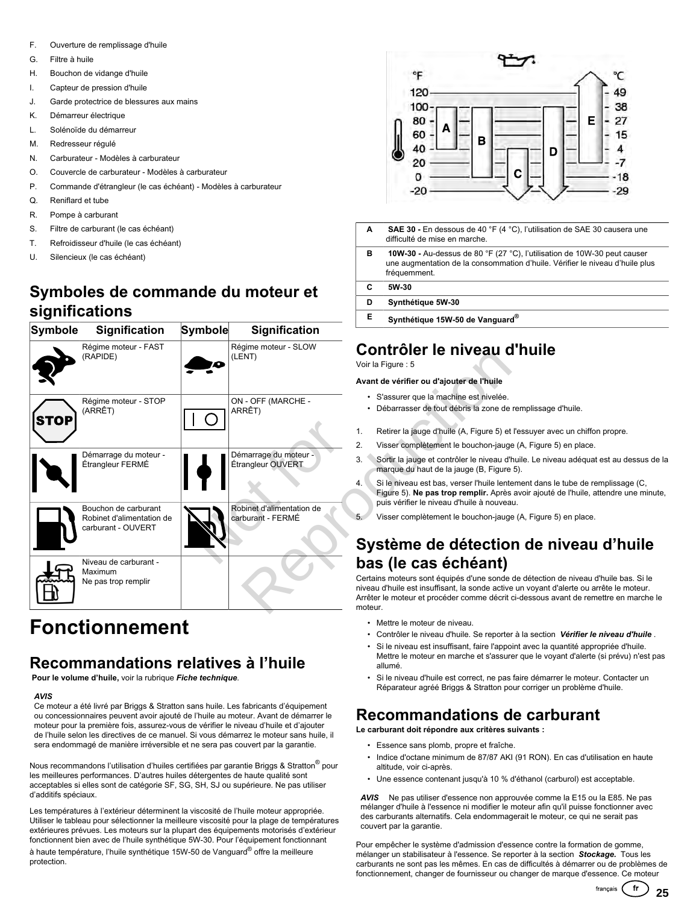- F. Ouverture de remplissage d'huile
- G. Filtre à huile
- H. Bouchon de vidange d'huile
- I. Capteur de pression d'huile
- J. Garde protectrice de blessures aux mains
- K. Démarreur électrique
- L. Solénoïde du démarreur
- M. Redresseur régulé
- N. Carburateur Modèles à carburateur
- O. Couvercle de carburateur Modèles à carburateur
- P. Commande d'étrangleur (le cas échéant) Modèles à carburateur
- Q. Reniflard et tube
- R. Pompe à carburant
- S. Filtre de carburant (le cas échéant)
- T. Refroidisseur d'huile (le cas échéant)
- U. Silencieux (le cas échéant)

# **Symboles de commande du moteur et significations**

| <b>Symbole</b> | <b>Signification</b>                                                    | <b>Symbole</b> | <b>Signification</b>                           | ovininendue Tow-So de Vanguard                                                                                                                                                                                                       |
|----------------|-------------------------------------------------------------------------|----------------|------------------------------------------------|--------------------------------------------------------------------------------------------------------------------------------------------------------------------------------------------------------------------------------------|
|                | Régime moteur - FAST<br>(RAPIDE)                                        |                | Régime moteur - SLOW<br>(LENT)                 | Contrôler le niveau d<br>Voir la Figure : 5<br>Avant de vérifier ou d'ajouter de l'huile                                                                                                                                             |
| <b>STOP</b>    | Régime moteur - STOP<br>(ARRÊT)                                         |                | ON - OFF (MARCHE -<br>ARRÊT)                   | · S'assurer que la machine est nivelée.<br>Débarrasser de tout débris la zone de<br>Retirer la jauge d'huile (A, Figure 5) et<br>1 <sub>1</sub>                                                                                      |
|                | Démarrage du moteur -<br>Étrangleur FERMÉ                               |                | Démarrage du moteur -<br>Étrangleur OUVERT     | 2.<br>Visser complètement le bouchon-jauge<br>Sortir la jauge et contrôler le niveau d'I<br>3.<br>marque du haut de la jauge (B, Figure<br>Si le niveau est bas, verser l'huile lente<br>4.<br>Figure 5). Ne pas trop remplir. Après |
|                | Bouchon de carburant<br>Robinet d'alimentation de<br>carburant - OUVERT |                | Robinet d'alimentation de<br>carburant - FERMÉ | puis vérifier le niveau d'huile à nouvea<br>Visser complètement le bouchon-jauge<br>5<br>Système de détectio                                                                                                                         |
|                | Niveau de carburant -<br>Maximum<br>Ne pas trop remplir                 |                |                                                | bas (le cas échéant)<br>Certains moteurs sont équipés d'une sonde<br>niveau d'huile est insuffisant, la sonde active<br>Arrêter le moteur et procéder comme décrit<br>moteur.                                                        |

# **Fonctionnement**

# **Recommandations relatives à l'huile**

**Pour le volume d'huile,** voir la rubrique *Fiche technique*.

### *AVIS*

Ce moteur a été livré par Briggs & Stratton sans huile. Les fabricants d'équipement ou concessionnaires peuvent avoir ajouté de l'huile au moteur. Avant de démarrer le moteur pour la première fois, assurez-vous de vérifier le niveau d'huile et d'ajouter de l'huile selon les directives de ce manuel. Si vous démarrez le moteur sans huile, il sera endommagé de manière irréversible et ne sera pas couvert par la garantie.

Nous recommandons l'utilisation d'huiles certifiées par garantie Briggs & Stratton® pour les meilleures performances. D'autres huiles détergentes de haute qualité sont acceptables si elles sont de catégorie SF, SG, SH, SJ ou supérieure. Ne pas utiliser d'additifs spéciaux.

Les températures à l'extérieur déterminent la viscosité de l'huile moteur appropriée. Utiliser le tableau pour sélectionner la meilleure viscosité pour la plage de températures extérieures prévues. Les moteurs sur la plupart des équipements motorisés d'extérieur fonctionnent bien avec de l'huile synthétique 5W-30. Pour l'équipement fonctionnant à haute température, l'huile synthétique 15W-50 de Vanguard<sup>®</sup> offre la meilleure protection.



**A SAE 30 -** En dessous de 40 °F (4 °C), l'utilisation de SAE 30 causera une difficulté de mise en marche. **B 10W-30 -** Au-dessus de 80 °F (27 °C), l'utilisation de 10W-30 peut causer une augmentation de la consommation d'huile. Vérifier le niveau d'huile plus fréquemment. **C 5W-30 D Synthétique 5W-30 E Synthétique 15W-50 de Vanguard®**

# **Contrôler le niveau d'huile**

- S'assurer que la machine est nivelée.
- Débarrasser de tout débris la zone de remplissage d'huile.
- 1. Retirer la jauge d'huile (A, Figure 5) et l'essuyer avec un chiffon propre.
- 2. Visser complètement le bouchon-jauge (A, Figure 5) en place.
- 3. Sortir la jauge et contrôler le niveau d'huile. Le niveau adéquat est au dessus de la marque du haut de la jauge (B, Figure 5).
- 4. Si le niveau est bas, verser l'huile lentement dans le tube de remplissage (C, Figure 5). **Ne pas trop remplir.** Après avoir ajouté de l'huile, attendre une minute, puis vérifier le niveau d'huile à nouveau.

5. Visser complètement le bouchon-jauge (A, Figure 5) en place.

# **Système de détection de niveau d'huile bas (le cas échéant)**

Certains moteurs sont équipés d'une sonde de détection de niveau d'huile bas. Si le niveau d'huile est insuffisant, la sonde active un voyant d'alerte ou arrête le moteur. Arrêter le moteur et procéder comme décrit ci-dessous avant de remettre en marche le moteur.

- Mettre le moteur de niveau.
- Contrôler le niveau d'huile. Se reporter à la section *Vérifier le niveau d'huile* .
- Si le niveau est insuffisant, faire l'appoint avec la quantité appropriée d'huile. Mettre le moteur en marche et s'assurer que le voyant d'alerte (si prévu) n'est pas allumé.
- Si le niveau d'huile est correct, ne pas faire démarrer le moteur. Contacter un Réparateur agréé Briggs & Stratton pour corriger un problème d'huile.

# **Recommandations de carburant**

**Le carburant doit répondre aux critères suivants :**

- Essence sans plomb, propre et fraîche.
- Indice d'octane minimum de 87/87 AKI (91 RON). En cas d'utilisation en haute altitude, voir ci-après.
- Une essence contenant jusqu'à 10 % d'éthanol (carburol) est acceptable.

*AVIS* Ne pas utiliser d'essence non approuvée comme la E15 ou la E85. Ne pas mélanger d'huile à l'essence ni modifier le moteur afin qu'il puisse fonctionner avec des carburants alternatifs. Cela endommagerait le moteur, ce qui ne serait pas couvert par la garantie.

Pour empêcher le système d'admission d'essence contre la formation de gomme, mélanger un stabilisateur à l'essence. Se reporter à la section *Stockage.* Tous les carburants ne sont pas les mêmes. En cas de difficultés à démarrer ou de problèmes de fonctionnement, changer de fournisseur ou changer de marque d'essence. Ce moteur

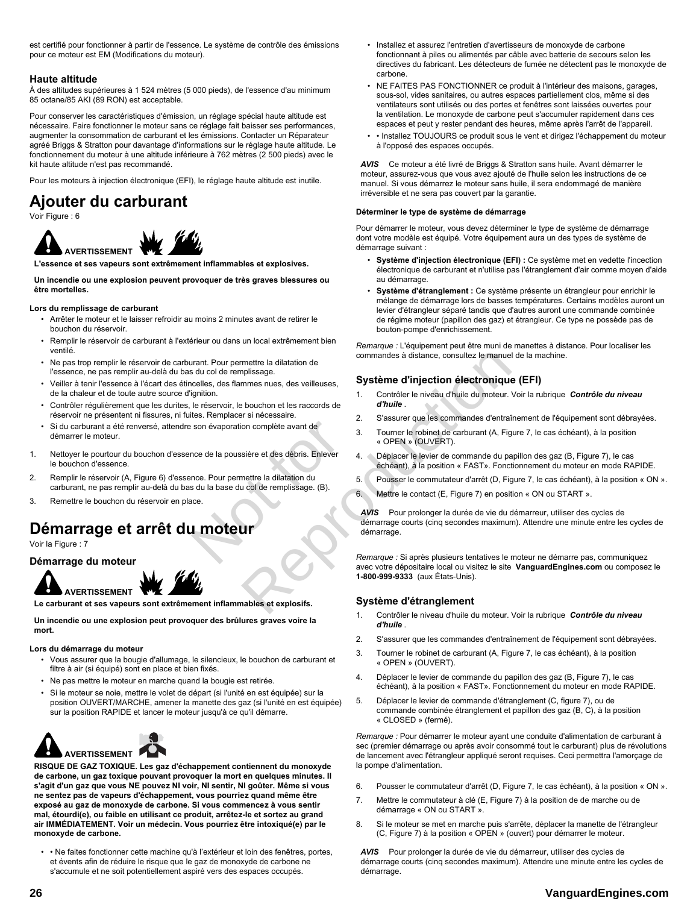est certifié pour fonctionner à partir de l'essence. Le système de contrôle des émissions pour ce moteur est EM (Modifications du moteur).

### **Haute altitude**

À des altitudes supérieures à 1 524 mètres (5 000 pieds), de l'essence d'au minimum 85 octane/85 AKI (89 RON) est acceptable.

Pour conserver les caractéristiques d'émission, un réglage spécial haute altitude est nécessaire. Faire fonctionner le moteur sans ce réglage fait baisser ses performances, augmenter la consommation de carburant et les émissions. Contacter un Réparateur agréé Briggs & Stratton pour davantage d'informations sur le réglage haute altitude. Le fonctionnement du moteur à une altitude inférieure à 762 mètres (2 500 pieds) avec le kit haute altitude n'est pas recommandé.

Pour les moteurs à injection électronique (EFI), le réglage haute altitude est inutile.

### **Ajouter du carburant**

Voir Figure : 6



**L'essence et ses vapeurs sont extrêmement inflammables et explosives.**

**Un incendie ou une explosion peuvent provoquer de très graves blessures ou être mortelles.**

#### **Lors du remplissage de carburant**

- Arrêter le moteur et le laisser refroidir au moins 2 minutes avant de retirer le bouchon du réservoir.
- Remplir le réservoir de carburant à l'extérieur ou dans un local extrêmement bien ventilé.
- Ne pas trop remplir le réservoir de carburant. Pour permettre la dilatation de l'essence, ne pas remplir au-delà du bas du col de remplissage.
- Veiller à tenir l'essence à l'écart des étincelles, des flammes nues, des veilleuses, de la chaleur et de toute autre source d'ignition.
- Contrôler régulièrement que les durites, le réservoir, le bouchon et les raccords de réservoir ne présentent ni fissures, ni fuites. Remplacer si nécessaire.
- Si du carburant a été renversé, attendre son évaporation complète avant de démarrer le moteur.
- Son évaporation complète avant de<br>
Ince de la poussière et des débris. Enlever<br>
Ince. Pour permettre la dilatation du<br>
Sou la base du col de remplissage. (B).<br>
Acce.<br>
IMOTEUT 1. Nettoyer le pourtour du bouchon d'essence de la poussière et des débris. Enlever le bouchon d'essence.
- 2. Remplir le réservoir (A, Figure 6) d'essence. Pour permettre la dilatation du carburant, ne pas remplir au-delà du bas du la base du col de remplissage. (B).
- 3. Remettre le bouchon du réservoir en place.

# **Démarrage et arrêt du moteur**

Voir la Figure : 7





**Le carburant et ses vapeurs sont extrêmement inflammables et explosifs.**

**Un incendie ou une explosion peut provoquer des brûlures graves voire la mort.**

#### **Lors du démarrage du moteur**

- Vous assurer que la bougie d'allumage, le silencieux, le bouchon de carburant et filtre à air (si équipé) sont en place et bien fixés.
- Ne pas mettre le moteur en marche quand la bougie est retirée.
- Si le moteur se noie, mettre le volet de départ (si l'unité en est équipée) sur la position OUVERT/MARCHE, amener la manette des gaz (si l'unité en est équipée) sur la position RAPIDE et lancer le moteur jusqu'à ce qu'il démarre.



**RISQUE DE GAZ TOXIQUE. Les gaz d'échappement contiennent du monoxyde de carbone, un gaz toxique pouvant provoquer la mort en quelques minutes. Il s'agit d'un gaz que vous NE pouvez NI voir, NI sentir, NI goûter. Même si vous ne sentez pas de vapeurs d'échappement, vous pourriez quand même être exposé au gaz de monoxyde de carbone. Si vous commencez à vous sentir mal, étourdi(e), ou faible en utilisant ce produit, arrêtez-le et sortez au grand air IMMÉDIATEMENT. Voir un médecin. Vous pourriez être intoxiqué(e) par le monoxyde de carbone.**

• • Ne faites fonctionner cette machine qu'à l'extérieur et loin des fenêtres, portes, et évents afin de réduire le risque que le gaz de monoxyde de carbone ne s'accumule et ne soit potentiellement aspiré vers des espaces occupés.

- Installez et assurez l'entretien d'avertisseurs de monoxyde de carbone fonctionnant à piles ou alimentés par câble avec batterie de secours selon les directives du fabricant. Les détecteurs de fumée ne détectent pas le monoxyde de carbone.
- NE FAITES PAS FONCTIONNER ce produit à l'intérieur des maisons, garages, sous-sol, vides sanitaires, ou autres espaces partiellement clos, même si des ventilateurs sont utilisés ou des portes et fenêtres sont laissées ouvertes pour la ventilation. Le monoxyde de carbone peut s'accumuler rapidement dans ces espaces et peut y rester pendant des heures, même après l'arrêt de l'appareil.
- • Installez TOUJOURS ce produit sous le vent et dirigez l'échappement du moteur à l'opposé des espaces occupés.

*AVIS* Ce moteur a été livré de Briggs & Stratton sans huile. Avant démarrer le moteur, assurez-vous que vous avez ajouté de l'huile selon les instructions de ce manuel. Si vous démarrez le moteur sans huile, il sera endommagé de manière irréversible et ne sera pas couvert par la garantie.

### **Déterminer le type de système de démarrage**

Pour démarrer le moteur, vous devez déterminer le type de système de démarrage dont votre modèle est équipé. Votre équipement aura un des types de système de démarrage suivant :

- **Système d'injection électronique (EFI) :** Ce système met en vedette l'incection électronique de carburant et n'utilise pas l'étranglement d'air comme moyen d'aide au démarrage.
- **Système d'étranglement :** Ce système présente un étrangleur pour enrichir le mélange de démarrage lors de basses températures. Certains modèles auront un levier d'étrangleur séparé tandis que d'autres auront une commande combinée de régime moteur (papillon des gaz) et étrangleur. Ce type ne possède pas de bouton-pompe d'enrichissement.

*Remarque :* L'équipement peut être muni de manettes à distance. Pour localiser les commandes à distance, consultez le manuel de la machine.

### **Système d'injection électronique (EFI)**

- 1. Contrôler le niveau d'huile du moteur. Voir la rubrique *Contrôle du niveau d'huile* .
- 2. S'assurer que les commandes d'entraînement de l'équipement sont débrayées.
- 3. Tourner le robinet de carburant (A, Figure 7, le cas échéant), à la position « OPEN » (OUVERT).
- 4. **Déplacer le levier de commande du papillon des gaz (B, Figure 7), le cas** échéant), à la position « FAST». Fonctionnement du moteur en mode RAPIDE.
- 5. Pousser le commutateur d'arrêt (D, Figure 7, le cas échéant), à la position « ON ».
- 6. Mettre le contact (E, Figure 7) en position « ON ou START ».

mettre la dilatation de<br>
Système d'injection électronique<br>
Abouchon et les raccords de<br>
1. Contrôle e niveau d'huile du moteur.<br>
1. Contrôle e inveau d'huile du moteur.<br>
1. Contrôle e inveau d'huile du moteur.<br>
1. Contrôle *AVIS* Pour prolonger la durée de vie du démarreur, utiliser des cycles de démarrage courts (cinq secondes maximum). Attendre une minute entre les cycles de démarrage.

*Remarque :* Si après plusieurs tentatives le moteur ne démarre pas, communiquez avec votre dépositaire local ou visitez le site **VanguardEngines.com** ou composez le **1-800-999-9333** (aux États-Unis).

### **Système d'étranglement**

- 1. Contrôler le niveau d'huile du moteur. Voir la rubrique *Contrôle du niveau d'huile* .
- 2. S'assurer que les commandes d'entraînement de l'équipement sont débrayées.
- 3. Tourner le robinet de carburant (A, Figure 7, le cas échéant), à la position « OPEN » (OUVERT).
- 4. Déplacer le levier de commande du papillon des gaz (B, Figure 7), le cas échéant), à la position « FAST». Fonctionnement du moteur en mode RAPIDE.
- 5. Déplacer le levier de commande d'étranglement (C, figure 7), ou de commande combinée étranglement et papillon des gaz (B, C), à la position « CLOSED » (fermé).

*Remarque :* Pour démarrer le moteur ayant une conduite d'alimentation de carburant à sec (premier démarrage ou après avoir consommé tout le carburant) plus de révolutions de lancement avec l'étrangleur appliqué seront requises. Ceci permettra l'amorçage de la pompe d'alimentation.

- 6. Pousser le commutateur d'arrêt (D, Figure 7, le cas échéant), à la position « ON ».
- 7. Mettre le commutateur à clé (E, Figure 7) à la position de de marche ou de démarrage « ON ou START ».
- 8. Si le moteur se met en marche puis s'arrête, déplacer la manette de l'étrangleur (C, Figure 7) à la position « OPEN » (ouvert) pour démarrer le moteur.

*AVIS* Pour prolonger la durée de vie du démarreur, utiliser des cycles de démarrage courts (cinq secondes maximum). Attendre une minute entre les cycles de démarrage.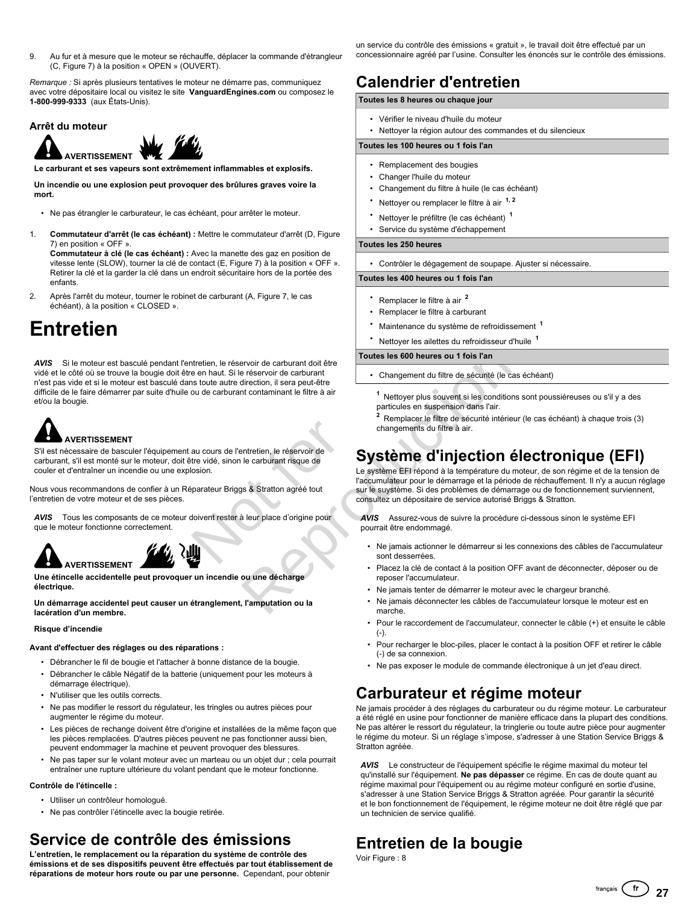9. Au fur et à mesure que le moteur se réchauffe, déplacer la commande d'étrangleur (C, Figure 7) à la position « OPEN » (OUVERT).

*Remarque :* Si après plusieurs tentatives le moteur ne démarre pas, communiquez avec votre dépositaire local ou visitez le site **VanguardEngines.com** ou composez le **1-800-999-9333** (aux États-Unis).

### **Arrêt du moteur**





**Le carburant et ses vapeurs sont extrêmement inflammables et explosifs.**

**Un incendie ou une explosion peut provoquer des brûlures graves voire la mort.**

- Ne pas étrangler le carburateur, le cas échéant, pour arrêter le moteur.
- 1. **Commutateur d'arrêt (le cas échéant) :** Mettre le commutateur d'arrêt (D, Figure 7) en position « OFF ».

**Commutateur à clé (le cas échéant) :** Avec la manette des gaz en position de vitesse lente (SLOW), tourner la clé de contact (E, Figure 7) à la position « OFF ». Retirer la clé et la garder la clé dans un endroit sécuritaire hors de la portée des enfants.

2. Après l'arrêt du moteur, tourner le robinet de carburant (A, Figure 7, le cas échéant), à la position « CLOSED ».

# **Entretien**

*AVIS* Si le moteur est basculé pendant l'entretien, le réservoir de carburant doit être vidé et le côté où se trouve la bougie doit être en haut. Si le réservoir de carburant n'est pas vide et si le moteur est basculé dans toute autre direction, il sera peut-être difficile de le faire démarrer par suite d'huile ou de carburant contaminant le filtre à air et/ou la bougie.

# **AVERTISSEMENT**

au cours de l'entretien, le réservoir de<br>tire vidé, sinon le carburant risque de<br>losion.<br>Éparateur Briggs & Stratton agréé tout<br>doivent rester à leur place d'origine pour S'il est nécessaire de basculer l'équipement au cours de l'entretien, le réservoir de carburant, s'il est monté sur le moteur, doit être vidé, sinon le carburant risque de couler et d'entraîner un incendie ou une explosion.

Nous vous recommandons de confier à un Réparateur Briggs & Stratton agréé tout l'entretien de votre moteur et de ses pièces.

*AVIS* Tous les composants de ce moteur doivent rester à leur place d'origine pour que le moteur fonctionne correctement.



**Une étincelle accidentelle peut provoquer un incendie ou une décharge électrique.**

**Un démarrage accidentel peut causer un étranglement, l'amputation ou la lacération d'un membre.**

### **Risque d'incendie**

### **Avant d'effectuer des réglages ou des réparations :**

- Débrancher le fil de bougie et l'attacher à bonne distance de la bougie.
- Débrancher le câble Négatif de la batterie (uniquement pour les moteurs à démarrage électrique).
- N'utiliser que les outils corrects.
- Ne pas modifier le ressort du régulateur, les tringles ou autres pièces pour augmenter le régime du moteur.
- Les pièces de rechange doivent être d'origine et installées de la même façon que les pièces remplacées. D'autres pièces peuvent ne pas fonctionner aussi bien, peuvent endommager la machine et peuvent provoquer des blessures.
- Ne pas taper sur le volant moteur avec un marteau ou un objet dur ; cela pourrait entraîner une rupture ultérieure du volant pendant que le moteur fonctionne.

### **Contrôle de l'étincelle :**

- Utiliser un contrôleur homologué.
- Ne pas contrôler l'étincelle avec la bougie retirée.

# **Service de contrôle des émissions**

**L'entretien, le remplacement ou la réparation du système de contrôle des émissions et de ses dispositifs peuvent être effectués par tout établissement de réparations de moteur hors route ou par une personne.** Cependant, pour obtenir

un service du contrôle des émissions « gratuit », le travail doit être effectué par un concessionnaire agréé par l'usine. Consulter les énoncés sur le contrôle des émissions.

### **Calendrier d'entretien**

**Toutes les 8 heures ou chaque jour**

- Vérifier le niveau d'huile du moteur
- Nettoyer la région autour des commandes et du silencieux

### **Toutes les 100 heures ou 1 fois l'an**

- Remplacement des bougies
- Changer l'huile du moteur
- Changement du filtre à huile (le cas échéant)
- Nettoyer ou remplacer le filtre à air **1, 2**
- Nettoyer le préfiltre (le cas échéant) **<sup>1</sup>**
- Service du système d'échappement

**Toutes les 250 heures**

• Contrôler le dégagement de soupape. Ajuster si nécessaire.

# **Toutes les 400 heures ou 1 fois l'an**

- Remplacer le filtre à air **<sup>2</sup>**
- Remplacer le filtre à carburant
- Maintenance du système de refroidissement **<sup>1</sup>**
- Nettoyer les ailettes du refroidisseur d'huile **<sup>1</sup>**

### **Toutes les 600 heures ou 1 fois l'an**

• Changement du filtre de sécurité (le cas échéant)

**1** Nettoyer plus souvent si les conditions sont poussiéreuses ou s'il y a des particules en suspension dans l'air.

**2** Remplacer le filtre de sécurité intérieur (le cas échéant) à chaque trois (3) changements du filtre à air.

# **Système d'injection électronique (EFI)**

Provide carburant doit être<br>
interaction, il sera peut-être<br>
Interaction, il sera peut-être<br>
Interaction interaction<br>
Interaction of the content durifier de sécurité (le c<br>
2 Remplacer le filitre de sécurité intérie<br>
2 Rem Le système EFI répond à la température du moteur, de son régime et de la tension de l'accumulateur pour le démarrage et la période de réchauffement. Il n'y a aucun réglage sur le suystème. Si des problèmes de démarrage ou de fonctionnement surviennent, consultez un dépositaire de service autorisé Briggs & Stratton.

*AVIS* Assurez-vous de suivre la procédure ci-dessous sinon le système EFI pourrait être endommagé.

- Ne jamais actionner le démarreur si les connexions des câbles de l'accumulateur sont desserrées.
- Placez la clé de contact à la position OFF avant de déconnecter, déposer ou de reposer l'accumulateur.
- Ne jamais tenter de démarrer le moteur avec le chargeur branché.
- Ne jamais déconnecter les câbles de l'accumulateur lorsque le moteur est en marche.
- Pour le raccordement de l'accumulateur, connecter le câble (+) et ensuite le câble  $(-)$ .
- Pour recharger le bloc-piles, placer le contact à la position OFF et retirer le câble (-) de sa connexion.
- Ne pas exposer le module de commande électronique à un jet d'eau direct.

# **Carburateur et régime moteur**

Ne jamais procéder à des réglages du carburateur ou du régime moteur. Le carburateur a été réglé en usine pour fonctionner de manière efficace dans la plupart des conditions. Ne pas altérer le ressort du régulateur, la tringlerie ou toute autre pièce pour augmenter le régime du moteur. Si un réglage s'impose, s'adresser à une Station Service Briggs & Stratton agréée.

*AVIS* Le constructeur de l'équipement spécifie le régime maximal du moteur tel qu'installé sur l'équipement. **Ne pas dépasser** ce régime. En cas de doute quant au régime maximal pour l'équipement ou au régime moteur configuré en sortie d'usine, s'adresser à une Station Service Briggs & Stratton agréée. Pour garantir la sécurité et le bon fonctionnement de l'équipement, le régime moteur ne doit être réglé que par un technicien de service qualifié.

# **Entretien de la bougie**

Voir Figure : 8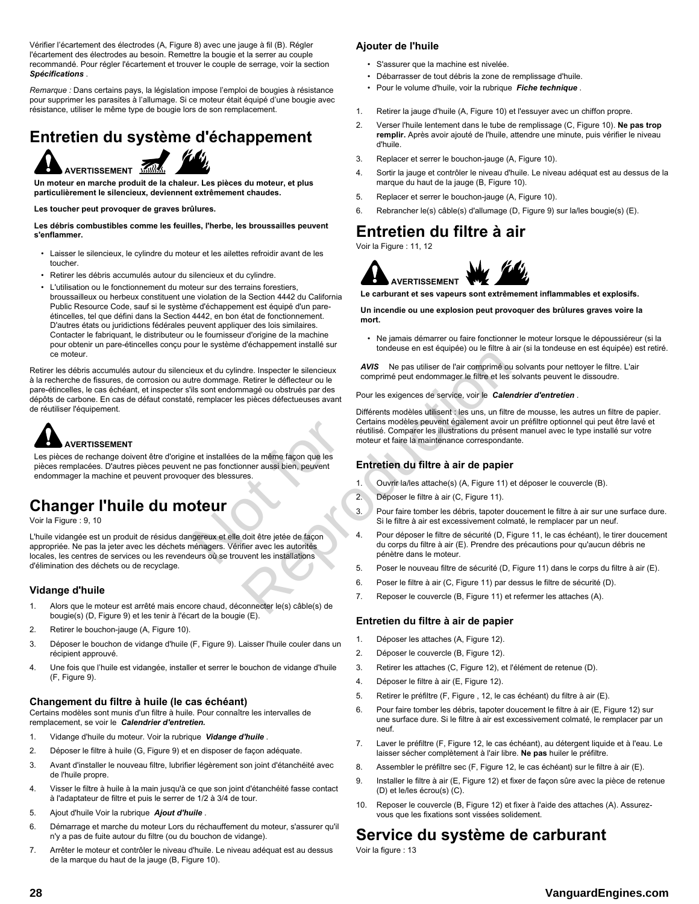Vérifier l'écartement des électrodes (A, Figure 8) avec une jauge à fil (B). Régler l'écartement des électrodes au besoin. Remettre la bougie et la serrer au couple recommandé. Pour régler l'écartement et trouver le couple de serrage, voir la section *Spécifications* .

*Remarque :* Dans certains pays, la législation impose l'emploi de bougies à résistance pour supprimer les parasites à l'allumage. Si ce moteur était équipé d'une bougie avec résistance, utiliser le même type de bougie lors de son remplacement.

# **Entretien du système d'échappement**



**Un moteur en marche produit de la chaleur. Les pièces du moteur, et plus particulièrement le silencieux, deviennent extrêmement chaudes.**

**Les toucher peut provoquer de graves brûlures.**

**Les débris combustibles comme les feuilles, l'herbe, les broussailles peuvent s'enflammer.**

- Laisser le silencieux, le cylindre du moteur et les ailettes refroidir avant de les toucher.
- Retirer les débris accumulés autour du silencieux et du cylindre.
- L'utilisation ou le fonctionnement du moteur sur des terrains forestiers, broussailleux ou herbeux constituent une violation de la Section 4442 du California Public Resource Code, sauf si le système d'échappement est équipé d'un pareétincelles, tel que défini dans la Section 4442, en bon état de fonctionnement. D'autres états ou juridictions fédérales peuvent appliquer des lois similaires. Contacter le fabriquant, le distributeur ou le fournisseur d'origine de la machine pour obtenir un pare-étincelles conçu pour le système d'échappement installé sur ce moteur.

Retirer les débris accumulés autour du silencieux et du cylindre. Inspecter le silencieux à la recherche de fissures, de corrosion ou autre dommage. Retirer le déflecteur ou le pare-étincelles, le cas échéant, et inspecter s'ils sont endommagé ou obstrués par des dépôts de carbone. En cas de défaut constaté, remplacer les pièces défectueuses avant de réutiliser l'équipement.

# **AVERTISSEMENT**

Les pièces de rechange doivent être d'origine et installées de la même façon que les pièces remplacées. D'autres pièces peuvent ne pas fonctionner aussi bien, peuvent endommager la machine et peuvent provoquer des blessures.

# **Changer l'huile du moteur**

Voir la Figure : 9, 10

e et installées de la même façon que les<br>
ine pas fonctionner aussi bien, peuvent<br>
uer des blessures.<br> **OLEUIT**<br>
Ingereux et elle doit être jetée de façon<br>
ménagers. Vérifier avec les autorités<br>
eurs où se trouvent les ins L'huile vidangée est un produit de résidus dangereux et elle doit être jetée de façon appropriée. Ne pas la jeter avec les déchets ménagers. Vérifier avec les autorités locales, les centres de services ou les revendeurs où se trouvent les installations d'élimination des déchets ou de recyclage.

### **Vidange d'huile**

- 1. Alors que le moteur est arrêté mais encore chaud, déconnecter le(s) câble(s) de bougie(s) (D, Figure 9) et les tenir à l'écart de la bougie (E).
- 2. Retirer le bouchon-jauge (A, Figure 10).
- 3. Déposer le bouchon de vidange d'huile (F, Figure 9). Laisser l'huile couler dans un récipient approuvé.
- 4. Une fois que l'huile est vidangée, installer et serrer le bouchon de vidange d'huile (F, Figure 9).

### **Changement du filtre à huile (le cas échéant)**

Certains modèles sont munis d'un filtre à huile. Pour connaître les intervalles de remplacement, se voir le *Calendrier d'entretien.*

- 1. Vidange d'huile du moteur. Voir la rubrique *Vidange d'huile* .
- 2. Déposer le filtre à huile (G, Figure 9) et en disposer de façon adéquate.
- 3. Avant d'installer le nouveau filtre, lubrifier légèrement son joint d'étanchéité avec de l'huile propre.
- 4. Visser le filtre à huile à la main jusqu'à ce que son joint d'étanchéité fasse contact à l'adaptateur de filtre et puis le serrer de 1/2 à 3/4 de tour.
- 5. Ajout d'huile Voir la rubrique *Ajout d'huile* .
- 6. Démarrage et marche du moteur Lors du réchauffement du moteur, s'assurer qu'il n'y a pas de fuite autour du filtre (ou du bouchon de vidange).
- 7. Arrêter le moteur et contrôler le niveau d'huile. Le niveau adéquat est au dessus de la marque du haut de la jauge (B, Figure 10).

### **Ajouter de l'huile**

- S'assurer que la machine est nivelée.
- Débarrasser de tout débris la zone de remplissage d'huile.
- Pour le volume d'huile, voir la rubrique *Fiche technique* .
- 1. Retirer la jauge d'huile (A, Figure 10) et l'essuyer avec un chiffon propre.
- 2. Verser l'huile lentement dans le tube de remplissage (C, Figure 10). **Ne pas trop remplir.** Après avoir ajouté de l'huile, attendre une minute, puis vérifier le niveau d'huile.
- 3. Replacer et serrer le bouchon-jauge (A, Figure 10).
- 4. Sortir la jauge et contrôler le niveau d'huile. Le niveau adéquat est au dessus de la marque du haut de la jauge (B, Figure 10).
- 5. Replacer et serrer le bouchon-jauge (A, Figure 10).
- 6. Rebrancher le(s) câble(s) d'allumage (D, Figure 9) sur la/les bougie(s) (E).

# **Entretien du filtre à air**

Voir la Figure : 11, 12



**Le carburant et ses vapeurs sont extrêmement inflammables et explosifs.**

**Un incendie ou une explosion peut provoquer des brûlures graves voire la mort.**

Ne jamais démarrer ou faire fonctionner le moteur lorsque le dépoussiéreur (si la tondeuse en est équipée) ou le filtre à air (si la tondeuse en est équipée) est retiré.

*AVIS* Ne pas utiliser de l'air comprimé ou solvants pour nettoyer le filtre. L'air comprimé peut endommager le filtre et les solvants peuvent le dissoudre.

Pour les exigences de service, voir le *Calendrier d'entretien* .

de la méme factor de la méme factor de la méme factor de la méme de la méme factor de la méme factor de la méme factor de la méme factor de la méme factor de la méme factor de la méme factor de la méme factor de la méme fa Différents modèles utilisent : les uns, un filtre de mousse, les autres un filtre de papier. Certains modèles peuvent également avoir un préfiltre optionnel qui peut être lavé et réutilisé. Comparer les illustrations du présent manuel avec le type installé sur votre moteur et faire la maintenance correspondante.

### **Entretien du filtre à air de papier**

- 1. Ouvrir la/les attache(s) (A, Figure 11) et déposer le couvercle (B).
- 2. Déposer le filtre à air (C, Figure 11).
- 3. Pour faire tomber les débris, tapoter doucement le filtre à air sur une surface dure. Si le filtre à air est excessivement colmaté, le remplacer par un neuf.
- 4. Pour déposer le filtre de sécurité (D, Figure 11, le cas échéant), le tirer doucement du corps du filtre à air (E). Prendre des précautions pour qu'aucun débris ne pénètre dans le moteur.
- 5. Poser le nouveau filtre de sécurité (D, Figure 11) dans le corps du filtre à air (E).
- 6. Poser le filtre à air (C, Figure 11) par dessus le filtre de sécurité (D).
- 7. Reposer le couvercle (B, Figure 11) et refermer les attaches (A).

### **Entretien du filtre à air de papier**

- 1. Déposer les attaches (A, Figure 12).
- 2. Déposer le couvercle (B, Figure 12).
- 3. Retirer les attaches (C, Figure 12), et l'élément de retenue (D).
- 4. Déposer le filtre à air (E, Figure 12).
- 5. Retirer le préfiltre (F, Figure , 12, le cas échéant) du filtre à air (E).
- 6. Pour faire tomber les débris, tapoter doucement le filtre à air (E, Figure 12) sur une surface dure. Si le filtre à air est excessivement colmaté, le remplacer par un neuf.
- 7. Laver le préfiltre (F, Figure 12, le cas échéant), au détergent liquide et à l'eau. Le laisser sécher complètement à l'air libre. **Ne pas** huiler le préfiltre.
- 8. Assembler le préfiltre sec (F, Figure 12, le cas échéant) sur le filtre à air (E).
- 9. Installer le filtre à air (E, Figure 12) et fixer de façon sûre avec la pièce de retenue (D) et le/les écrou(s) (C).
- 10. Reposer le couvercle (B, Figure 12) et fixer à l'aide des attaches (A). Assurezvous que les fixations sont vissées solidement.

### **Service du système de carburant**

Voir la figure : 13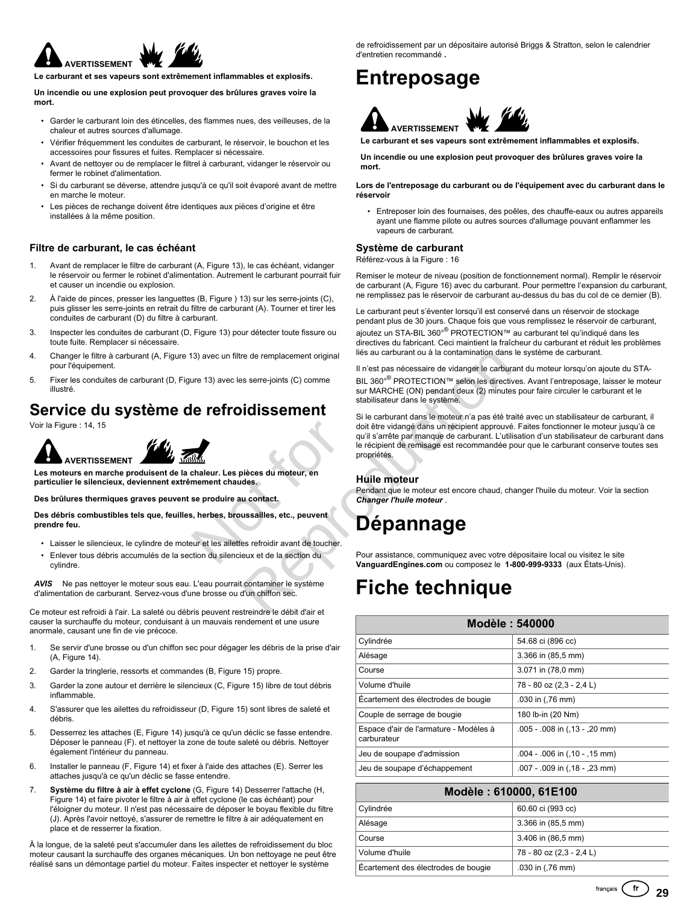# **VERTISSEMENT**



**Le carburant et ses vapeurs sont extrêmement inflammables et explosifs.**

**Un incendie ou une explosion peut provoquer des brûlures graves voire la mort.**

- Garder le carburant loin des étincelles, des flammes nues, des veilleuses, de la chaleur et autres sources d'allumage.
- Vérifier fréquemment les conduites de carburant, le réservoir, le bouchon et les accessoires pour fissures et fuites. Remplacer si nécessaire.
- Avant de nettoyer ou de remplacer le filtrel à carburant, vidanger le réservoir ou fermer le robinet d'alimentation.
- Si du carburant se déverse, attendre jusqu'à ce qu'il soit évaporé avant de mettre en marche le moteur.
- Les pièces de rechange doivent être identiques aux pièces d'origine et être installées à la même position.

### **Filtre de carburant, le cas échéant**

- 1. Avant de remplacer le filtre de carburant (A, Figure 13), le cas échéant, vidanger le réservoir ou fermer le robinet d'alimentation. Autrement le carburant pourrait fuir et causer un incendie ou explosion.
- 2. À l'aide de pinces, presser les languettes (B, Figure ) 13) sur les serre-joints (C), puis glisser les serre-joints en retrait du filtre de carburant (A). Tourner et tirer les conduites de carburant (D) du filtre à carburant.
- 3. Inspecter les conduites de carburant (D, Figure 13) pour détecter toute fissure ou toute fuite. Remplacer si nécessaire.
- 4. Changer le filtre à carburant (A, Figure 13) avec un filtre de remplacement original pour l'équipement.
- 5. Fixer les conduites de carburant (D, Figure 13) avec les serre-joints (C) comme illustré.

### **Service du système de refroidissement** Voir la Figure : 14, 15





**Les moteurs en marche produisent de la chaleur. Les pièces du moteur, en particulier le silencieux, deviennent extrêmement chaudes.**

**Des brûlures thermiques graves peuvent se produire au contact.**

Why<br>chaleur. Les pièces du moteur, en<br>mement chaudes.<br>se produire au contact.<br>s, herbes, broussailles, etc., peuvent<br>eur et les ailettes refroidir avant de toucher.<br>ction du silencieux et de la section du **Des débris combustibles tels que, feuilles, herbes, broussailles, etc., peuvent prendre feu.**

- Laisser le silencieux, le cylindre de moteur et les ailettes refroidir avant de toucher.
- Enlever tous débris accumulés de la section du silencieux et de la section du cylindre.

*AVIS* Ne pas nettoyer le moteur sous eau. L'eau pourrait contaminer le système d'alimentation de carburant. Servez-vous d'une brosse ou d'un chiffon sec.

Ce moteur est refroidi à l'air. La saleté ou débris peuvent restreindre le débit d'air et causer la surchauffe du moteur, conduisant à un mauvais rendement et une usure anormale, causant une fin de vie précoce.

- 1. Se servir d'une brosse ou d'un chiffon sec pour dégager les débris de la prise d'air (A, Figure 14).
- 2. Garder la tringlerie, ressorts et commandes (B, Figure 15) propre.
- 3. Garder la zone autour et derrière le silencieux (C, Figure 15) libre de tout débris inflammable.
- 4. S'assurer que les ailettes du refroidisseur (D, Figure 15) sont libres de saleté et débris.
- 5. Desserrez les attaches (E, Figure 14) jusqu'à ce qu'un déclic se fasse entendre. Déposer le panneau (F). et nettoyer la zone de toute saleté ou débris. Nettoyer également l'intérieur du panneau.
- 6. Installer le panneau (F, Figure 14) et fixer à l'aide des attaches (E). Serrer les attaches jusqu'à ce qu'un déclic se fasse entendre.
- 7. **Système du filtre à air à effet cyclone** (G, Figure 14) Desserrer l'attache (H, Figure 14) et faire pivoter le filtre à air à effet cyclone (le cas échéant) pour l'éloigner du moteur. Il n'est pas nécessaire de déposer le boyau flexible du filtre (J). Après l'avoir nettoyé, s'assurer de remettre le filtre à air adéquatement en place et de resserrer la fixation.

À la longue, de la saleté peut s'accumuler dans les ailettes de refroidissement du bloc moteur causant la surchauffe des organes mécaniques. Un bon nettoyage ne peut être réalisé sans un démontage partiel du moteur. Faites inspecter et nettoyer le système

de refroidissement par un dépositaire autorisé Briggs & Stratton, selon le calendrier d'entretien recommandé **.**

# **Entreposage**



**Le carburant et ses vapeurs sont extrêmement inflammables et explosifs.**

**Un incendie ou une explosion peut provoquer des brûlures graves voire la mort.**

**Lors de l'entreposage du carburant ou de l'équipement avec du carburant dans le réservoir**

• Entreposer loin des fournaises, des poêles, des chauffe-eaux ou autres appareils ayant une flamme pilote ou autres sources d'allumage pouvant enflammer les vapeurs de carburant.

### **Système de carburant**

Référez-vous à la Figure : 16

Remiser le moteur de niveau (position de fonctionnement normal). Remplir le réservoir de carburant (A, Figure 16) avec du carburant. Pour permettre l'expansion du carburant, ne remplissez pas le réservoir de carburant au-dessus du bas du col de ce dernier (B).

Le carburant peut s'éventer lorsqu'il est conservé dans un réservoir de stockage pendant plus de 30 jours. Chaque fois que vous remplissez le réservoir de carburant, ajoutez un STA-BIL 360°<sup>®</sup> PROTECTION™ au carburant tel qu'indiqué dans les directives du fabricant. Ceci maintient la fraîcheur du carburant et réduit les problèmes liés au carburant ou à la contamination dans le système de carburant.

Il n'est pas nécessaire de vidanger le carburant du moteur lorsqu'on ajoute du STA-BIL 360<sup>°®</sup> PROTECTION™ selon les directives. Avant l'entreposage, laisser le moteur sur MARCHE (ON) pendant deux (2) minutes pour faire circuler le carburant et le stabilisateur dans le système.

Figure de templacement original<br>
Il n'est pas nécessaire de vidanger le carbur<br>
BIL 360<sup>08</sup> PROTECTION™ selon les directives de vidanger le carbur<br>
SIL 360<sup>08</sup> PROTECTION™ selon les directives de vidanger le carburant de Si le carburant dans le moteur n'a pas été traité avec un stabilisateur de carburant, il doit être vidangé dans un récipient approuvé. Faites fonctionner le moteur jusqu'à ce qu'il s'arrête par manque de carburant. L'utilisation d'un stabilisateur de carburant dans le récipient de remisage est recommandée pour que le carburant conserve toutes ses propriétés.

### **Huile moteur**

Pendant que le moteur est encore chaud, changer l'huile du moteur. Voir la section *Changer l'huile moteur* .

# **Dépannage**

Pour assistance, communiquez avec votre dépositaire local ou visitez le site **VanguardEngines.com** ou composez le **1-800-999-9333** (aux États-Unis).

# **Fiche technique**

| Modèle: 540000                                        |                               |  |
|-------------------------------------------------------|-------------------------------|--|
| Cylindrée                                             | 54.68 ci (896 cc)             |  |
| Alésage                                               | 3.366 in (85,5 mm)            |  |
| Course                                                | 3.071 in (78,0 mm)            |  |
| Volume d'huile                                        | 78 - 80 oz (2,3 - 2,4 L)      |  |
| Écartement des électrodes de bougie                   | .030 in (.76 mm)              |  |
| Couple de serrage de bougie                           | 180 lb-in (20 Nm)             |  |
| Espace d'air de l'armature - Modèles à<br>carburateur | .005 - .008 in (.13 - .20 mm) |  |
| Jeu de soupape d'admission                            | .004 - .006 in (.10 - .15 mm) |  |
| Jeu de soupape d'échappement                          | .007 - .009 in (.18 - .23 mm) |  |

### **Modèle : 610000, 61E100** Cylindrée 60.60 ci (993 cc)

| <b>Cylinaree</b>                    | <b>POTPO CL (AAR CC)</b> |
|-------------------------------------|--------------------------|
| Alésage                             | 3.366 in (85,5 mm)       |
| Course                              | 3.406 in (86,5 mm)       |
| Volume d'huile                      | 78 - 80 oz (2,3 - 2,4 L) |
| Écartement des électrodes de bougie | .030 in (.76 mm)         |

français (fr) 29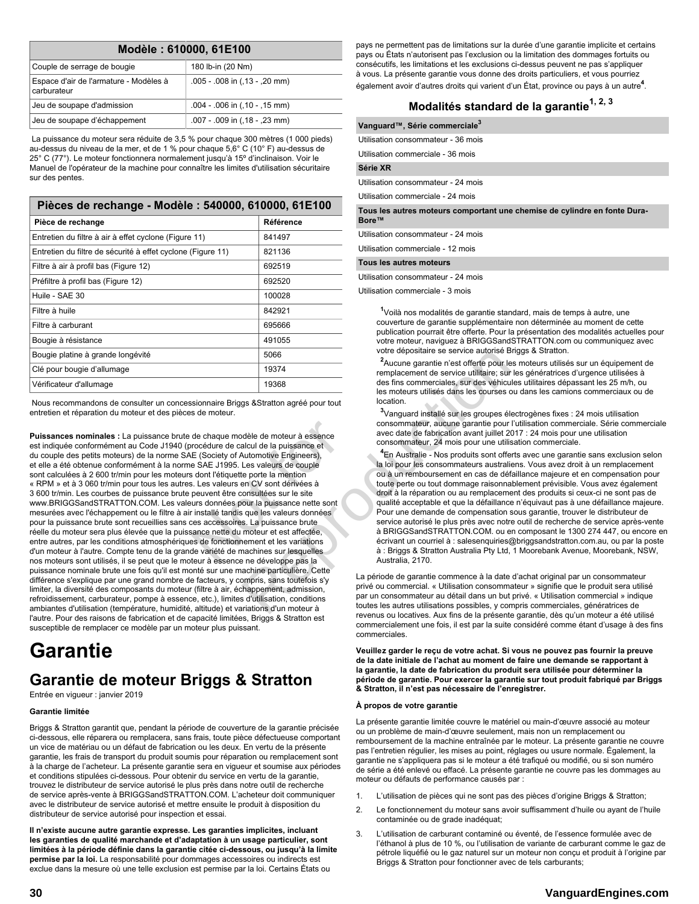### **Modèle : 610000, 61E100**

| Couple de serrage de bougie                           | 180 lb-in (20 Nm)                  |
|-------------------------------------------------------|------------------------------------|
| Espace d'air de l'armature - Modèles à<br>carburateur | .005 - .008 in (.13 - .20 mm)      |
| Jeu de soupape d'admission                            | .004 - .006 in $(0.10 - 0.15)$ mm) |
| Jeu de soupape d'échappement                          | .007 - .009 in (.18 - .23 mm)      |

 La puissance du moteur sera réduite de 3,5 % pour chaque 300 mètres (1 000 pieds) au-dessus du niveau de la mer, et de 1 % pour chaque 5,6° C (10° F) au-dessus de 25° C (77°). Le moteur fonctionnera normalement jusqu'à 15º d'inclinaison. Voir le Manuel de l'opérateur de la machine pour connaître les limites d'utilisation sécuritaire sur des pentes.

| Pièces de rechange - Modèle : 540000, 610000, 61E100        |                  |  |
|-------------------------------------------------------------|------------------|--|
| Pièce de rechange                                           | <b>Référence</b> |  |
| Entretien du filtre à air à effet cyclone (Figure 11)       | 841497           |  |
| Entretien du filtre de sécurité à effet cyclone (Figure 11) | 821136           |  |
| Filtre à air à profil bas (Figure 12)                       | 692519           |  |
| Préfiltre à profil bas (Figure 12)                          | 692520           |  |
| Huile - SAE 30                                              | 100028           |  |
| Filtre à huile                                              | 842921           |  |
| Filtre à carburant                                          | 695666           |  |
| Bougie à résistance                                         | 491055           |  |
| Bougie platine à grande longévité                           | 5066             |  |
| Clé pour bougie d'allumage                                  | 19374            |  |
| Vérificateur d'allumage                                     | 19368            |  |

 Nous recommandons de consulter un concessionnaire Briggs &Stratton agréé pour tout entretien et réparation du moteur et des pièces de moteur.

de chaque modèle de moteur à essence<br>procédure de calcul de la puissance et<br>E (Society of Automotive Engineers),<br>e SAE J1995. Les valeurs de couple<br>s dont l'étiquette porte la mention<br>s. Les valeurs en CV sont dérivées à<br>p For the position of the strategy and the strategy and the strategy of the point of the point of the strategy of the contentions of the strategy of the strategy of the strategy of the strategy and the strategy of the strate **Puissances nominales :** La puissance brute de chaque modèle de moteur à essence est indiquée conformément au Code J1940 (procédure de calcul de la puissance et du couple des petits moteurs) de la norme SAE (Society of Automotive Engineers), et elle a été obtenue conformément à la norme SAE J1995. Les valeurs de couple sont calculées à 2 600 tr/min pour les moteurs dont l'étiquette porte la mention « RPM » et à 3 060 tr/min pour tous les autres. Les valeurs en CV sont dérivées à 3 600 tr/min. Les courbes de puissance brute peuvent être consultées sur le site www.BRIGGSandSTRATTON.COM. Les valeurs données pour la puissance nette sont mesurées avec l'échappement ou le filtre à air installé tandis que les valeurs données pour la puissance brute sont recueillies sans ces accessoires. La puissance brute réelle du moteur sera plus élevée que la puissance nette du moteur et est affectée, entre autres, par les conditions atmosphériques de fonctionnement et les variations d'un moteur à l'autre. Compte tenu de la grande variété de machines sur lesquelles nos moteurs sont utilisés, il se peut que le moteur à essence ne développe pas la puissance nominale brute une fois qu'il est monté sur une machine particulière. Cette différence s'explique par une grand nombre de facteurs, y compris, sans toutefois s'y limiter, la diversité des composants du moteur (filtre à air, échappement, admission, refroidissement, carburateur, pompe à essence, etc.), limites d'utilisation, conditions ambiantes d'utilisation (température, humidité, altitude) et variations d'un moteur à l'autre. Pour des raisons de fabrication et de capacité limitées, Briggs & Stratton est susceptible de remplacer ce modèle par un moteur plus puissant.

# **Garantie**

# **Garantie de moteur Briggs & Stratton**

Entrée en vigueur : janvier 2019

### **Garantie limitée**

Briggs & Stratton garantit que, pendant la période de couverture de la garantie précisée ci-dessous, elle réparera ou remplacera, sans frais, toute pièce défectueuse comportant un vice de matériau ou un défaut de fabrication ou les deux. En vertu de la présente garantie, les frais de transport du produit soumis pour réparation ou remplacement sont à la charge de l'acheteur. La présente garantie sera en vigueur et soumise aux périodes et conditions stipulées ci-dessous. Pour obtenir du service en vertu de la garantie, trouvez le distributeur de service autorisé le plus près dans notre outil de recherche de service après-vente à BRIGGSandSTRATTON.COM. L'acheteur doit communiquer avec le distributeur de service autorisé et mettre ensuite le produit à disposition du distributeur de service autorisé pour inspection et essai.

**Il n'existe aucune autre garantie expresse. Les garanties implicites, incluant les garanties de qualité marchande et d'adaptation à un usage particulier, sont limitées à la période définie dans la garantie citée ci-dessous, ou jusqu'à la limite permise par la loi.** La responsabilité pour dommages accessoires ou indirects est exclue dans la mesure où une telle exclusion est permise par la loi. Certains États ou

pays ne permettent pas de limitations sur la durée d'une garantie implicite et certains pays ou États n'autorisent pas l'exclusion ou la limitation des dommages fortuits ou consécutifs, les limitations et les exclusions ci-dessus peuvent ne pas s'appliquer à vous. La présente garantie vous donne des droits particuliers, et vous pourriez également avoir d'autres droits qui varient d'un État, province ou pays à un autre**<sup>4</sup>** .

### **Modalités standard de la garantie1, 2, 3**

| Vanguard™, Série commerciale <sup>3</sup>                                          |
|------------------------------------------------------------------------------------|
| Utilisation consommateur - 36 mois                                                 |
| Utilisation commerciale - 36 mois                                                  |
| Série XR                                                                           |
| Utilisation consommateur - 24 mois                                                 |
| Utilisation commerciale - 24 mois                                                  |
| Tous les autres moteurs comportant une chemise de cylindre en fonte Dura-<br>Bore™ |
| Utilisation consommateur - 24 mois                                                 |
| Utilisation commerciale - 12 mois                                                  |
|                                                                                    |

**Tous les autres moteurs**

Utilisation consommateur - 24 mois

Utilisation commerciale - 3 mois

**1** Voilà nos modalités de garantie standard, mais de temps à autre, une couverture de garantie supplémentaire non déterminée au moment de cette publication pourrait être offerte. Pour la présentation des modalités actuelles pour votre moteur, naviguez à BRIGGSandSTRATTON.com ou communiquez avec votre dépositaire se service autorisé Briggs & Stratton.

**2** Aucune garantie n'est offerte pour les moteurs utilisés sur un équipement de remplacement de service utilitaire; sur les génératrices d'urgence utilisées à des fins commerciales, sur des véhicules utilitaires dépassant les 25 m/h, ou les moteurs utilisés dans les courses ou dans les camions commerciaux ou de location.

**3** Vanguard installé sur les groupes électrogènes fixes : 24 mois utilisation consommateur, aucune garantie pour l'utilisation commerciale. Série commerciale avec date de fabrication avant juillet 2017 : 24 mois pour une utilisation consommateur, 24 mois pour une utilisation commerciale.

**4** En Australie - Nos produits sont offerts avec une garantie sans exclusion selon la loi pour les consommateurs australiens. Vous avez droit à un remplacement ou à un remboursement en cas de défaillance majeure et en compensation pour toute perte ou tout dommage raisonnablement prévisible. Vous avez également droit à la réparation ou au remplacement des produits si ceux-ci ne sont pas de qualité acceptable et que la défaillance n'équivaut pas à une défaillance majeure. Pour une demande de compensation sous garantie, trouver le distributeur de service autorisé le plus près avec notre outil de recherche de service après-vente à BRIGGSandSTRATTON.COM. ou en composant le 1300 274 447, ou encore en écrivant un courriel à : salesenquiries@briggsandstratton.com.au, ou par la poste à : Briggs & Stratton Australia Pty Ltd, 1 Moorebank Avenue, Moorebank, NSW, Australia, 2170.

La période de garantie commence à la date d'achat original par un consommateur privé ou commercial. « Utilisation consommateur » signifie que le produit sera utilisé par un consommateur au détail dans un but privé. « Utilisation commercial » indique toutes les autres utilisations possibles, y compris commerciales, génératrices de revenus ou locatives. Aux fins de la présente garantie, dès qu'un moteur a été utilisé commercialement une fois, il est par la suite considéré comme étant d'usage à des fins commerciales.

**Veuillez garder le reçu de votre achat. Si vous ne pouvez pas fournir la preuve de la date initiale de l'achat au moment de faire une demande se rapportant à la garantie, la date de fabrication du produit sera utilisée pour déterminer la période de garantie. Pour exercer la garantie sur tout produit fabriqué par Briggs & Stratton, il n'est pas nécessaire de l'enregistrer.**

### **À propos de votre garantie**

La présente garantie limitée couvre le matériel ou main-d'œuvre associé au moteur ou un problème de main-d'œuvre seulement, mais non un remplacement ou remboursement de la machine entraînée par le moteur. La présente garantie ne couvre pas l'entretien régulier, les mises au point, réglages ou usure normale. Également, la garantie ne s'appliquera pas si le moteur a été trafiqué ou modifié, ou si son numéro de série a été enlevé ou effacé. La présente garantie ne couvre pas les dommages au moteur ou défauts de performance causés par :

- 1. L'utilisation de pièces qui ne sont pas des pièces d'origine Briggs & Stratton;
- 2. Le fonctionnement du moteur sans avoir suffisamment d'huile ou ayant de l'huile contaminée ou de grade inadéquat;
- 3. L'utilisation de carburant contaminé ou éventé, de l'essence formulée avec de l'éthanol à plus de 10 %, ou l'utilisation de variante de carburant comme le gaz de pétrole liquéfié ou le gaz naturel sur un moteur non conçu et produit à l'origine par Briggs & Stratton pour fonctionner avec de tels carburants;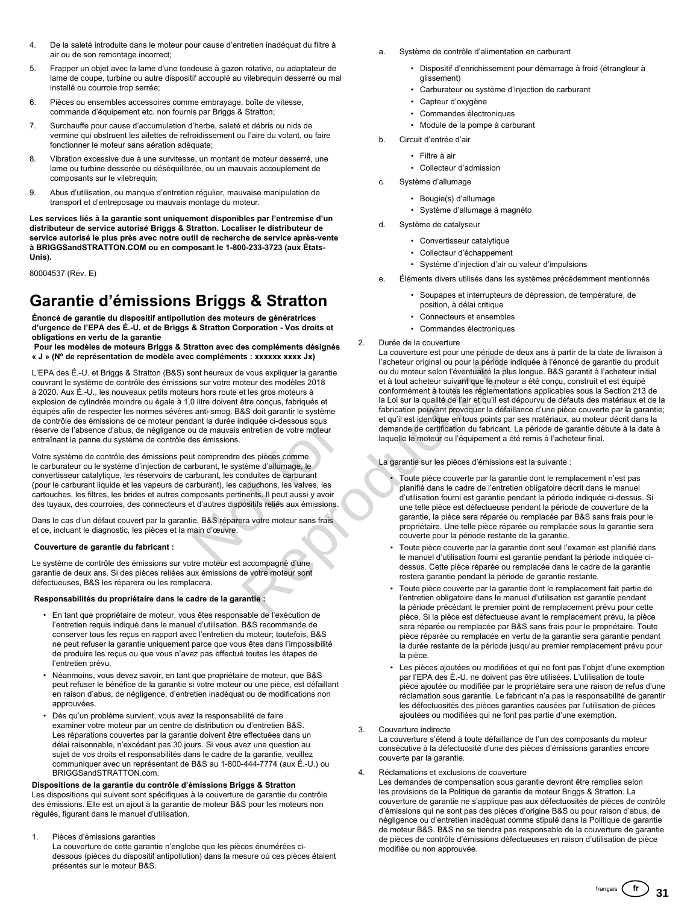- De la saleté introduite dans le moteur pour cause d'entretien inadéquat du filtre à air ou de son remontage incorrect;
- 5. Frapper un objet avec la lame d'une tondeuse à gazon rotative, ou adaptateur de lame de coupe, turbine ou autre dispositif accouplé au vilebrequin desserré ou mal installé ou courroie trop serrée;
- 6. Pièces ou ensembles accessoires comme embrayage, boîte de vitesse, commande d'équipement etc. non fournis par Briggs & Stratton;
- 7. Surchauffe pour cause d'accumulation d'herbe, saleté et débris ou nids de vermine qui obstruent les ailettes de refroidissement ou l'aire du volant, ou faire fonctionner le moteur sans aération adéquate;
- 8. Vibration excessive due à une survitesse, un montant de moteur desserré, une lame ou turbine desserée ou déséquilibrée, ou un mauvais accouplement de composants sur le vilebrequin;
- 9. Abus d'utilisation, ou manque d'entretien régulier, mauvaise manipulation de transport et d'entreposage ou mauvais montage du moteur.

**Les services liés à la garantie sont uniquement disponibles par l'entremise d'un distributeur de service autorisé Briggs & Stratton. Localiser le distributeur de service autorisé le plus près avec notre outil de recherche de service après-vente à BRIGGSandSTRATTON.COM ou en composant le 1-800-233-3723 (aux États-Unis).**

80004537 (Rév. E)

# **Garantie d'émissions Briggs & Stratton**

**Énoncé de garantie du dispositif antipollution des moteurs de génératrices d'urgence de l'EPA des É.-U. et de Briggs & Stratton Corporation - Vos droits et obligations en vertu de la garantie**

**Pour les modèles de moteurs Briggs & Stratton avec des compléments désignés « J » (Nº de représentation de modèle avec compléments : xxxxxx xxxx Jx)**

L'EPA des É.-U. et Briggs & Stratton (B&S) sont heureux de vous expliquer la garantie couvrant le système de contrôle des émissions sur votre moteur des modèles 2018 à 2020. Aux É.-U., les nouveaux petits moteurs hors route et les gros moteurs à explosion de cylindrée moindre ou égale à 1,0 litre doivent être conçus, fabriqués et équipés afin de respecter les normes sévères anti-smog. B&S doit garantir le système de contrôle des émissions de ce moteur pendant la durée indiquée ci-dessous sous réserve de l'absence d'abus, de négligence ou de mauvais entretien de votre moteur entraînant la panne du système de contrôle des émissions.

aant la duree indiquee cl-dessous sous<br>ou de mauvais entretien de votre moteur<br>des émissions.<br>at comprendre des pièces comme<br>arburant, le système d'allumage, le<br>arburant), les capuchons, les valves, les<br>amposants pertinent Votre système de contrôle des émissions peut comprendre des pièces comme le carburateur ou le système d'injection de carburant, le système d'allumage, le convertisseur catalytique, les réservoirs de carburant, les conduites de carburant (pour le carburant liquide et les vapeurs de carburant), les capuchons, les valves, les cartouches, les filtres, les brides et autres composants pertinents. Il peut aussi y avoir des tuyaux, des courroies, des connecteurs et d'autres dispositifs reliés aux émissions.

Dans le cas d'un défaut couvert par la garantie, B&S réparera votre moteur sans frais et ce, incluant le diagnostic, les pièces et la main d'œuvre.

### **Couverture de garantie du fabricant :**

Le système de contrôle des émissions sur votre moteur est accompagné d'une garantie de deux ans. Si des pièces reliées aux émissions de votre moteur sont défectueuses, B&S les réparera ou les remplacera.

#### **Responsabilités du propriétaire dans le cadre de la garantie :**

- En tant que propriétaire de moteur, vous êtes responsable de l'exécution de l'entretien requis indiqué dans le manuel d'utilisation. B&S recommande de conserver tous les reçus en rapport avec l'entretien du moteur; toutefois, B&S ne peut refuser la garantie uniquement parce que vous êtes dans l'impossibilité de produire les reçus ou que vous n'avez pas effectué toutes les étapes de l'entretien prévu.
- Néanmoins, vous devez savoir, en tant que propriétaire de moteur, que B&S peut refuser le bénéfice de la garantie si votre moteur ou une pièce, est défaillant en raison d'abus, de négligence, d'entretien inadéquat ou de modifications non approuvées.
- Dès qu'un problème survient, vous avez la responsabilité de faire examiner votre moteur par un centre de distribution ou d'entretien B&S. Les réparations couvertes par la garantie doivent être effectuées dans un délai raisonnable, n'excédant pas 30 jours. Si vous avez une question au sujet de vos droits et responsabilités dans le cadre de la garantie, veuillez communiquer avec un représentant de B&S au 1-800-444-7774 (aux É.-U.) ou BRIGGSandSTRATTON.com.

### **Dispositions de la garantie du contrôle d'émissions Briggs & Stratton**

Les dispositions qui suivent sont spécifiques à la couverture de garantie du contrôle des émissions. Elle est un ajout à la garantie de moteur B&S pour les moteurs non régulés, figurant dans le manuel d'utilisation.

1. Pièces d'émissions garanties

La couverture de cette garantie n'englobe que les pièces énumérées cidessous (pièces du dispositif antipollution) dans la mesure où ces pièces étaient présentes sur le moteur B&S.

- a. Système de contrôle d'alimentation en carburant
	- Dispositif d'enrichissement pour démarrage à froid (étrangleur à glissement)
	- Carburateur ou système d'injection de carburant
	- Capteur d'oxygène
	- Commandes électroniques
	- Module de la pompe à carburant
- b. Circuit d'entrée d'air
	- Filtre à air
	- Collecteur d'admission
- c. Système d'allumage
	- Bougie(s) d'allumage
	- Système d'allumage à magnéto
- d. Système de catalyseur
	- Convertisseur catalytique
	- Collecteur d'échappement
	- Système d'injection d'air ou valeur d'impulsions
- e. Éléments divers utilisés dans les systèmes précédemment mentionnés
	- Soupapes et interrupteurs de dépression, de température, de position, à délai critique
	- Connecteurs et ensembles
	- Commandes électroniques
- 2. Durée de la couverture

tractivery and the street particle of the street particle of the street particle of the street particle of the street particle of the street particle of the street particle of the street particle of the street particle in La couverture est pour une période de deux ans à partir de la date de livraison à l'acheteur original ou pour la période indiquée à l'énoncé de garantie du produit ou du moteur selon l'éventualité la plus longue. B&S garantit à l'acheteur initial et à tout acheteur suivant que le moteur a été conçu, construit et est équipé conformément à toutes les réglementations applicables sous la Section 213 de la Loi sur la qualité de l'air et qu'il est dépourvu de défauts des matériaux et de la fabrication pouvant provoquer la défaillance d'une pièce couverte par la garantie; et qu'il est identique en tous points par ses matériaux, au moteur décrit dans la demande de certification du fabricant. La période de garantie débute à la date à laquelle le moteur ou l'équipement a été remis à l'acheteur final.

### La garantie sur les pièces d'émissions est la suivante :

- Toute pièce couverte par la garantie dont le remplacement n'est pas planifié dans le cadre de l'entretien obligatoire décrit dans le manuel d'utilisation fourni est garantie pendant la période indiquée ci-dessus. Si une telle pièce est défectueuse pendant la période de couverture de la garantie, la pièce sera réparée ou remplacée par B&S sans frais pour le propriétaire. Une telle pièce réparée ou remplacée sous la garantie sera couverte pour la période restante de la garantie.
- Toute pièce couverte par la garantie dont seul l'examen est planifié dans le manuel d'utilisation fourni est garantie pendant la période indiquée cidessus. Cette pièce réparée ou remplacée dans le cadre de la garantie restera garantie pendant la période de garantie restante.
- Toute pièce couverte par la garantie dont le remplacement fait partie de l'entretien obligatoire dans le manuel d'utilisation est garantie pendant la période précédant le premier point de remplacement prévu pour cette pièce. Si la pièce est défectueuse avant le remplacement prévu, la pièce sera réparée ou remplacée par B&S sans frais pour le propriétaire. Toute pièce réparée ou remplacée en vertu de la garantie sera garantie pendant la durée restante de la période jusqu'au premier remplacement prévu pour la pièce.
- Les pièces ajoutées ou modifiées et qui ne font pas l'objet d'une exemption par l'EPA des É.-U. ne doivent pas être utilisées. L'utilisation de toute pièce ajoutée ou modifiée par le propriétaire sera une raison de refus d'une réclamation sous garantie. Le fabricant n'a pas la responsabilité de garantir les défectuosités des pièces garanties causées par l'utilisation de pièces ajoutées ou modifiées qui ne font pas partie d'une exemption.

3. Couverture indirecte

La couverture s'étend à toute défaillance de l'un des composants du moteur consécutive à la défectuosité d'une des pièces d'émissions garanties encore couverte par la garantie.

### 4. Réclamations et exclusions de couverture

Les demandes de compensation sous garantie devront être remplies selon les provisions de la Politique de garantie de moteur Briggs & Stratton. La couverture de garantie ne s'applique pas aux défectuosités de pièces de contrôle d'émissions qui ne sont pas des pièces d'origine B&S ou pour raison d'abus, de négligence ou d'entretien inadéquat comme stipulé dans la Politique de garantie de moteur B&S. B&S ne se tiendra pas responsable de la couverture de garantie de pièces de contrôle d'émissions défectueuses en raison d'utilisation de pièce modifiée ou non approuvée.

français  $\binom{fr}{}$  31